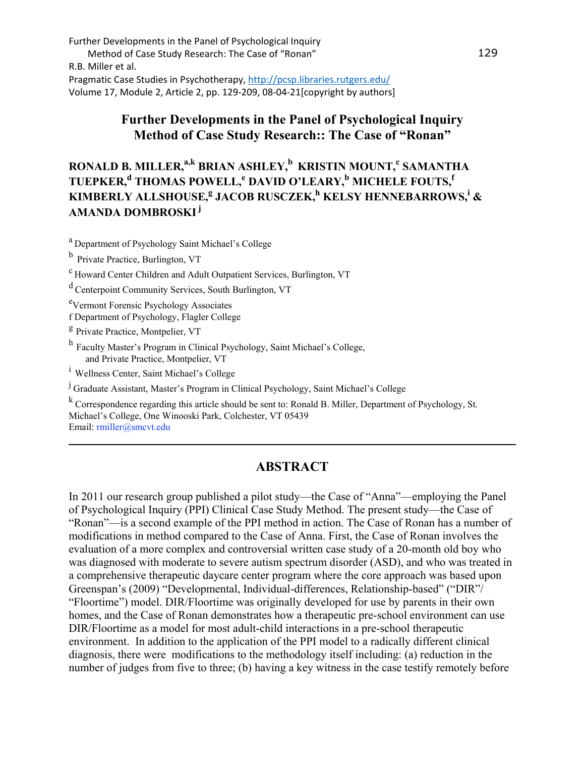# **Further Developments in the Panel of Psychological Inquiry Method of Case Study Research:: The Case of "Ronan"**

# **RONALD B. MILLER, a,k BRIAN ASHLEY, b KRISTIN MOUNT, <sup>c</sup> SAMANTHA TUEPKER, <sup>d</sup> THOMAS POWELL,<sup>e</sup> DAVID O'LEARY, <sup>b</sup> MICHELE FOUTS, f KIMBERLY ALLSHOUSE, <sup>g</sup> JACOB RUSCZEK, <sup>h</sup> KELSY HENNEBARROWS, <sup>i</sup> & AMANDA DOMBROSKI<sup>j</sup>**

<sup>a</sup> Department of Psychology Saint Michael's College

b Private Practice, Burlington, VT

<sup>c</sup> Howard Center Children and Adult Outpatient Services, Burlington, VT

<sup>d</sup> Centerpoint Community Services, South Burlington, VT

e<br>Vermont Forensic Psychology Associates

f Department of Psychology, Flagler College

<sup>g</sup> Private Practice, Montpelier, VT

<sup>h</sup> Faculty Master's Program in Clinical Psychology, Saint Michael's College, and Private Practice, Montpelier, VT

<sup>i</sup> Wellness Center, Saint Michael's College

 $\mu$  Graduate Assistant, Master's Program in Clinical Psychology, Saint Michael's College<br>k Correspondence regarding this article should be sent to: Ronald B. Miller, Department of Psychology, St. Michael's College, One Winooski Park, Colchester, VT 05439 Email: rmiller@smcvt.edu

\_\_\_\_\_\_\_\_\_\_\_\_\_\_\_\_\_\_\_\_\_\_\_\_\_\_\_\_\_\_\_\_\_\_\_\_\_\_\_\_\_\_\_\_\_\_\_\_\_\_\_\_\_\_\_\_\_\_\_\_\_\_\_\_\_\_\_\_\_\_\_\_\_\_

# **ABSTRACT**

In 2011 our research group published a pilot study—the Case of "Anna"—employing the Panel of Psychological Inquiry (PPI) Clinical Case Study Method. The present study—the Case of "Ronan"—is a second example of the PPI method in action. The Case of Ronan has a number of modifications in method compared to the Case of Anna. First, the Case of Ronan involves the evaluation of a more complex and controversial written case study of a 20-month old boy who was diagnosed with moderate to severe autism spectrum disorder (ASD), and who was treated in a comprehensive therapeutic daycare center program where the core approach was based upon Greenspan's (2009) "Developmental, Individual-differences, Relationship-based" ("DIR"/ "Floortime") model. DIR/Floortime was originally developed for use by parents in their own homes, and the Case of Ronan demonstrates how a therapeutic pre-school environment can use DIR/Floortime as a model for most adult-child interactions in a pre-school therapeutic environment. In addition to the application of the PPI model to a radically different clinical diagnosis, there were modifications to the methodology itself including: (a) reduction in the number of judges from five to three; (b) having a key witness in the case testify remotely before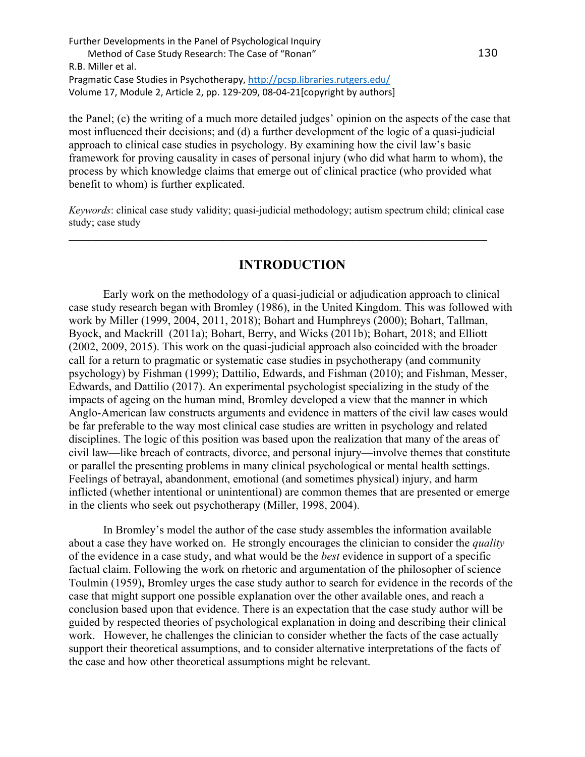the Panel; (c) the writing of a much more detailed judges' opinion on the aspects of the case that most influenced their decisions; and (d) a further development of the logic of a quasi-judicial approach to clinical case studies in psychology. By examining how the civil law's basic framework for proving causality in cases of personal injury (who did what harm to whom), the process by which knowledge claims that emerge out of clinical practice (who provided what benefit to whom) is further explicated.

*Keywords*: clinical case study validity; quasi-judicial methodology; autism spectrum child; clinical case study; case study

 $\mathcal{L}_\text{G} = \{ \mathcal{L}_\text{G} = \{ \mathcal{L}_\text{G} = \{ \mathcal{L}_\text{G} = \{ \mathcal{L}_\text{G} = \{ \mathcal{L}_\text{G} = \{ \mathcal{L}_\text{G} = \{ \mathcal{L}_\text{G} = \{ \mathcal{L}_\text{G} = \{ \mathcal{L}_\text{G} = \{ \mathcal{L}_\text{G} = \{ \mathcal{L}_\text{G} = \{ \mathcal{L}_\text{G} = \{ \mathcal{L}_\text{G} = \{ \mathcal{L}_\text{G} = \{ \mathcal{L}_\text{G$ 

# **INTRODUCTION**

Early work on the methodology of a quasi-judicial or adjudication approach to clinical case study research began with Bromley (1986), in the United Kingdom. This was followed with work by Miller (1999, 2004, 2011, 2018); Bohart and Humphreys (2000); Bohart, Tallman, Byock, and Mackrill (2011a); Bohart, Berry, and Wicks (2011b); Bohart, 2018; and Elliott (2002, 2009, 2015). This work on the quasi-judicial approach also coincided with the broader call for a return to pragmatic or systematic case studies in psychotherapy (and community psychology) by Fishman (1999); Dattilio, Edwards, and Fishman (2010); and Fishman, Messer, Edwards, and Dattilio (2017). An experimental psychologist specializing in the study of the impacts of ageing on the human mind, Bromley developed a view that the manner in which Anglo-American law constructs arguments and evidence in matters of the civil law cases would be far preferable to the way most clinical case studies are written in psychology and related disciplines. The logic of this position was based upon the realization that many of the areas of civil law—like breach of contracts, divorce, and personal injury—involve themes that constitute or parallel the presenting problems in many clinical psychological or mental health settings. Feelings of betrayal, abandonment, emotional (and sometimes physical) injury, and harm inflicted (whether intentional or unintentional) are common themes that are presented or emerge in the clients who seek out psychotherapy (Miller, 1998, 2004).

In Bromley's model the author of the case study assembles the information available about a case they have worked on. He strongly encourages the clinician to consider the *quality* of the evidence in a case study, and what would be the *best* evidence in support of a specific factual claim. Following the work on rhetoric and argumentation of the philosopher of science Toulmin (1959), Bromley urges the case study author to search for evidence in the records of the case that might support one possible explanation over the other available ones, and reach a conclusion based upon that evidence. There is an expectation that the case study author will be guided by respected theories of psychological explanation in doing and describing their clinical work. However, he challenges the clinician to consider whether the facts of the case actually support their theoretical assumptions, and to consider alternative interpretations of the facts of the case and how other theoretical assumptions might be relevant.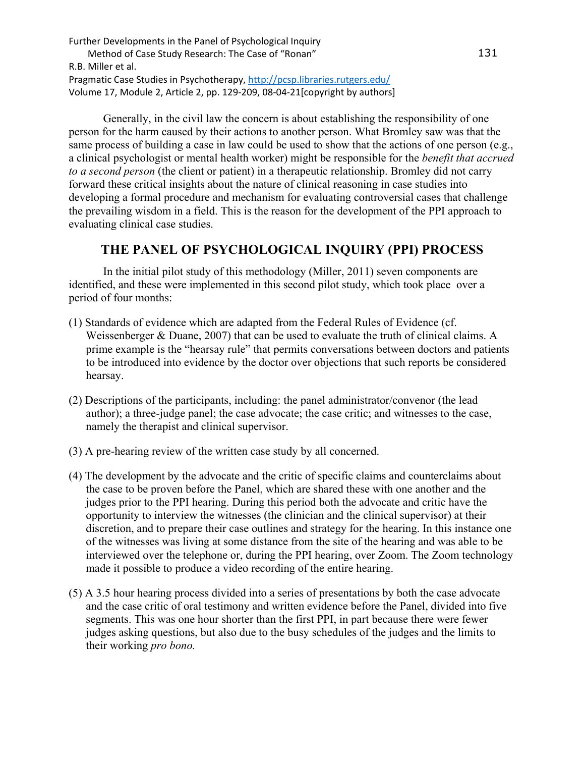Generally, in the civil law the concern is about establishing the responsibility of one person for the harm caused by their actions to another person. What Bromley saw was that the same process of building a case in law could be used to show that the actions of one person (e.g., a clinical psychologist or mental health worker) might be responsible for the *benefit that accrued to a second person* (the client or patient) in a therapeutic relationship. Bromley did not carry forward these critical insights about the nature of clinical reasoning in case studies into developing a formal procedure and mechanism for evaluating controversial cases that challenge the prevailing wisdom in a field. This is the reason for the development of the PPI approach to evaluating clinical case studies.

# **THE PANEL OF PSYCHOLOGICAL INQUIRY (PPI) PROCESS**

In the initial pilot study of this methodology (Miller, 2011) seven components are identified, and these were implemented in this second pilot study, which took place over a period of four months:

- (1) Standards of evidence which are adapted from the Federal Rules of Evidence (cf. Weissenberger & Duane, 2007) that can be used to evaluate the truth of clinical claims. A prime example is the "hearsay rule" that permits conversations between doctors and patients to be introduced into evidence by the doctor over objections that such reports be considered hearsay.
- (2) Descriptions of the participants, including: the panel administrator/convenor (the lead author); a three-judge panel; the case advocate; the case critic; and witnesses to the case, namely the therapist and clinical supervisor.
- (3) A pre-hearing review of the written case study by all concerned.
- (4) The development by the advocate and the critic of specific claims and counterclaims about the case to be proven before the Panel, which are shared these with one another and the judges prior to the PPI hearing. During this period both the advocate and critic have the opportunity to interview the witnesses (the clinician and the clinical supervisor) at their discretion, and to prepare their case outlines and strategy for the hearing. In this instance one of the witnesses was living at some distance from the site of the hearing and was able to be interviewed over the telephone or, during the PPI hearing, over Zoom. The Zoom technology made it possible to produce a video recording of the entire hearing.
- (5) A 3.5 hour hearing process divided into a series of presentations by both the case advocate and the case critic of oral testimony and written evidence before the Panel, divided into five segments. This was one hour shorter than the first PPI, in part because there were fewer judges asking questions, but also due to the busy schedules of the judges and the limits to their working *pro bono.*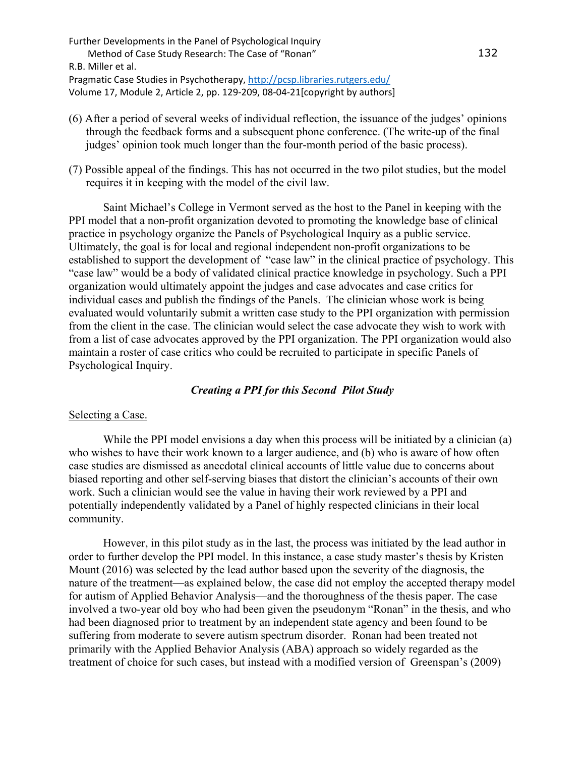- (6) After a period of several weeks of individual reflection, the issuance of the judges' opinions through the feedback forms and a subsequent phone conference. (The write-up of the final judges' opinion took much longer than the four-month period of the basic process).
- (7) Possible appeal of the findings. This has not occurred in the two pilot studies, but the model requires it in keeping with the model of the civil law.

Saint Michael's College in Vermont served as the host to the Panel in keeping with the PPI model that a non-profit organization devoted to promoting the knowledge base of clinical practice in psychology organize the Panels of Psychological Inquiry as a public service. Ultimately, the goal is for local and regional independent non-profit organizations to be established to support the development of "case law" in the clinical practice of psychology. This "case law" would be a body of validated clinical practice knowledge in psychology. Such a PPI organization would ultimately appoint the judges and case advocates and case critics for individual cases and publish the findings of the Panels. The clinician whose work is being evaluated would voluntarily submit a written case study to the PPI organization with permission from the client in the case. The clinician would select the case advocate they wish to work with from a list of case advocates approved by the PPI organization. The PPI organization would also maintain a roster of case critics who could be recruited to participate in specific Panels of Psychological Inquiry.

## *Creating a PPI for this Second Pilot Study*

### Selecting a Case.

While the PPI model envisions a day when this process will be initiated by a clinician (a) who wishes to have their work known to a larger audience, and (b) who is aware of how often case studies are dismissed as anecdotal clinical accounts of little value due to concerns about biased reporting and other self-serving biases that distort the clinician's accounts of their own work. Such a clinician would see the value in having their work reviewed by a PPI and potentially independently validated by a Panel of highly respected clinicians in their local community.

However, in this pilot study as in the last, the process was initiated by the lead author in order to further develop the PPI model. In this instance, a case study master's thesis by Kristen Mount (2016) was selected by the lead author based upon the severity of the diagnosis, the nature of the treatment—as explained below, the case did not employ the accepted therapy model for autism of Applied Behavior Analysis—and the thoroughness of the thesis paper. The case involved a two-year old boy who had been given the pseudonym "Ronan" in the thesis, and who had been diagnosed prior to treatment by an independent state agency and been found to be suffering from moderate to severe autism spectrum disorder. Ronan had been treated not primarily with the Applied Behavior Analysis (ABA) approach so widely regarded as the treatment of choice for such cases, but instead with a modified version of Greenspan's (2009)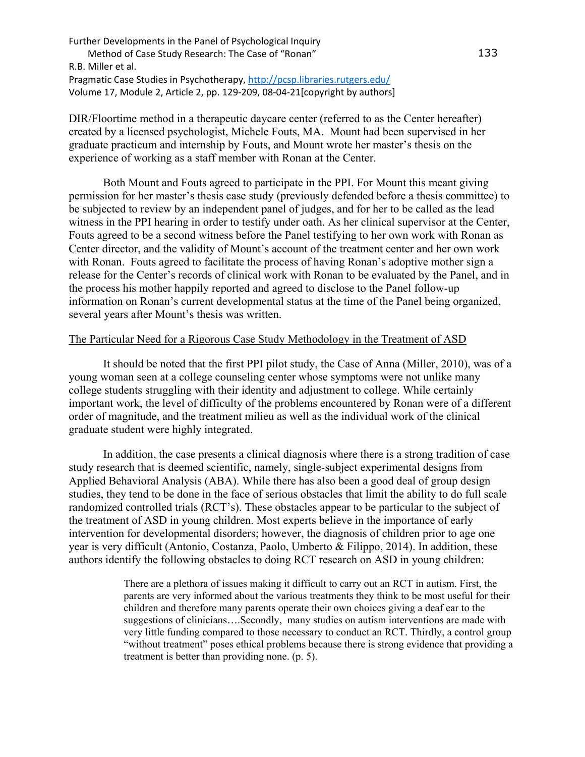DIR/Floortime method in a therapeutic daycare center (referred to as the Center hereafter) created by a licensed psychologist, Michele Fouts, MA. Mount had been supervised in her graduate practicum and internship by Fouts, and Mount wrote her master's thesis on the experience of working as a staff member with Ronan at the Center.

Both Mount and Fouts agreed to participate in the PPI. For Mount this meant giving permission for her master's thesis case study (previously defended before a thesis committee) to be subjected to review by an independent panel of judges, and for her to be called as the lead witness in the PPI hearing in order to testify under oath. As her clinical supervisor at the Center, Fouts agreed to be a second witness before the Panel testifying to her own work with Ronan as Center director, and the validity of Mount's account of the treatment center and her own work with Ronan. Fouts agreed to facilitate the process of having Ronan's adoptive mother sign a release for the Center's records of clinical work with Ronan to be evaluated by the Panel, and in the process his mother happily reported and agreed to disclose to the Panel follow-up information on Ronan's current developmental status at the time of the Panel being organized, several years after Mount's thesis was written.

### The Particular Need for a Rigorous Case Study Methodology in the Treatment of ASD

It should be noted that the first PPI pilot study, the Case of Anna (Miller, 2010), was of a young woman seen at a college counseling center whose symptoms were not unlike many college students struggling with their identity and adjustment to college. While certainly important work, the level of difficulty of the problems encountered by Ronan were of a different order of magnitude, and the treatment milieu as well as the individual work of the clinical graduate student were highly integrated.

In addition, the case presents a clinical diagnosis where there is a strong tradition of case study research that is deemed scientific, namely, single-subject experimental designs from Applied Behavioral Analysis (ABA). While there has also been a good deal of group design studies, they tend to be done in the face of serious obstacles that limit the ability to do full scale randomized controlled trials (RCT's). These obstacles appear to be particular to the subject of the treatment of ASD in young children. Most experts believe in the importance of early intervention for developmental disorders; however, the diagnosis of children prior to age one year is very difficult (Antonio, Costanza, Paolo, Umberto & Filippo, 2014). In addition, these authors identify the following obstacles to doing RCT research on ASD in young children:

> There are a plethora of issues making it difficult to carry out an RCT in autism. First, the parents are very informed about the various treatments they think to be most useful for their children and therefore many parents operate their own choices giving a deaf ear to the suggestions of clinicians….Secondly, many studies on autism interventions are made with very little funding compared to those necessary to conduct an RCT. Thirdly, a control group "without treatment" poses ethical problems because there is strong evidence that providing a treatment is better than providing none. (p. 5).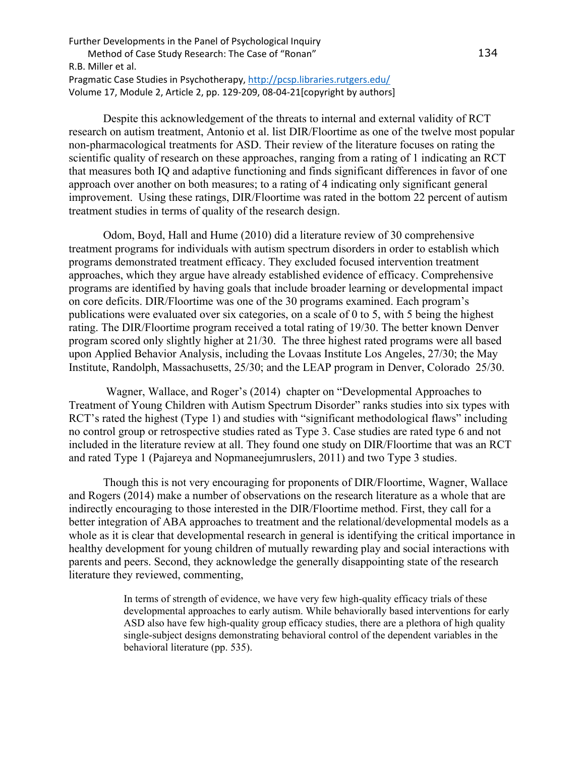Despite this acknowledgement of the threats to internal and external validity of RCT research on autism treatment, Antonio et al. list DIR/Floortime as one of the twelve most popular non-pharmacological treatments for ASD. Their review of the literature focuses on rating the scientific quality of research on these approaches, ranging from a rating of 1 indicating an RCT that measures both IQ and adaptive functioning and finds significant differences in favor of one approach over another on both measures; to a rating of 4 indicating only significant general improvement. Using these ratings, DIR/Floortime was rated in the bottom 22 percent of autism treatment studies in terms of quality of the research design.

Odom, Boyd, Hall and Hume (2010) did a literature review of 30 comprehensive treatment programs for individuals with autism spectrum disorders in order to establish which programs demonstrated treatment efficacy. They excluded focused intervention treatment approaches, which they argue have already established evidence of efficacy. Comprehensive programs are identified by having goals that include broader learning or developmental impact on core deficits. DIR/Floortime was one of the 30 programs examined. Each program's publications were evaluated over six categories, on a scale of 0 to 5, with 5 being the highest rating. The DIR/Floortime program received a total rating of 19/30. The better known Denver program scored only slightly higher at 21/30. The three highest rated programs were all based upon Applied Behavior Analysis, including the Lovaas Institute Los Angeles, 27/30; the May Institute, Randolph, Massachusetts, 25/30; and the LEAP program in Denver, Colorado 25/30.

Wagner, Wallace, and Roger's (2014) chapter on "Developmental Approaches to Treatment of Young Children with Autism Spectrum Disorder" ranks studies into six types with RCT's rated the highest (Type 1) and studies with "significant methodological flaws" including no control group or retrospective studies rated as Type 3. Case studies are rated type 6 and not included in the literature review at all. They found one study on DIR/Floortime that was an RCT and rated Type 1 (Pajareya and Nopmaneejumruslers, 2011) and two Type 3 studies.

Though this is not very encouraging for proponents of DIR/Floortime, Wagner, Wallace and Rogers (2014) make a number of observations on the research literature as a whole that are indirectly encouraging to those interested in the DIR/Floortime method. First, they call for a better integration of ABA approaches to treatment and the relational/developmental models as a whole as it is clear that developmental research in general is identifying the critical importance in healthy development for young children of mutually rewarding play and social interactions with parents and peers. Second, they acknowledge the generally disappointing state of the research literature they reviewed, commenting,

> In terms of strength of evidence, we have very few high-quality efficacy trials of these developmental approaches to early autism. While behaviorally based interventions for early ASD also have few high-quality group efficacy studies, there are a plethora of high quality single-subject designs demonstrating behavioral control of the dependent variables in the behavioral literature (pp. 535).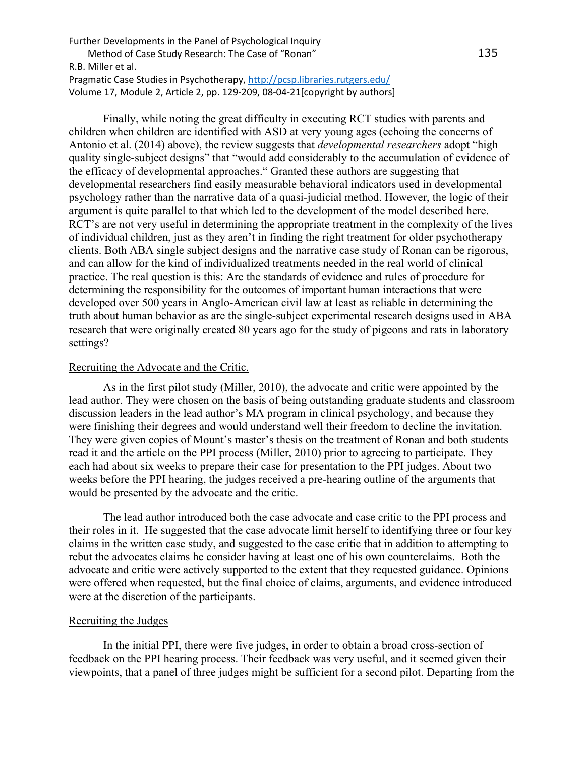Finally, while noting the great difficulty in executing RCT studies with parents and children when children are identified with ASD at very young ages (echoing the concerns of Antonio et al. (2014) above), the review suggests that *developmental researchers* adopt "high quality single-subject designs" that "would add considerably to the accumulation of evidence of the efficacy of developmental approaches." Granted these authors are suggesting that developmental researchers find easily measurable behavioral indicators used in developmental psychology rather than the narrative data of a quasi-judicial method. However, the logic of their argument is quite parallel to that which led to the development of the model described here. RCT's are not very useful in determining the appropriate treatment in the complexity of the lives of individual children, just as they aren't in finding the right treatment for older psychotherapy clients. Both ABA single subject designs and the narrative case study of Ronan can be rigorous, and can allow for the kind of individualized treatments needed in the real world of clinical practice. The real question is this: Are the standards of evidence and rules of procedure for determining the responsibility for the outcomes of important human interactions that were developed over 500 years in Anglo-American civil law at least as reliable in determining the truth about human behavior as are the single-subject experimental research designs used in ABA research that were originally created 80 years ago for the study of pigeons and rats in laboratory settings?

### Recruiting the Advocate and the Critic.

As in the first pilot study (Miller, 2010), the advocate and critic were appointed by the lead author. They were chosen on the basis of being outstanding graduate students and classroom discussion leaders in the lead author's MA program in clinical psychology, and because they were finishing their degrees and would understand well their freedom to decline the invitation. They were given copies of Mount's master's thesis on the treatment of Ronan and both students read it and the article on the PPI process (Miller, 2010) prior to agreeing to participate. They each had about six weeks to prepare their case for presentation to the PPI judges. About two weeks before the PPI hearing, the judges received a pre-hearing outline of the arguments that would be presented by the advocate and the critic.

The lead author introduced both the case advocate and case critic to the PPI process and their roles in it. He suggested that the case advocate limit herself to identifying three or four key claims in the written case study, and suggested to the case critic that in addition to attempting to rebut the advocates claims he consider having at least one of his own counterclaims. Both the advocate and critic were actively supported to the extent that they requested guidance. Opinions were offered when requested, but the final choice of claims, arguments, and evidence introduced were at the discretion of the participants.

#### Recruiting the Judges

In the initial PPI, there were five judges, in order to obtain a broad cross-section of feedback on the PPI hearing process. Their feedback was very useful, and it seemed given their viewpoints, that a panel of three judges might be sufficient for a second pilot. Departing from the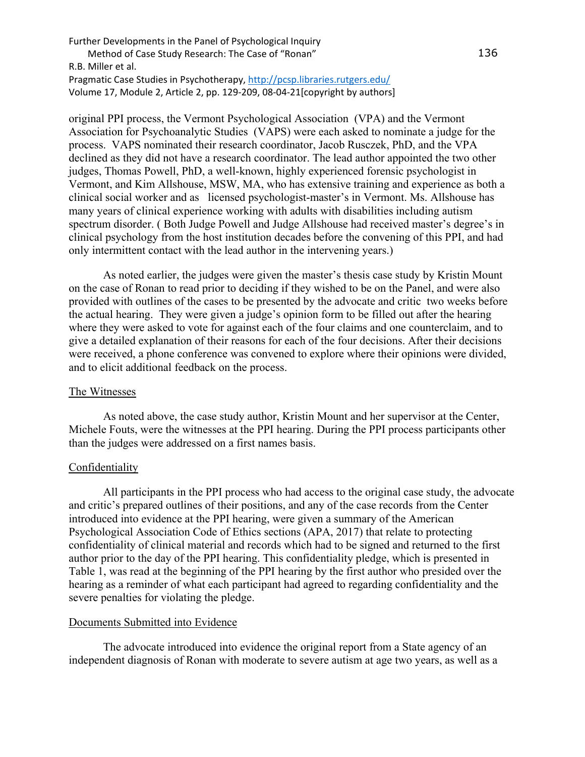original PPI process, the Vermont Psychological Association (VPA) and the Vermont Association for Psychoanalytic Studies (VAPS) were each asked to nominate a judge for the process. VAPS nominated their research coordinator, Jacob Rusczek, PhD, and the VPA declined as they did not have a research coordinator. The lead author appointed the two other judges, Thomas Powell, PhD, a well-known, highly experienced forensic psychologist in Vermont, and Kim Allshouse, MSW, MA, who has extensive training and experience as both a clinical social worker and as licensed psychologist-master's in Vermont. Ms. Allshouse has many years of clinical experience working with adults with disabilities including autism spectrum disorder. ( Both Judge Powell and Judge Allshouse had received master's degree's in clinical psychology from the host institution decades before the convening of this PPI, and had only intermittent contact with the lead author in the intervening years.)

As noted earlier, the judges were given the master's thesis case study by Kristin Mount on the case of Ronan to read prior to deciding if they wished to be on the Panel, and were also provided with outlines of the cases to be presented by the advocate and critic two weeks before the actual hearing. They were given a judge's opinion form to be filled out after the hearing where they were asked to vote for against each of the four claims and one counterclaim, and to give a detailed explanation of their reasons for each of the four decisions. After their decisions were received, a phone conference was convened to explore where their opinions were divided, and to elicit additional feedback on the process.

#### The Witnesses

As noted above, the case study author, Kristin Mount and her supervisor at the Center, Michele Fouts, were the witnesses at the PPI hearing. During the PPI process participants other than the judges were addressed on a first names basis.

## **Confidentiality**

All participants in the PPI process who had access to the original case study, the advocate and critic's prepared outlines of their positions, and any of the case records from the Center introduced into evidence at the PPI hearing, were given a summary of the American Psychological Association Code of Ethics sections (APA, 2017) that relate to protecting confidentiality of clinical material and records which had to be signed and returned to the first author prior to the day of the PPI hearing. This confidentiality pledge, which is presented in Table 1, was read at the beginning of the PPI hearing by the first author who presided over the hearing as a reminder of what each participant had agreed to regarding confidentiality and the severe penalties for violating the pledge.

#### Documents Submitted into Evidence

The advocate introduced into evidence the original report from a State agency of an independent diagnosis of Ronan with moderate to severe autism at age two years, as well as a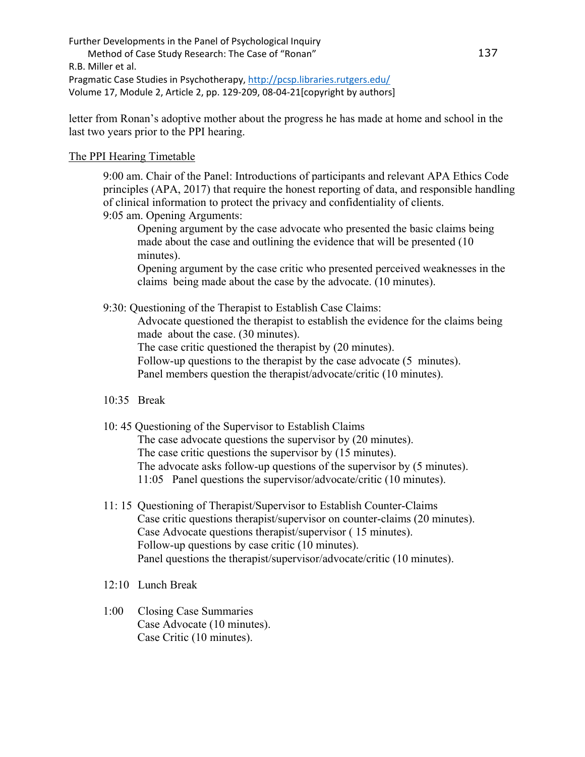letter from Ronan's adoptive mother about the progress he has made at home and school in the last two years prior to the PPI hearing.

## The PPI Hearing Timetable

9:00 am. Chair of the Panel: Introductions of participants and relevant APA Ethics Code principles (APA, 2017) that require the honest reporting of data, and responsible handling of clinical information to protect the privacy and confidentiality of clients. 9:05 am. Opening Arguments:

Opening argument by the case advocate who presented the basic claims being made about the case and outlining the evidence that will be presented (10 minutes).

Opening argument by the case critic who presented perceived weaknesses in the claims being made about the case by the advocate. (10 minutes).

9:30: Questioning of the Therapist to Establish Case Claims:

Advocate questioned the therapist to establish the evidence for the claims being made about the case. (30 minutes).

The case critic questioned the therapist by (20 minutes).

Follow-up questions to the therapist by the case advocate (5 minutes).

Panel members question the therapist/advocate/critic (10 minutes).

- 10:35 Break
- 10: 45 Questioning of the Supervisor to Establish Claims The case advocate questions the supervisor by (20 minutes). The case critic questions the supervisor by (15 minutes). The advocate asks follow-up questions of the supervisor by (5 minutes). 11:05 Panel questions the supervisor/advocate/critic (10 minutes).
- 11: 15 Questioning of Therapist/Supervisor to Establish Counter-Claims Case critic questions therapist/supervisor on counter-claims (20 minutes). Case Advocate questions therapist/supervisor ( 15 minutes). Follow-up questions by case critic (10 minutes). Panel questions the therapist/supervisor/advocate/critic (10 minutes).
- 12:10 Lunch Break
- 1:00 Closing Case Summaries Case Advocate (10 minutes). Case Critic (10 minutes).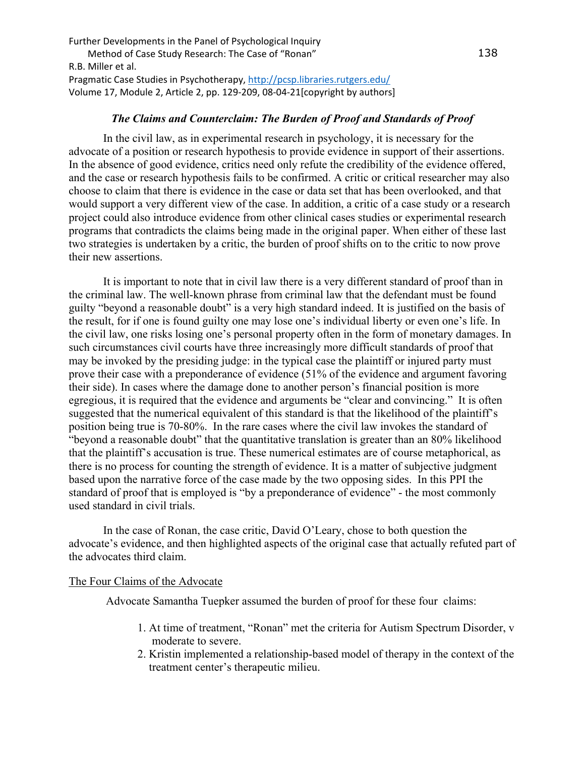## *The Claims and Counterclaim: The Burden of Proof and Standards of Proof*

In the civil law, as in experimental research in psychology, it is necessary for the advocate of a position or research hypothesis to provide evidence in support of their assertions. In the absence of good evidence, critics need only refute the credibility of the evidence offered, and the case or research hypothesis fails to be confirmed. A critic or critical researcher may also choose to claim that there is evidence in the case or data set that has been overlooked, and that would support a very different view of the case. In addition, a critic of a case study or a research project could also introduce evidence from other clinical cases studies or experimental research programs that contradicts the claims being made in the original paper. When either of these last two strategies is undertaken by a critic, the burden of proof shifts on to the critic to now prove their new assertions.

It is important to note that in civil law there is a very different standard of proof than in the criminal law. The well-known phrase from criminal law that the defendant must be found guilty "beyond a reasonable doubt" is a very high standard indeed. It is justified on the basis of the result, for if one is found guilty one may lose one's individual liberty or even one's life. In the civil law, one risks losing one's personal property often in the form of monetary damages. In such circumstances civil courts have three increasingly more difficult standards of proof that may be invoked by the presiding judge: in the typical case the plaintiff or injured party must prove their case with a preponderance of evidence (51% of the evidence and argument favoring their side). In cases where the damage done to another person's financial position is more egregious, it is required that the evidence and arguments be "clear and convincing." It is often suggested that the numerical equivalent of this standard is that the likelihood of the plaintiff's position being true is 70-80%. In the rare cases where the civil law invokes the standard of "beyond a reasonable doubt" that the quantitative translation is greater than an 80% likelihood that the plaintiff's accusation is true. These numerical estimates are of course metaphorical, as there is no process for counting the strength of evidence. It is a matter of subjective judgment based upon the narrative force of the case made by the two opposing sides. In this PPI the standard of proof that is employed is "by a preponderance of evidence" - the most commonly used standard in civil trials.

 In the case of Ronan, the case critic, David O'Leary, chose to both question the advocate's evidence, and then highlighted aspects of the original case that actually refuted part of the advocates third claim.

#### The Four Claims of the Advocate

Advocate Samantha Tuepker assumed the burden of proof for these four claims:

- 1. At time of treatment, "Ronan" met the criteria for Autism Spectrum Disorder, v moderate to severe.
- 2. Kristin implemented a relationship-based model of therapy in the context of the treatment center's therapeutic milieu.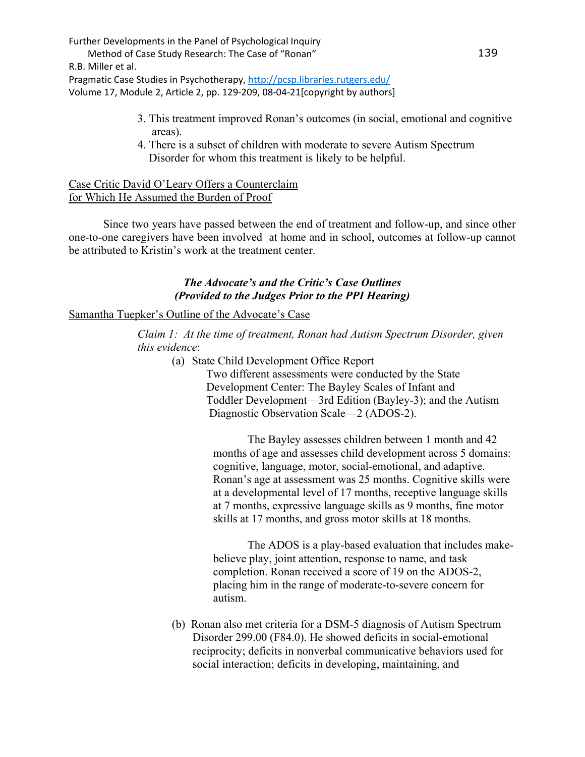Further Developments in the Panel of Psychological Inquiry

 Method of Case Study Research: The Case of "Ronan" R.B. Miller et al. Pragmatic Case Studies in Psychotherapy,<http://pcsp.libraries.rutgers.edu/>

Volume 17, Module 2, Article 2, pp. 129-209, 08-04-21[copyright by authors]

- 3. This treatment improved Ronan's outcomes (in social, emotional and cognitive areas).
- 4. There is a subset of children with moderate to severe Autism Spectrum Disorder for whom this treatment is likely to be helpful.

## Case Critic David O'Leary Offers a Counterclaim for Which He Assumed the Burden of Proof

Since two years have passed between the end of treatment and follow-up, and since other one-to-one caregivers have been involved at home and in school, outcomes at follow-up cannot be attributed to Kristin's work at the treatment center.

## *The Advocate's and the Critic's Case Outlines (Provided to the Judges Prior to the PPI Hearing)*

## Samantha Tuepker's Outline of the Advocate's Case

*Claim 1: At the time of treatment, Ronan had Autism Spectrum Disorder, given this evidence*:

(a) State Child Development Office Report

Two different assessments were conducted by the State Development Center: The Bayley Scales of Infant and Toddler Development—3rd Edition (Bayley-3); and the Autism Diagnostic Observation Scale—2 (ADOS-2).

The Bayley assesses children between 1 month and 42 months of age and assesses child development across 5 domains: cognitive, language, motor, social-emotional, and adaptive. Ronan's age at assessment was 25 months. Cognitive skills were at a developmental level of 17 months, receptive language skills at 7 months, expressive language skills as 9 months, fine motor skills at 17 months, and gross motor skills at 18 months.

The ADOS is a play-based evaluation that includes makebelieve play, joint attention, response to name, and task completion. Ronan received a score of 19 on the ADOS-2, placing him in the range of moderate-to-severe concern for autism.

(b) Ronan also met criteria for a DSM-5 diagnosis of Autism Spectrum Disorder 299.00 (F84.0). He showed deficits in social-emotional reciprocity; deficits in nonverbal communicative behaviors used for social interaction; deficits in developing, maintaining, and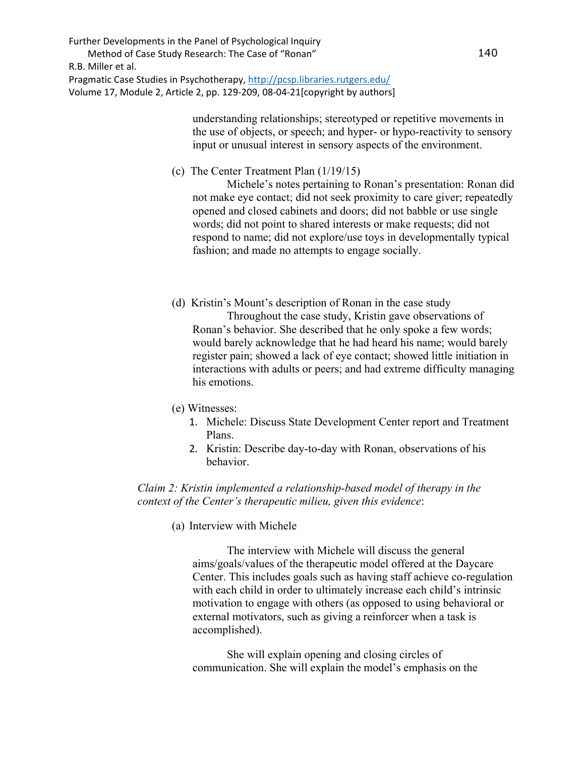> understanding relationships; stereotyped or repetitive movements in the use of objects, or speech; and hyper- or hypo-reactivity to sensory input or unusual interest in sensory aspects of the environment.

(c) The Center Treatment Plan (1/19/15)

Michele's notes pertaining to Ronan's presentation: Ronan did not make eye contact; did not seek proximity to care giver; repeatedly opened and closed cabinets and doors; did not babble or use single words; did not point to shared interests or make requests; did not respond to name; did not explore/use toys in developmentally typical fashion; and made no attempts to engage socially.

- (d) Kristin's Mount's description of Ronan in the case study Throughout the case study, Kristin gave observations of Ronan's behavior. She described that he only spoke a few words; would barely acknowledge that he had heard his name; would barely register pain; showed a lack of eye contact; showed little initiation in interactions with adults or peers; and had extreme difficulty managing his emotions.
- (e) Witnesses:
	- 1. Michele: Discuss State Development Center report and Treatment Plans.
	- 2. Kristin: Describe day-to-day with Ronan, observations of his behavior.

*Claim 2: Kristin implemented a relationship-based model of therapy in the context of the Center's therapeutic milieu, given this evidence*:

(a) Interview with Michele

The interview with Michele will discuss the general aims/goals/values of the therapeutic model offered at the Daycare Center. This includes goals such as having staff achieve co-regulation with each child in order to ultimately increase each child's intrinsic motivation to engage with others (as opposed to using behavioral or external motivators, such as giving a reinforcer when a task is accomplished).

She will explain opening and closing circles of communication. She will explain the model's emphasis on the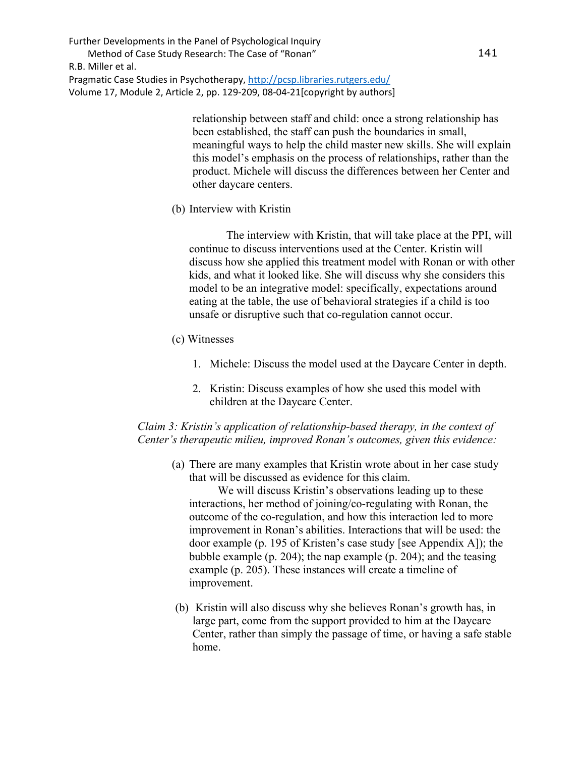> relationship between staff and child: once a strong relationship has been established, the staff can push the boundaries in small, meaningful ways to help the child master new skills. She will explain this model's emphasis on the process of relationships, rather than the product. Michele will discuss the differences between her Center and other daycare centers.

(b) Interview with Kristin

 The interview with Kristin, that will take place at the PPI, will continue to discuss interventions used at the Center. Kristin will discuss how she applied this treatment model with Ronan or with other kids, and what it looked like. She will discuss why she considers this model to be an integrative model: specifically, expectations around eating at the table, the use of behavioral strategies if a child is too unsafe or disruptive such that co-regulation cannot occur.

- (c) Witnesses
	- 1. Michele: Discuss the model used at the Daycare Center in depth.
	- 2. Kristin: Discuss examples of how she used this model with children at the Daycare Center.

### *Claim 3: Kristin's application of relationship-based therapy, in the context of Center's therapeutic milieu, improved Ronan's outcomes, given this evidence:*

(a) There are many examples that Kristin wrote about in her case study that will be discussed as evidence for this claim.

 We will discuss Kristin's observations leading up to these interactions, her method of joining/co-regulating with Ronan, the outcome of the co-regulation, and how this interaction led to more improvement in Ronan's abilities. Interactions that will be used: the door example (p. 195 of Kristen's case study [see Appendix A]); the bubble example (p. 204); the nap example (p. 204); and the teasing example (p. 205). These instances will create a timeline of improvement.

(b) Kristin will also discuss why she believes Ronan's growth has, in large part, come from the support provided to him at the Daycare Center, rather than simply the passage of time, or having a safe stable home.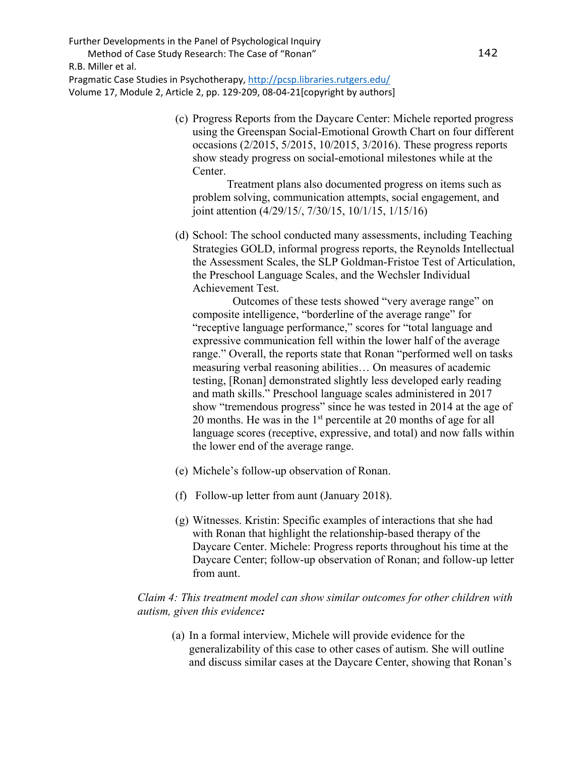Further Developments in the Panel of Psychological Inquiry

 Method of Case Study Research: The Case of "Ronan" R.B. Miller et al.

Pragmatic Case Studies in Psychotherapy,<http://pcsp.libraries.rutgers.edu/> Volume 17, Module 2, Article 2, pp. 129-209, 08-04-21[copyright by authors]

> (c) Progress Reports from the Daycare Center: Michele reported progress using the Greenspan Social-Emotional Growth Chart on four different occasions (2/2015, 5/2015, 10/2015, 3/2016). These progress reports show steady progress on social-emotional milestones while at the Center.

 Treatment plans also documented progress on items such as problem solving, communication attempts, social engagement, and joint attention (4/29/15/, 7/30/15, 10/1/15, 1/15/16)

(d) School: The school conducted many assessments, including Teaching Strategies GOLD, informal progress reports, the Reynolds Intellectual the Assessment Scales, the SLP Goldman-Fristoe Test of Articulation, the Preschool Language Scales, and the Wechsler Individual Achievement Test.

 Outcomes of these tests showed "very average range" on composite intelligence, "borderline of the average range" for "receptive language performance," scores for "total language and expressive communication fell within the lower half of the average range." Overall, the reports state that Ronan "performed well on tasks measuring verbal reasoning abilities… On measures of academic testing, [Ronan] demonstrated slightly less developed early reading and math skills." Preschool language scales administered in 2017 show "tremendous progress" since he was tested in 2014 at the age of 20 months. He was in the  $1<sup>st</sup>$  percentile at 20 months of age for all language scores (receptive, expressive, and total) and now falls within the lower end of the average range.

- (e) Michele's follow-up observation of Ronan.
- (f) Follow-up letter from aunt (January 2018).
- (g) Witnesses. Kristin: Specific examples of interactions that she had with Ronan that highlight the relationship-based therapy of the Daycare Center. Michele: Progress reports throughout his time at the Daycare Center; follow-up observation of Ronan; and follow-up letter from aunt.

## *Claim 4: This treatment model can show similar outcomes for other children with autism, given this evidence:*

(a) In a formal interview, Michele will provide evidence for the generalizability of this case to other cases of autism. She will outline and discuss similar cases at the Daycare Center, showing that Ronan's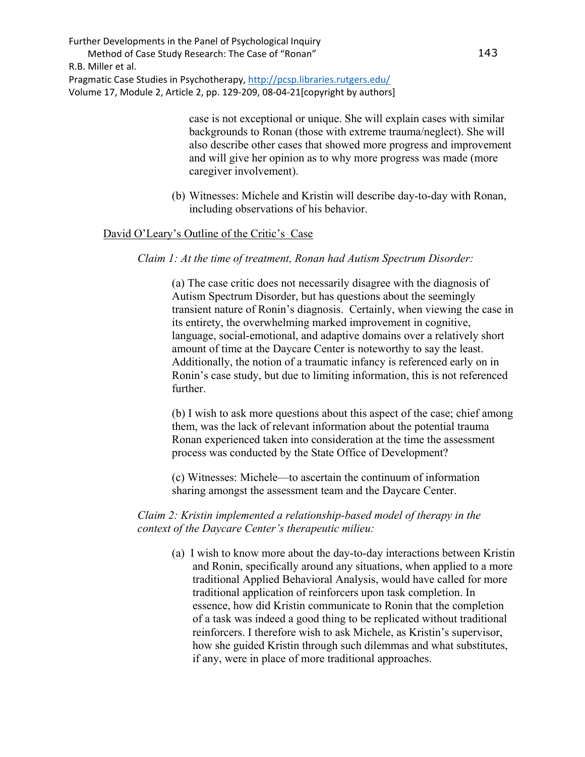> case is not exceptional or unique. She will explain cases with similar backgrounds to Ronan (those with extreme trauma/neglect). She will also describe other cases that showed more progress and improvement and will give her opinion as to why more progress was made (more caregiver involvement).

(b) Witnesses: Michele and Kristin will describe day-to-day with Ronan, including observations of his behavior.

#### David O'Leary's Outline of the Critic's Case

*Claim 1: At the time of treatment, Ronan had Autism Spectrum Disorder:* 

(a) The case critic does not necessarily disagree with the diagnosis of Autism Spectrum Disorder, but has questions about the seemingly transient nature of Ronin's diagnosis. Certainly, when viewing the case in its entirety, the overwhelming marked improvement in cognitive, language, social-emotional, and adaptive domains over a relatively short amount of time at the Daycare Center is noteworthy to say the least. Additionally, the notion of a traumatic infancy is referenced early on in Ronin's case study, but due to limiting information, this is not referenced further.

(b) I wish to ask more questions about this aspect of the case; chief among them, was the lack of relevant information about the potential trauma Ronan experienced taken into consideration at the time the assessment process was conducted by the State Office of Development?

(c) Witnesses: Michele—to ascertain the continuum of information sharing amongst the assessment team and the Daycare Center.

*Claim 2: Kristin implemented a relationship-based model of therapy in the context of the Daycare Center's therapeutic milieu:* 

(a) I wish to know more about the day-to-day interactions between Kristin and Ronin, specifically around any situations, when applied to a more traditional Applied Behavioral Analysis, would have called for more traditional application of reinforcers upon task completion. In essence, how did Kristin communicate to Ronin that the completion of a task was indeed a good thing to be replicated without traditional reinforcers. I therefore wish to ask Michele, as Kristin's supervisor, how she guided Kristin through such dilemmas and what substitutes, if any, were in place of more traditional approaches.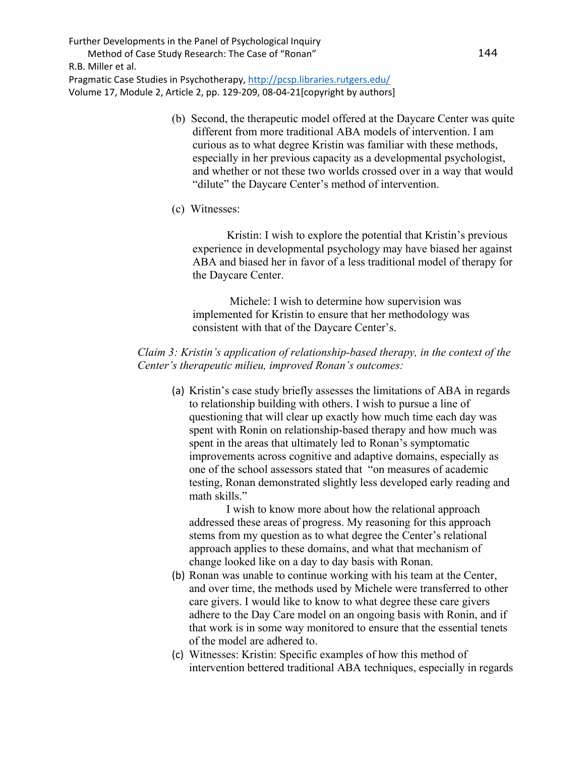Further Developments in the Panel of Psychological Inquiry

 Method of Case Study Research: The Case of "Ronan" R.B. Miller et al.

Pragmatic Case Studies in Psychotherapy,<http://pcsp.libraries.rutgers.edu/> Volume 17, Module 2, Article 2, pp. 129-209, 08-04-21[copyright by authors]

- (b) Second, the therapeutic model offered at the Daycare Center was quite different from more traditional ABA models of intervention. I am curious as to what degree Kristin was familiar with these methods, especially in her previous capacity as a developmental psychologist, and whether or not these two worlds crossed over in a way that would "dilute" the Daycare Center's method of intervention.
- (c) Witnesses:

 Kristin: I wish to explore the potential that Kristin's previous experience in developmental psychology may have biased her against ABA and biased her in favor of a less traditional model of therapy for the Daycare Center.

 Michele: I wish to determine how supervision was implemented for Kristin to ensure that her methodology was consistent with that of the Daycare Center's.

## *Claim 3: Kristin's application of relationship-based therapy, in the context of the Center's therapeutic milieu, improved Ronan's outcomes:*

(a) Kristin's case study briefly assesses the limitations of ABA in regards to relationship building with others. I wish to pursue a line of questioning that will clear up exactly how much time each day was spent with Ronin on relationship-based therapy and how much was spent in the areas that ultimately led to Ronan's symptomatic improvements across cognitive and adaptive domains, especially as one of the school assessors stated that "on measures of academic testing, Ronan demonstrated slightly less developed early reading and math skills."

 I wish to know more about how the relational approach addressed these areas of progress. My reasoning for this approach stems from my question as to what degree the Center's relational approach applies to these domains, and what that mechanism of change looked like on a day to day basis with Ronan.

- (b) Ronan was unable to continue working with his team at the Center, and over time, the methods used by Michele were transferred to other care givers. I would like to know to what degree these care givers adhere to the Day Care model on an ongoing basis with Ronin, and if that work is in some way monitored to ensure that the essential tenets of the model are adhered to.
- (c) Witnesses: Kristin: Specific examples of how this method of intervention bettered traditional ABA techniques, especially in regards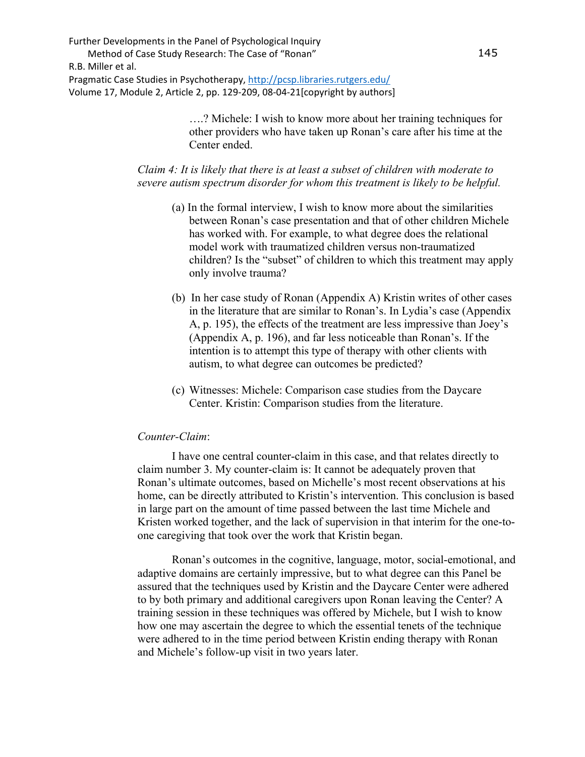> ….? Michele: I wish to know more about her training techniques for other providers who have taken up Ronan's care after his time at the Center ended.

*Claim 4: It is likely that there is at least a subset of children with moderate to severe autism spectrum disorder for whom this treatment is likely to be helpful.*

- (a) In the formal interview, I wish to know more about the similarities between Ronan's case presentation and that of other children Michele has worked with. For example, to what degree does the relational model work with traumatized children versus non-traumatized children? Is the "subset" of children to which this treatment may apply only involve trauma?
- (b) In her case study of Ronan (Appendix A) Kristin writes of other cases in the literature that are similar to Ronan's. In Lydia's case (Appendix A, p. 195), the effects of the treatment are less impressive than Joey's (Appendix A, p. 196), and far less noticeable than Ronan's. If the intention is to attempt this type of therapy with other clients with autism, to what degree can outcomes be predicted?
- (c) Witnesses: Michele: Comparison case studies from the Daycare Center. Kristin: Comparison studies from the literature.

#### *Counter-Claim*:

I have one central counter-claim in this case, and that relates directly to claim number 3. My counter-claim is: It cannot be adequately proven that Ronan's ultimate outcomes, based on Michelle's most recent observations at his home, can be directly attributed to Kristin's intervention. This conclusion is based in large part on the amount of time passed between the last time Michele and Kristen worked together, and the lack of supervision in that interim for the one-toone caregiving that took over the work that Kristin began.

Ronan's outcomes in the cognitive, language, motor, social-emotional, and adaptive domains are certainly impressive, but to what degree can this Panel be assured that the techniques used by Kristin and the Daycare Center were adhered to by both primary and additional caregivers upon Ronan leaving the Center? A training session in these techniques was offered by Michele, but I wish to know how one may ascertain the degree to which the essential tenets of the technique were adhered to in the time period between Kristin ending therapy with Ronan and Michele's follow-up visit in two years later.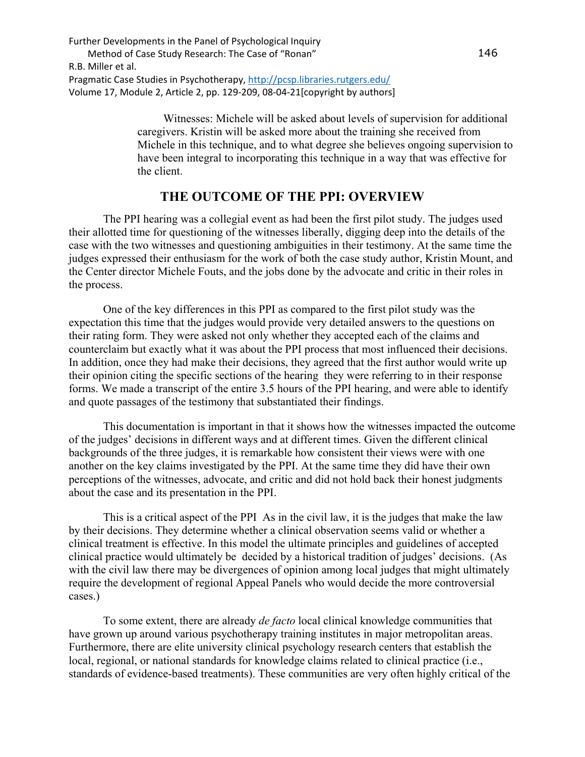> Witnesses: Michele will be asked about levels of supervision for additional caregivers. Kristin will be asked more about the training she received from Michele in this technique, and to what degree she believes ongoing supervision to have been integral to incorporating this technique in a way that was effective for the client.

# **THE OUTCOME OF THE PPI: OVERVIEW**

 The PPI hearing was a collegial event as had been the first pilot study. The judges used their allotted time for questioning of the witnesses liberally, digging deep into the details of the case with the two witnesses and questioning ambiguities in their testimony. At the same time the judges expressed their enthusiasm for the work of both the case study author, Kristin Mount, and the Center director Michele Fouts, and the jobs done by the advocate and critic in their roles in the process.

One of the key differences in this PPI as compared to the first pilot study was the expectation this time that the judges would provide very detailed answers to the questions on their rating form. They were asked not only whether they accepted each of the claims and counterclaim but exactly what it was about the PPI process that most influenced their decisions. In addition, once they had make their decisions, they agreed that the first author would write up their opinion citing the specific sections of the hearing they were referring to in their response forms. We made a transcript of the entire 3.5 hours of the PPI hearing, and were able to identify and quote passages of the testimony that substantiated their findings.

 This documentation is important in that it shows how the witnesses impacted the outcome of the judges' decisions in different ways and at different times. Given the different clinical backgrounds of the three judges, it is remarkable how consistent their views were with one another on the key claims investigated by the PPI. At the same time they did have their own perceptions of the witnesses, advocate, and critic and did not hold back their honest judgments about the case and its presentation in the PPI.

This is a critical aspect of the PPI As in the civil law, it is the judges that make the law by their decisions. They determine whether a clinical observation seems valid or whether a clinical treatment is effective. In this model the ultimate principles and guidelines of accepted clinical practice would ultimately be decided by a historical tradition of judges' decisions. (As with the civil law there may be divergences of opinion among local judges that might ultimately require the development of regional Appeal Panels who would decide the more controversial cases.)

To some extent, there are already *de facto* local clinical knowledge communities that have grown up around various psychotherapy training institutes in major metropolitan areas. Furthermore, there are elite university clinical psychology research centers that establish the local, regional, or national standards for knowledge claims related to clinical practice (i.e., standards of evidence-based treatments). These communities are very often highly critical of the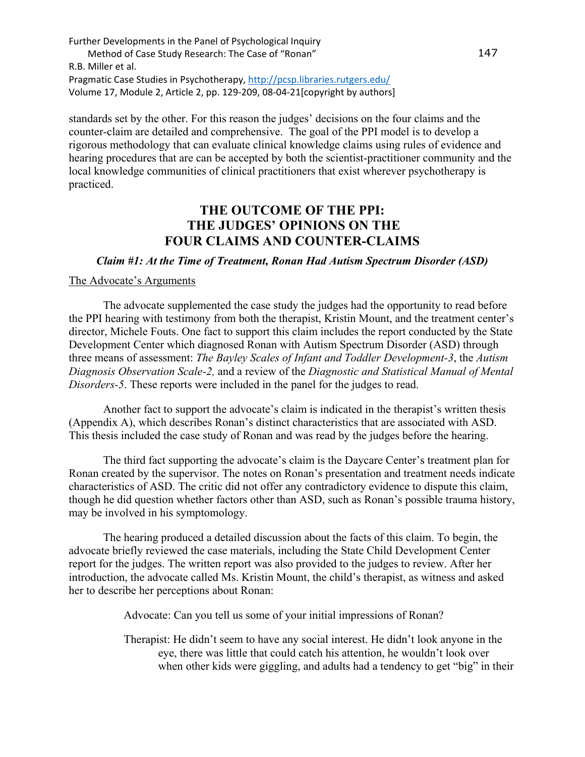standards set by the other. For this reason the judges' decisions on the four claims and the counter-claim are detailed and comprehensive. The goal of the PPI model is to develop a rigorous methodology that can evaluate clinical knowledge claims using rules of evidence and hearing procedures that are can be accepted by both the scientist-practitioner community and the local knowledge communities of clinical practitioners that exist wherever psychotherapy is practiced.

# **THE OUTCOME OF THE PPI: THE JUDGES' OPINIONS ON THE FOUR CLAIMS AND COUNTER-CLAIMS**

*Claim #1: At the Time of Treatment, Ronan Had Autism Spectrum Disorder (ASD)*

#### The Advocate's Arguments

The advocate supplemented the case study the judges had the opportunity to read before the PPI hearing with testimony from both the therapist, Kristin Mount, and the treatment center's director, Michele Fouts. One fact to support this claim includes the report conducted by the State Development Center which diagnosed Ronan with Autism Spectrum Disorder (ASD) through three means of assessment: *The Bayley Scales of Infant and Toddler Development-3*, the *Autism Diagnosis Observation Scale-2,* and a review of the *Diagnostic and Statistical Manual of Mental Disorders-5*. These reports were included in the panel for the judges to read.

Another fact to support the advocate's claim is indicated in the therapist's written thesis (Appendix A), which describes Ronan's distinct characteristics that are associated with ASD. This thesis included the case study of Ronan and was read by the judges before the hearing.

The third fact supporting the advocate's claim is the Daycare Center's treatment plan for Ronan created by the supervisor. The notes on Ronan's presentation and treatment needs indicate characteristics of ASD. The critic did not offer any contradictory evidence to dispute this claim, though he did question whether factors other than ASD, such as Ronan's possible trauma history, may be involved in his symptomology.

The hearing produced a detailed discussion about the facts of this claim. To begin, the advocate briefly reviewed the case materials, including the State Child Development Center report for the judges. The written report was also provided to the judges to review. After her introduction, the advocate called Ms. Kristin Mount, the child's therapist, as witness and asked her to describe her perceptions about Ronan:

Advocate: Can you tell us some of your initial impressions of Ronan?

Therapist: He didn't seem to have any social interest. He didn't look anyone in the eye, there was little that could catch his attention, he wouldn't look over when other kids were giggling, and adults had a tendency to get "big" in their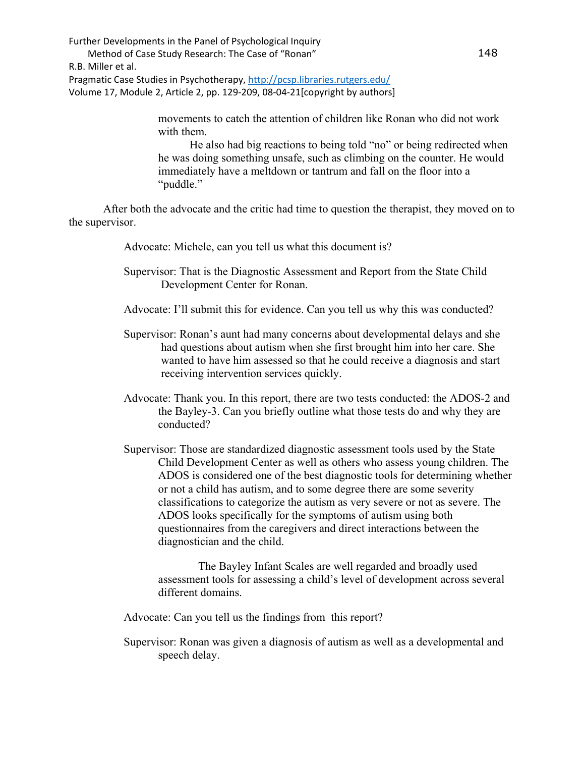> movements to catch the attention of children like Ronan who did not work with them.

 He also had big reactions to being told "no" or being redirected when he was doing something unsafe, such as climbing on the counter. He would immediately have a meltdown or tantrum and fall on the floor into a "puddle."

After both the advocate and the critic had time to question the therapist, they moved on to the supervisor.

Advocate: Michele, can you tell us what this document is?

Supervisor: That is the Diagnostic Assessment and Report from the State Child Development Center for Ronan.

Advocate: I'll submit this for evidence. Can you tell us why this was conducted?

- Supervisor: Ronan's aunt had many concerns about developmental delays and she had questions about autism when she first brought him into her care. She wanted to have him assessed so that he could receive a diagnosis and start receiving intervention services quickly.
- Advocate: Thank you. In this report, there are two tests conducted: the ADOS-2 and the Bayley-3. Can you briefly outline what those tests do and why they are conducted?
- Supervisor: Those are standardized diagnostic assessment tools used by the State Child Development Center as well as others who assess young children. The ADOS is considered one of the best diagnostic tools for determining whether or not a child has autism, and to some degree there are some severity classifications to categorize the autism as very severe or not as severe. The ADOS looks specifically for the symptoms of autism using both questionnaires from the caregivers and direct interactions between the diagnostician and the child.

 The Bayley Infant Scales are well regarded and broadly used assessment tools for assessing a child's level of development across several different domains.

Advocate: Can you tell us the findings from this report?

Supervisor: Ronan was given a diagnosis of autism as well as a developmental and speech delay.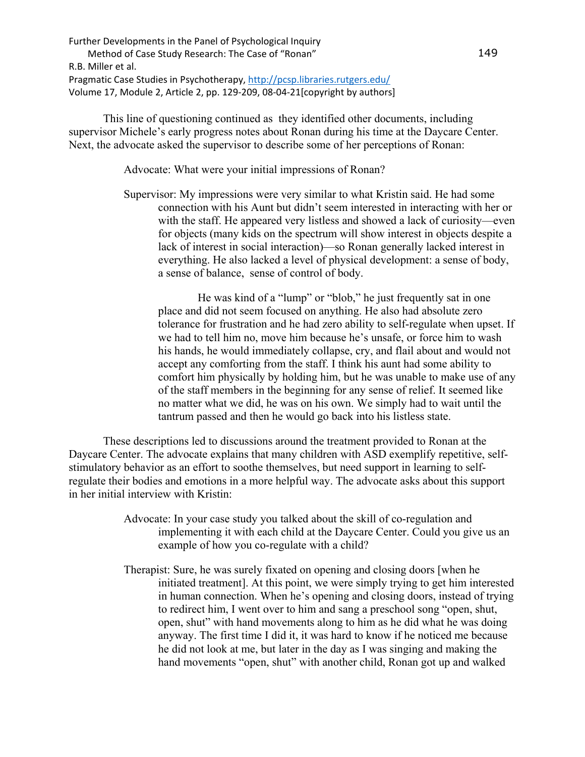This line of questioning continued as they identified other documents, including supervisor Michele's early progress notes about Ronan during his time at the Daycare Center. Next, the advocate asked the supervisor to describe some of her perceptions of Ronan:

Advocate: What were your initial impressions of Ronan?

Supervisor: My impressions were very similar to what Kristin said. He had some connection with his Aunt but didn't seem interested in interacting with her or with the staff. He appeared very listless and showed a lack of curiosity—even for objects (many kids on the spectrum will show interest in objects despite a lack of interest in social interaction)—so Ronan generally lacked interest in everything. He also lacked a level of physical development: a sense of body, a sense of balance, sense of control of body.

 He was kind of a "lump" or "blob," he just frequently sat in one place and did not seem focused on anything. He also had absolute zero tolerance for frustration and he had zero ability to self-regulate when upset. If we had to tell him no, move him because he's unsafe, or force him to wash his hands, he would immediately collapse, cry, and flail about and would not accept any comforting from the staff. I think his aunt had some ability to comfort him physically by holding him, but he was unable to make use of any of the staff members in the beginning for any sense of relief. It seemed like no matter what we did, he was on his own. We simply had to wait until the tantrum passed and then he would go back into his listless state.

These descriptions led to discussions around the treatment provided to Ronan at the Daycare Center. The advocate explains that many children with ASD exemplify repetitive, selfstimulatory behavior as an effort to soothe themselves, but need support in learning to selfregulate their bodies and emotions in a more helpful way. The advocate asks about this support in her initial interview with Kristin:

- Advocate: In your case study you talked about the skill of co-regulation and implementing it with each child at the Daycare Center. Could you give us an example of how you co-regulate with a child?
- Therapist: Sure, he was surely fixated on opening and closing doors [when he initiated treatment]. At this point, we were simply trying to get him interested in human connection. When he's opening and closing doors, instead of trying to redirect him, I went over to him and sang a preschool song "open, shut, open, shut" with hand movements along to him as he did what he was doing anyway. The first time I did it, it was hard to know if he noticed me because he did not look at me, but later in the day as I was singing and making the hand movements "open, shut" with another child, Ronan got up and walked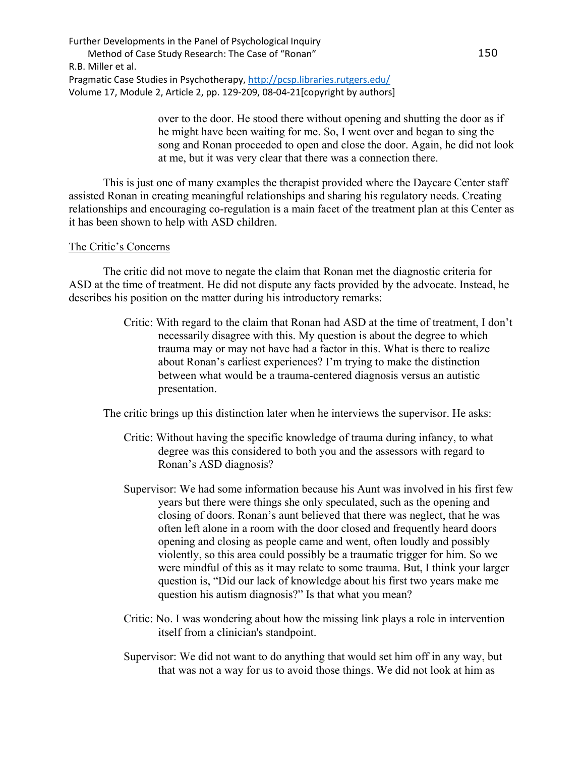> over to the door. He stood there without opening and shutting the door as if he might have been waiting for me. So, I went over and began to sing the song and Ronan proceeded to open and close the door. Again, he did not look at me, but it was very clear that there was a connection there.

This is just one of many examples the therapist provided where the Daycare Center staff assisted Ronan in creating meaningful relationships and sharing his regulatory needs. Creating relationships and encouraging co-regulation is a main facet of the treatment plan at this Center as it has been shown to help with ASD children.

#### The Critic's Concerns

The critic did not move to negate the claim that Ronan met the diagnostic criteria for ASD at the time of treatment. He did not dispute any facts provided by the advocate. Instead, he describes his position on the matter during his introductory remarks:

> Critic: With regard to the claim that Ronan had ASD at the time of treatment, I don't necessarily disagree with this. My question is about the degree to which trauma may or may not have had a factor in this. What is there to realize about Ronan's earliest experiences? I'm trying to make the distinction between what would be a trauma-centered diagnosis versus an autistic presentation.

The critic brings up this distinction later when he interviews the supervisor. He asks:

- Critic: Without having the specific knowledge of trauma during infancy, to what degree was this considered to both you and the assessors with regard to Ronan's ASD diagnosis?
- Supervisor: We had some information because his Aunt was involved in his first few years but there were things she only speculated, such as the opening and closing of doors. Ronan's aunt believed that there was neglect, that he was often left alone in a room with the door closed and frequently heard doors opening and closing as people came and went, often loudly and possibly violently, so this area could possibly be a traumatic trigger for him. So we were mindful of this as it may relate to some trauma. But, I think your larger question is, "Did our lack of knowledge about his first two years make me question his autism diagnosis?" Is that what you mean?
- Critic: No. I was wondering about how the missing link plays a role in intervention itself from a clinician's standpoint.
- Supervisor: We did not want to do anything that would set him off in any way, but that was not a way for us to avoid those things. We did not look at him as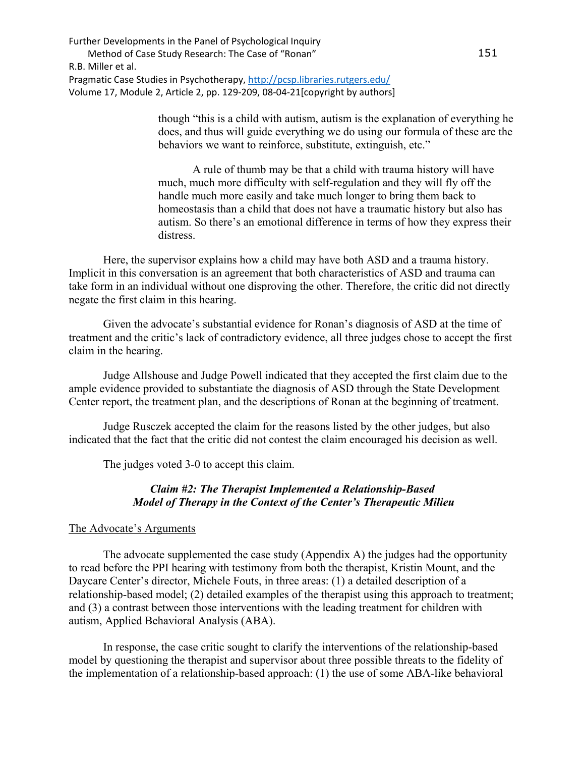> though "this is a child with autism, autism is the explanation of everything he does, and thus will guide everything we do using our formula of these are the behaviors we want to reinforce, substitute, extinguish, etc."

> A rule of thumb may be that a child with trauma history will have much, much more difficulty with self-regulation and they will fly off the handle much more easily and take much longer to bring them back to homeostasis than a child that does not have a traumatic history but also has autism. So there's an emotional difference in terms of how they express their distress.

Here, the supervisor explains how a child may have both ASD and a trauma history. Implicit in this conversation is an agreement that both characteristics of ASD and trauma can take form in an individual without one disproving the other. Therefore, the critic did not directly negate the first claim in this hearing.

 Given the advocate's substantial evidence for Ronan's diagnosis of ASD at the time of treatment and the critic's lack of contradictory evidence, all three judges chose to accept the first claim in the hearing.

Judge Allshouse and Judge Powell indicated that they accepted the first claim due to the ample evidence provided to substantiate the diagnosis of ASD through the State Development Center report, the treatment plan, and the descriptions of Ronan at the beginning of treatment.

Judge Rusczek accepted the claim for the reasons listed by the other judges, but also indicated that the fact that the critic did not contest the claim encouraged his decision as well.

The judges voted 3-0 to accept this claim.

## *Claim #2: The Therapist Implemented a Relationship-Based Model of Therapy in the Context of the Center's Therapeutic Milieu*

#### The Advocate's Arguments

The advocate supplemented the case study (Appendix A) the judges had the opportunity to read before the PPI hearing with testimony from both the therapist, Kristin Mount, and the Daycare Center's director, Michele Fouts, in three areas: (1) a detailed description of a relationship-based model; (2) detailed examples of the therapist using this approach to treatment; and (3) a contrast between those interventions with the leading treatment for children with autism, Applied Behavioral Analysis (ABA).

 In response, the case critic sought to clarify the interventions of the relationship-based model by questioning the therapist and supervisor about three possible threats to the fidelity of the implementation of a relationship-based approach: (1) the use of some ABA-like behavioral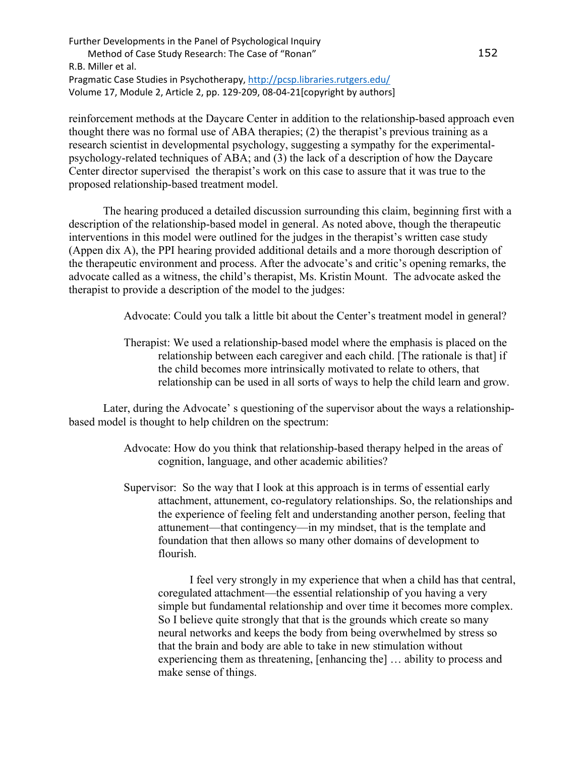reinforcement methods at the Daycare Center in addition to the relationship-based approach even thought there was no formal use of ABA therapies; (2) the therapist's previous training as a research scientist in developmental psychology, suggesting a sympathy for the experimentalpsychology-related techniques of ABA; and (3) the lack of a description of how the Daycare Center director supervised the therapist's work on this case to assure that it was true to the proposed relationship-based treatment model.

 The hearing produced a detailed discussion surrounding this claim, beginning first with a description of the relationship-based model in general. As noted above, though the therapeutic interventions in this model were outlined for the judges in the therapist's written case study (Appen dix A), the PPI hearing provided additional details and a more thorough description of the therapeutic environment and process. After the advocate's and critic's opening remarks, the advocate called as a witness, the child's therapist, Ms. Kristin Mount. The advocate asked the therapist to provide a description of the model to the judges:

Advocate: Could you talk a little bit about the Center's treatment model in general?

Therapist: We used a relationship-based model where the emphasis is placed on the relationship between each caregiver and each child. [The rationale is that] if the child becomes more intrinsically motivated to relate to others, that relationship can be used in all sorts of ways to help the child learn and grow.

Later, during the Advocate' s questioning of the supervisor about the ways a relationshipbased model is thought to help children on the spectrum:

- Advocate: How do you think that relationship-based therapy helped in the areas of cognition, language, and other academic abilities?
- Supervisor: So the way that I look at this approach is in terms of essential early attachment, attunement, co-regulatory relationships. So, the relationships and the experience of feeling felt and understanding another person, feeling that attunement—that contingency—in my mindset, that is the template and foundation that then allows so many other domains of development to flourish.

 I feel very strongly in my experience that when a child has that central, coregulated attachment—the essential relationship of you having a very simple but fundamental relationship and over time it becomes more complex. So I believe quite strongly that that is the grounds which create so many neural networks and keeps the body from being overwhelmed by stress so that the brain and body are able to take in new stimulation without experiencing them as threatening, [enhancing the] … ability to process and make sense of things.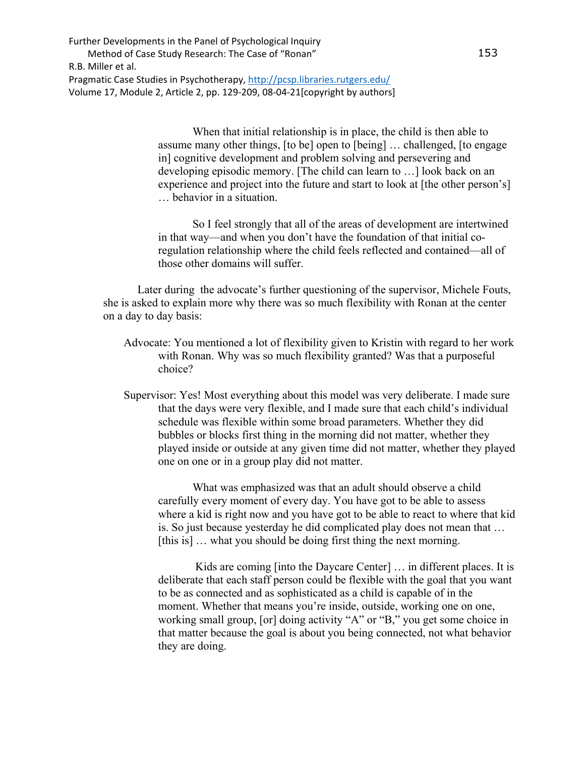> When that initial relationship is in place, the child is then able to assume many other things, [to be] open to [being] … challenged, [to engage in] cognitive development and problem solving and persevering and developing episodic memory. [The child can learn to …] look back on an experience and project into the future and start to look at [the other person's] … behavior in a situation.

> So I feel strongly that all of the areas of development are intertwined in that way—and when you don't have the foundation of that initial coregulation relationship where the child feels reflected and contained—all of those other domains will suffer.

Later during the advocate's further questioning of the supervisor, Michele Fouts, she is asked to explain more why there was so much flexibility with Ronan at the center on a day to day basis:

- Advocate: You mentioned a lot of flexibility given to Kristin with regard to her work with Ronan. Why was so much flexibility granted? Was that a purposeful choice?
- Supervisor: Yes! Most everything about this model was very deliberate. I made sure that the days were very flexible, and I made sure that each child's individual schedule was flexible within some broad parameters. Whether they did bubbles or blocks first thing in the morning did not matter, whether they played inside or outside at any given time did not matter, whether they played one on one or in a group play did not matter.

 What was emphasized was that an adult should observe a child carefully every moment of every day. You have got to be able to assess where a kid is right now and you have got to be able to react to where that kid is. So just because yesterday he did complicated play does not mean that … [this is] ... what you should be doing first thing the next morning.

Kids are coming [into the Daycare Center] ... in different places. It is deliberate that each staff person could be flexible with the goal that you want to be as connected and as sophisticated as a child is capable of in the moment. Whether that means you're inside, outside, working one on one, working small group, [or] doing activity "A" or "B," you get some choice in that matter because the goal is about you being connected, not what behavior they are doing.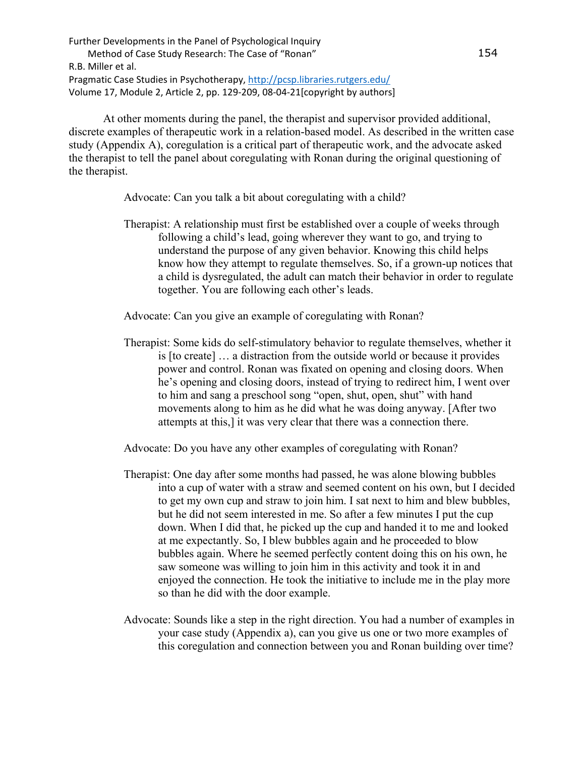At other moments during the panel, the therapist and supervisor provided additional, discrete examples of therapeutic work in a relation-based model. As described in the written case study (Appendix A), coregulation is a critical part of therapeutic work, and the advocate asked the therapist to tell the panel about coregulating with Ronan during the original questioning of the therapist.

Advocate: Can you talk a bit about coregulating with a child?

Therapist: A relationship must first be established over a couple of weeks through following a child's lead, going wherever they want to go, and trying to understand the purpose of any given behavior. Knowing this child helps know how they attempt to regulate themselves. So, if a grown-up notices that a child is dysregulated, the adult can match their behavior in order to regulate together. You are following each other's leads.

Advocate: Can you give an example of coregulating with Ronan?

Therapist: Some kids do self-stimulatory behavior to regulate themselves, whether it is [to create] … a distraction from the outside world or because it provides power and control. Ronan was fixated on opening and closing doors. When he's opening and closing doors, instead of trying to redirect him, I went over to him and sang a preschool song "open, shut, open, shut" with hand movements along to him as he did what he was doing anyway. [After two attempts at this,] it was very clear that there was a connection there.

Advocate: Do you have any other examples of coregulating with Ronan?

- Therapist: One day after some months had passed, he was alone blowing bubbles into a cup of water with a straw and seemed content on his own, but I decided to get my own cup and straw to join him. I sat next to him and blew bubbles, but he did not seem interested in me. So after a few minutes I put the cup down. When I did that, he picked up the cup and handed it to me and looked at me expectantly. So, I blew bubbles again and he proceeded to blow bubbles again. Where he seemed perfectly content doing this on his own, he saw someone was willing to join him in this activity and took it in and enjoyed the connection. He took the initiative to include me in the play more so than he did with the door example.
- Advocate: Sounds like a step in the right direction. You had a number of examples in your case study (Appendix a), can you give us one or two more examples of this coregulation and connection between you and Ronan building over time?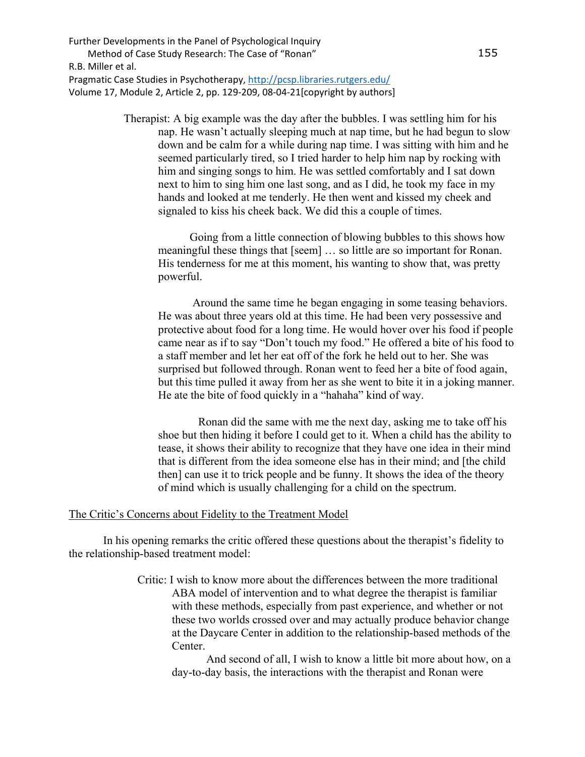> Therapist: A big example was the day after the bubbles. I was settling him for his nap. He wasn't actually sleeping much at nap time, but he had begun to slow down and be calm for a while during nap time. I was sitting with him and he seemed particularly tired, so I tried harder to help him nap by rocking with him and singing songs to him. He was settled comfortably and I sat down next to him to sing him one last song, and as I did, he took my face in my hands and looked at me tenderly. He then went and kissed my cheek and signaled to kiss his cheek back. We did this a couple of times.

 Going from a little connection of blowing bubbles to this shows how meaningful these things that [seem] … so little are so important for Ronan. His tenderness for me at this moment, his wanting to show that, was pretty powerful.

 Around the same time he began engaging in some teasing behaviors. He was about three years old at this time. He had been very possessive and protective about food for a long time. He would hover over his food if people came near as if to say "Don't touch my food." He offered a bite of his food to a staff member and let her eat off of the fork he held out to her. She was surprised but followed through. Ronan went to feed her a bite of food again, but this time pulled it away from her as she went to bite it in a joking manner. He ate the bite of food quickly in a "hahaha" kind of way.

 Ronan did the same with me the next day, asking me to take off his shoe but then hiding it before I could get to it. When a child has the ability to tease, it shows their ability to recognize that they have one idea in their mind that is different from the idea someone else has in their mind; and [the child then] can use it to trick people and be funny. It shows the idea of the theory of mind which is usually challenging for a child on the spectrum.

#### The Critic's Concerns about Fidelity to the Treatment Model

In his opening remarks the critic offered these questions about the therapist's fidelity to the relationship-based treatment model:

> Critic: I wish to know more about the differences between the more traditional ABA model of intervention and to what degree the therapist is familiar with these methods, especially from past experience, and whether or not these two worlds crossed over and may actually produce behavior change at the Daycare Center in addition to the relationship-based methods of the Center.

 And second of all, I wish to know a little bit more about how, on a day-to-day basis, the interactions with the therapist and Ronan were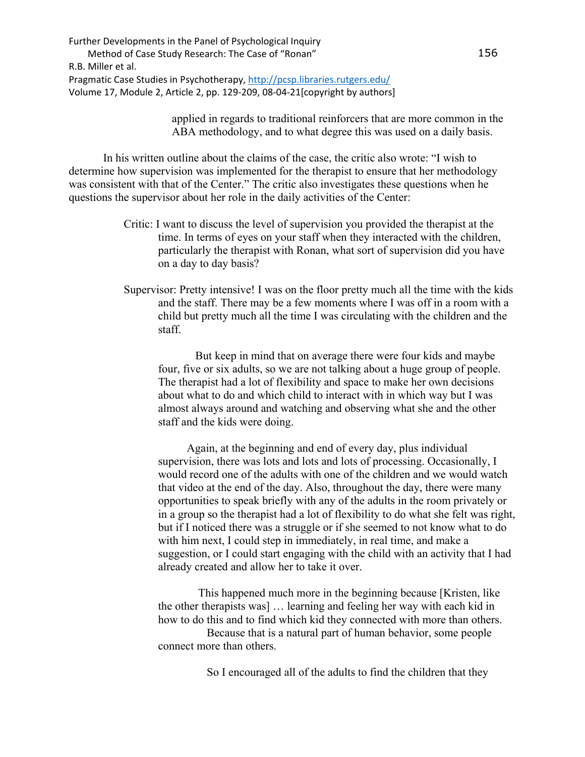> applied in regards to traditional reinforcers that are more common in the ABA methodology, and to what degree this was used on a daily basis.

In his written outline about the claims of the case, the critic also wrote: "I wish to determine how supervision was implemented for the therapist to ensure that her methodology was consistent with that of the Center." The critic also investigates these questions when he questions the supervisor about her role in the daily activities of the Center:

- Critic: I want to discuss the level of supervision you provided the therapist at the time. In terms of eyes on your staff when they interacted with the children, particularly the therapist with Ronan, what sort of supervision did you have on a day to day basis?
- Supervisor: Pretty intensive! I was on the floor pretty much all the time with the kids and the staff. There may be a few moments where I was off in a room with a child but pretty much all the time I was circulating with the children and the staff.

 But keep in mind that on average there were four kids and maybe four, five or six adults, so we are not talking about a huge group of people. The therapist had a lot of flexibility and space to make her own decisions about what to do and which child to interact with in which way but I was almost always around and watching and observing what she and the other staff and the kids were doing.

 Again, at the beginning and end of every day, plus individual supervision, there was lots and lots and lots of processing. Occasionally, I would record one of the adults with one of the children and we would watch that video at the end of the day. Also, throughout the day, there were many opportunities to speak briefly with any of the adults in the room privately or in a group so the therapist had a lot of flexibility to do what she felt was right, but if I noticed there was a struggle or if she seemed to not know what to do with him next, I could step in immediately, in real time, and make a suggestion, or I could start engaging with the child with an activity that I had already created and allow her to take it over.

 This happened much more in the beginning because [Kristen, like the other therapists was] … learning and feeling her way with each kid in how to do this and to find which kid they connected with more than others.

 Because that is a natural part of human behavior, some people connect more than others.

So I encouraged all of the adults to find the children that they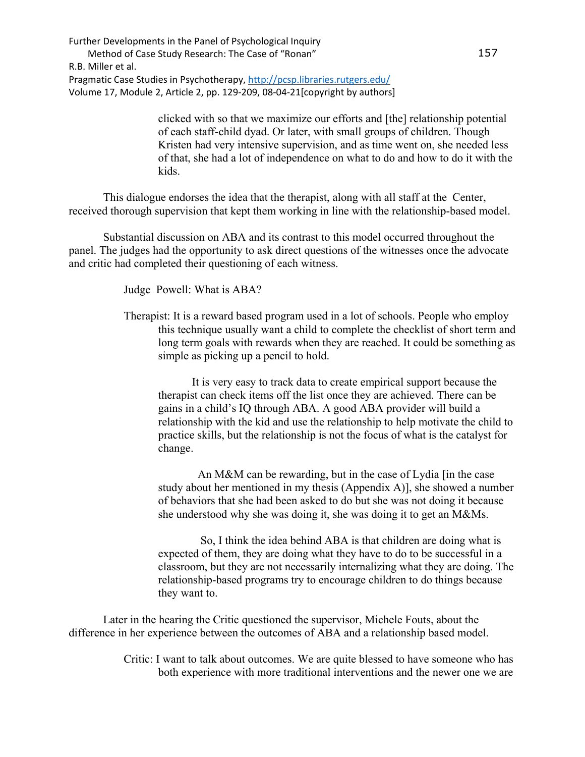> clicked with so that we maximize our efforts and [the] relationship potential of each staff-child dyad. Or later, with small groups of children. Though Kristen had very intensive supervision, and as time went on, she needed less of that, she had a lot of independence on what to do and how to do it with the kids.

This dialogue endorses the idea that the therapist, along with all staff at the Center, received thorough supervision that kept them working in line with the relationship-based model.

Substantial discussion on ABA and its contrast to this model occurred throughout the panel. The judges had the opportunity to ask direct questions of the witnesses once the advocate and critic had completed their questioning of each witness.

Judge Powell: What is ABA?

Therapist: It is a reward based program used in a lot of schools. People who employ this technique usually want a child to complete the checklist of short term and long term goals with rewards when they are reached. It could be something as simple as picking up a pencil to hold.

 It is very easy to track data to create empirical support because the therapist can check items off the list once they are achieved. There can be gains in a child's IQ through ABA. A good ABA provider will build a relationship with the kid and use the relationship to help motivate the child to practice skills, but the relationship is not the focus of what is the catalyst for change.

 An M&M can be rewarding, but in the case of Lydia [in the case study about her mentioned in my thesis (Appendix A)], she showed a number of behaviors that she had been asked to do but she was not doing it because she understood why she was doing it, she was doing it to get an M&Ms.

 So, I think the idea behind ABA is that children are doing what is expected of them, they are doing what they have to do to be successful in a classroom, but they are not necessarily internalizing what they are doing. The relationship-based programs try to encourage children to do things because they want to.

Later in the hearing the Critic questioned the supervisor, Michele Fouts, about the difference in her experience between the outcomes of ABA and a relationship based model.

> Critic: I want to talk about outcomes. We are quite blessed to have someone who has both experience with more traditional interventions and the newer one we are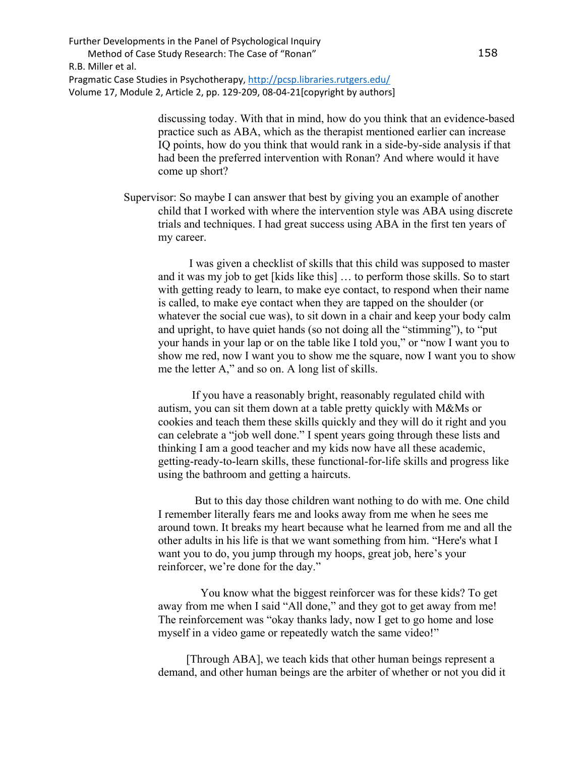> discussing today. With that in mind, how do you think that an evidence-based practice such as ABA, which as the therapist mentioned earlier can increase IQ points, how do you think that would rank in a side-by-side analysis if that had been the preferred intervention with Ronan? And where would it have come up short?

Supervisor: So maybe I can answer that best by giving you an example of another child that I worked with where the intervention style was ABA using discrete trials and techniques. I had great success using ABA in the first ten years of my career.

 I was given a checklist of skills that this child was supposed to master and it was my job to get [kids like this] … to perform those skills. So to start with getting ready to learn, to make eye contact, to respond when their name is called, to make eye contact when they are tapped on the shoulder (or whatever the social cue was), to sit down in a chair and keep your body calm and upright, to have quiet hands (so not doing all the "stimming"), to "put your hands in your lap or on the table like I told you," or "now I want you to show me red, now I want you to show me the square, now I want you to show me the letter A," and so on. A long list of skills.

 If you have a reasonably bright, reasonably regulated child with autism, you can sit them down at a table pretty quickly with M&Ms or cookies and teach them these skills quickly and they will do it right and you can celebrate a "job well done." I spent years going through these lists and thinking I am a good teacher and my kids now have all these academic, getting-ready-to-learn skills, these functional-for-life skills and progress like using the bathroom and getting a haircuts.

 But to this day those children want nothing to do with me. One child I remember literally fears me and looks away from me when he sees me around town. It breaks my heart because what he learned from me and all the other adults in his life is that we want something from him. "Here's what I want you to do, you jump through my hoops, great job, here's your reinforcer, we're done for the day."

 You know what the biggest reinforcer was for these kids? To get away from me when I said "All done," and they got to get away from me! The reinforcement was "okay thanks lady, now I get to go home and lose myself in a video game or repeatedly watch the same video!"

 [Through ABA], we teach kids that other human beings represent a demand, and other human beings are the arbiter of whether or not you did it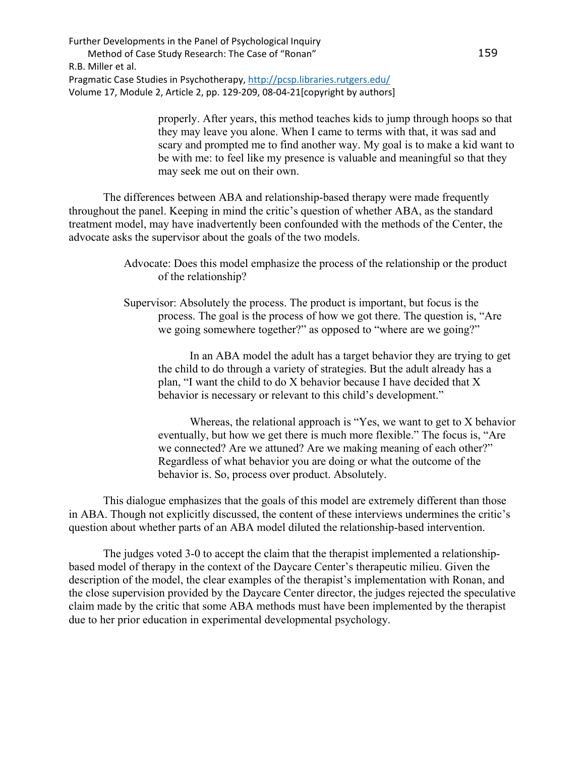> properly. After years, this method teaches kids to jump through hoops so that they may leave you alone. When I came to terms with that, it was sad and scary and prompted me to find another way. My goal is to make a kid want to be with me: to feel like my presence is valuable and meaningful so that they may seek me out on their own.

The differences between ABA and relationship-based therapy were made frequently throughout the panel. Keeping in mind the critic's question of whether ABA, as the standard treatment model, may have inadvertently been confounded with the methods of the Center, the advocate asks the supervisor about the goals of the two models.

Supervisor: Absolutely the process. The product is important, but focus is the process. The goal is the process of how we got there. The question is, "Are we going somewhere together?" as opposed to "where are we going?"

 In an ABA model the adult has a target behavior they are trying to get the child to do through a variety of strategies. But the adult already has a plan, "I want the child to do X behavior because I have decided that X behavior is necessary or relevant to this child's development."

 Whereas, the relational approach is "Yes, we want to get to X behavior eventually, but how we get there is much more flexible." The focus is, "Are we connected? Are we attuned? Are we making meaning of each other?" Regardless of what behavior you are doing or what the outcome of the behavior is. So, process over product. Absolutely.

This dialogue emphasizes that the goals of this model are extremely different than those in ABA. Though not explicitly discussed, the content of these interviews undermines the critic's question about whether parts of an ABA model diluted the relationship-based intervention.

The judges voted 3-0 to accept the claim that the therapist implemented a relationshipbased model of therapy in the context of the Daycare Center's therapeutic milieu. Given the description of the model, the clear examples of the therapist's implementation with Ronan, and the close supervision provided by the Daycare Center director, the judges rejected the speculative claim made by the critic that some ABA methods must have been implemented by the therapist due to her prior education in experimental developmental psychology.

Advocate: Does this model emphasize the process of the relationship or the product of the relationship?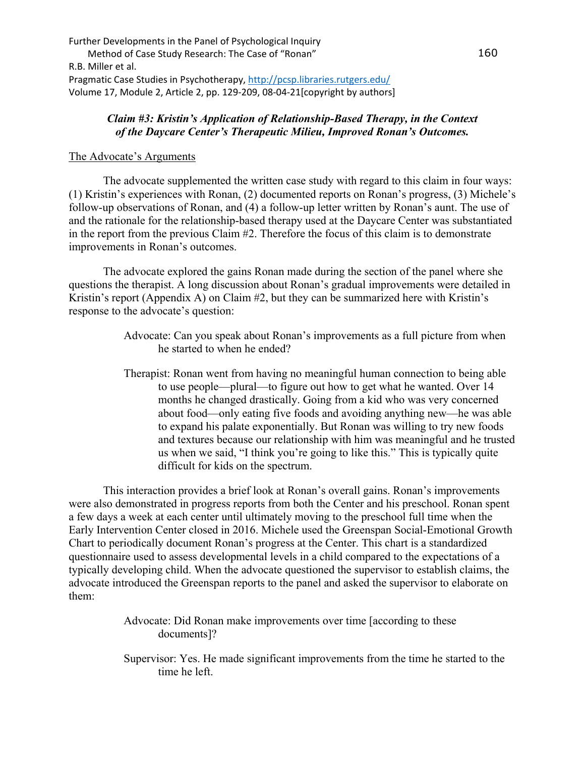## *Claim #3: Kristin's Application of Relationship-Based Therapy, in the Context of the Daycare Center's Therapeutic Milieu, Improved Ronan's Outcomes.*

## The Advocate's Arguments

 The advocate supplemented the written case study with regard to this claim in four ways: (1) Kristin's experiences with Ronan, (2) documented reports on Ronan's progress, (3) Michele's follow-up observations of Ronan, and (4) a follow-up letter written by Ronan's aunt. The use of and the rationale for the relationship-based therapy used at the Daycare Center was substantiated in the report from the previous Claim #2. Therefore the focus of this claim is to demonstrate improvements in Ronan's outcomes.

 The advocate explored the gains Ronan made during the section of the panel where she questions the therapist. A long discussion about Ronan's gradual improvements were detailed in Kristin's report (Appendix A) on Claim #2, but they can be summarized here with Kristin's response to the advocate's question:

- Advocate: Can you speak about Ronan's improvements as a full picture from when he started to when he ended?
- Therapist: Ronan went from having no meaningful human connection to being able to use people—plural—to figure out how to get what he wanted. Over 14 months he changed drastically. Going from a kid who was very concerned about food—only eating five foods and avoiding anything new—he was able to expand his palate exponentially. But Ronan was willing to try new foods and textures because our relationship with him was meaningful and he trusted us when we said, "I think you're going to like this." This is typically quite difficult for kids on the spectrum.

This interaction provides a brief look at Ronan's overall gains. Ronan's improvements were also demonstrated in progress reports from both the Center and his preschool. Ronan spent a few days a week at each center until ultimately moving to the preschool full time when the Early Intervention Center closed in 2016. Michele used the Greenspan Social-Emotional Growth Chart to periodically document Ronan's progress at the Center. This chart is a standardized questionnaire used to assess developmental levels in a child compared to the expectations of a typically developing child. When the advocate questioned the supervisor to establish claims, the advocate introduced the Greenspan reports to the panel and asked the supervisor to elaborate on them:

> Advocate: Did Ronan make improvements over time [according to these documents]?

Supervisor: Yes. He made significant improvements from the time he started to the time he left.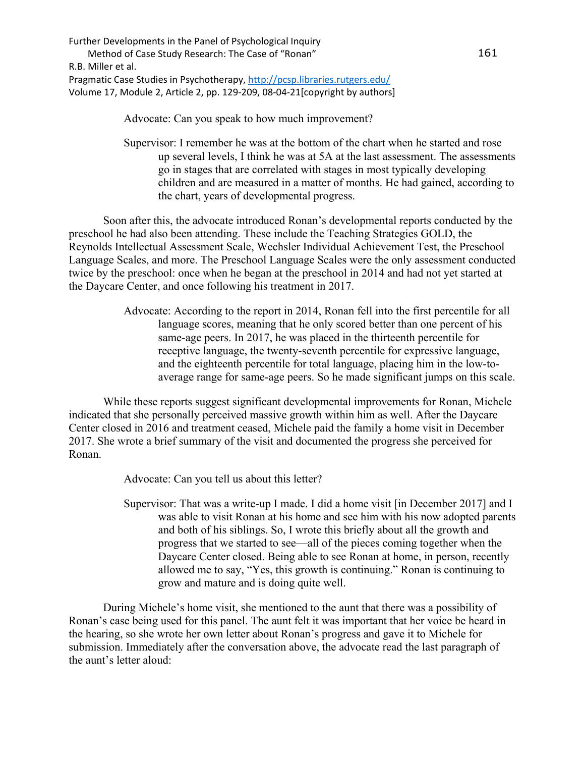Advocate: Can you speak to how much improvement?

Supervisor: I remember he was at the bottom of the chart when he started and rose up several levels, I think he was at 5A at the last assessment. The assessments go in stages that are correlated with stages in most typically developing children and are measured in a matter of months. He had gained, according to the chart, years of developmental progress.

Soon after this, the advocate introduced Ronan's developmental reports conducted by the preschool he had also been attending. These include the Teaching Strategies GOLD, the Reynolds Intellectual Assessment Scale, Wechsler Individual Achievement Test, the Preschool Language Scales, and more. The Preschool Language Scales were the only assessment conducted twice by the preschool: once when he began at the preschool in 2014 and had not yet started at the Daycare Center, and once following his treatment in 2017.

> Advocate: According to the report in 2014, Ronan fell into the first percentile for all language scores, meaning that he only scored better than one percent of his same-age peers. In 2017, he was placed in the thirteenth percentile for receptive language, the twenty-seventh percentile for expressive language, and the eighteenth percentile for total language, placing him in the low-toaverage range for same-age peers. So he made significant jumps on this scale.

While these reports suggest significant developmental improvements for Ronan, Michele indicated that she personally perceived massive growth within him as well. After the Daycare Center closed in 2016 and treatment ceased, Michele paid the family a home visit in December 2017. She wrote a brief summary of the visit and documented the progress she perceived for Ronan.

Advocate: Can you tell us about this letter?

Supervisor: That was a write-up I made. I did a home visit [in December 2017] and I was able to visit Ronan at his home and see him with his now adopted parents and both of his siblings. So, I wrote this briefly about all the growth and progress that we started to see—all of the pieces coming together when the Daycare Center closed. Being able to see Ronan at home, in person, recently allowed me to say, "Yes, this growth is continuing." Ronan is continuing to grow and mature and is doing quite well.

During Michele's home visit, she mentioned to the aunt that there was a possibility of Ronan's case being used for this panel. The aunt felt it was important that her voice be heard in the hearing, so she wrote her own letter about Ronan's progress and gave it to Michele for submission. Immediately after the conversation above, the advocate read the last paragraph of the aunt's letter aloud: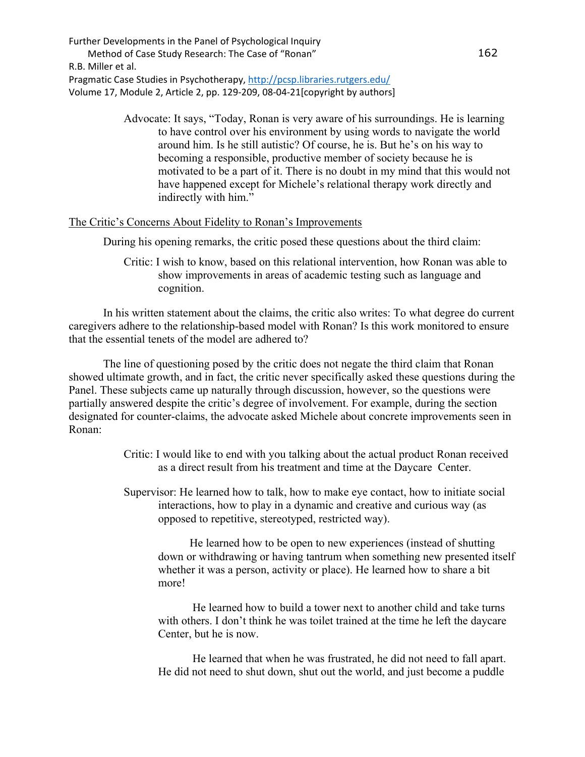> Advocate: It says, "Today, Ronan is very aware of his surroundings. He is learning to have control over his environment by using words to navigate the world around him. Is he still autistic? Of course, he is. But he's on his way to becoming a responsible, productive member of society because he is motivated to be a part of it. There is no doubt in my mind that this would not have happened except for Michele's relational therapy work directly and indirectly with him."

#### The Critic's Concerns About Fidelity to Ronan's Improvements

During his opening remarks, the critic posed these questions about the third claim:

Critic: I wish to know, based on this relational intervention, how Ronan was able to show improvements in areas of academic testing such as language and cognition.

In his written statement about the claims, the critic also writes: To what degree do current caregivers adhere to the relationship-based model with Ronan? Is this work monitored to ensure that the essential tenets of the model are adhered to?

The line of questioning posed by the critic does not negate the third claim that Ronan showed ultimate growth, and in fact, the critic never specifically asked these questions during the Panel. These subjects came up naturally through discussion, however, so the questions were partially answered despite the critic's degree of involvement. For example, during the section designated for counter-claims, the advocate asked Michele about concrete improvements seen in Ronan:

- Critic: I would like to end with you talking about the actual product Ronan received as a direct result from his treatment and time at the Daycare Center.
- Supervisor: He learned how to talk, how to make eye contact, how to initiate social interactions, how to play in a dynamic and creative and curious way (as opposed to repetitive, stereotyped, restricted way).

 He learned how to be open to new experiences (instead of shutting down or withdrawing or having tantrum when something new presented itself whether it was a person, activity or place). He learned how to share a bit more!

 He learned how to build a tower next to another child and take turns with others. I don't think he was toilet trained at the time he left the daycare Center, but he is now.

 He learned that when he was frustrated, he did not need to fall apart. He did not need to shut down, shut out the world, and just become a puddle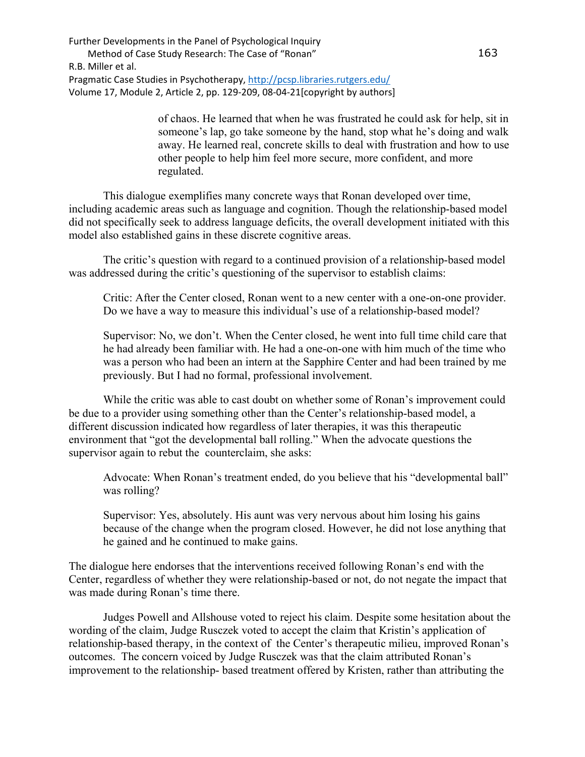> of chaos. He learned that when he was frustrated he could ask for help, sit in someone's lap, go take someone by the hand, stop what he's doing and walk away. He learned real, concrete skills to deal with frustration and how to use other people to help him feel more secure, more confident, and more regulated.

This dialogue exemplifies many concrete ways that Ronan developed over time, including academic areas such as language and cognition. Though the relationship-based model did not specifically seek to address language deficits, the overall development initiated with this model also established gains in these discrete cognitive areas.

 The critic's question with regard to a continued provision of a relationship-based model was addressed during the critic's questioning of the supervisor to establish claims:

Critic: After the Center closed, Ronan went to a new center with a one-on-one provider. Do we have a way to measure this individual's use of a relationship-based model?

Supervisor: No, we don't. When the Center closed, he went into full time child care that he had already been familiar with. He had a one-on-one with him much of the time who was a person who had been an intern at the Sapphire Center and had been trained by me previously. But I had no formal, professional involvement.

While the critic was able to cast doubt on whether some of Ronan's improvement could be due to a provider using something other than the Center's relationship-based model, a different discussion indicated how regardless of later therapies, it was this therapeutic environment that "got the developmental ball rolling." When the advocate questions the supervisor again to rebut the counterclaim, she asks:

Advocate: When Ronan's treatment ended, do you believe that his "developmental ball" was rolling?

Supervisor: Yes, absolutely. His aunt was very nervous about him losing his gains because of the change when the program closed. However, he did not lose anything that he gained and he continued to make gains.

The dialogue here endorses that the interventions received following Ronan's end with the Center, regardless of whether they were relationship-based or not, do not negate the impact that was made during Ronan's time there.

 Judges Powell and Allshouse voted to reject his claim. Despite some hesitation about the wording of the claim, Judge Rusczek voted to accept the claim that Kristin's application of relationship-based therapy, in the context of the Center's therapeutic milieu, improved Ronan's outcomes. The concern voiced by Judge Rusczek was that the claim attributed Ronan's improvement to the relationship- based treatment offered by Kristen, rather than attributing the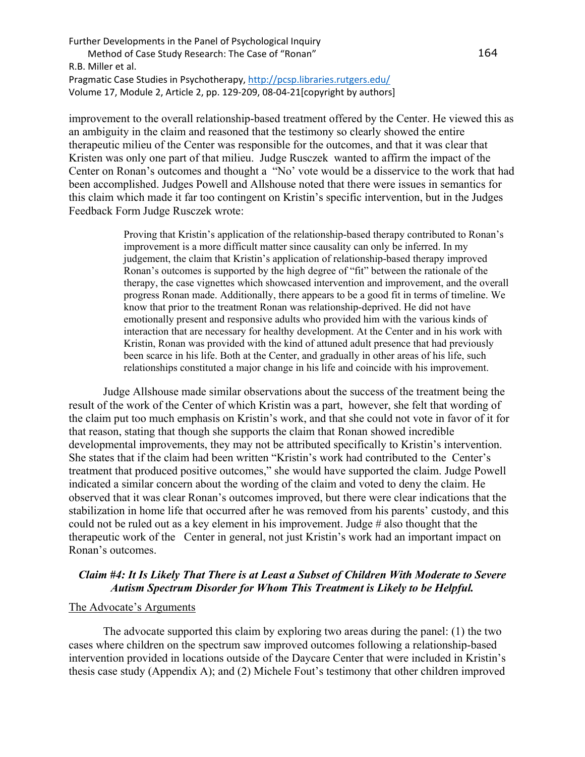improvement to the overall relationship-based treatment offered by the Center. He viewed this as an ambiguity in the claim and reasoned that the testimony so clearly showed the entire therapeutic milieu of the Center was responsible for the outcomes, and that it was clear that Kristen was only one part of that milieu. Judge Rusczek wanted to affirm the impact of the Center on Ronan's outcomes and thought a "No' vote would be a disservice to the work that had been accomplished. Judges Powell and Allshouse noted that there were issues in semantics for this claim which made it far too contingent on Kristin's specific intervention, but in the Judges Feedback Form Judge Rusczek wrote:

> Proving that Kristin's application of the relationship-based therapy contributed to Ronan's improvement is a more difficult matter since causality can only be inferred. In my judgement, the claim that Kristin's application of relationship-based therapy improved Ronan's outcomes is supported by the high degree of "fit" between the rationale of the therapy, the case vignettes which showcased intervention and improvement, and the overall progress Ronan made. Additionally, there appears to be a good fit in terms of timeline. We know that prior to the treatment Ronan was relationship-deprived. He did not have emotionally present and responsive adults who provided him with the various kinds of interaction that are necessary for healthy development. At the Center and in his work with Kristin, Ronan was provided with the kind of attuned adult presence that had previously been scarce in his life. Both at the Center, and gradually in other areas of his life, such relationships constituted a major change in his life and coincide with his improvement.

Judge Allshouse made similar observations about the success of the treatment being the result of the work of the Center of which Kristin was a part, however, she felt that wording of the claim put too much emphasis on Kristin's work, and that she could not vote in favor of it for that reason, stating that though she supports the claim that Ronan showed incredible developmental improvements, they may not be attributed specifically to Kristin's intervention. She states that if the claim had been written "Kristin's work had contributed to the Center's treatment that produced positive outcomes," she would have supported the claim. Judge Powell indicated a similar concern about the wording of the claim and voted to deny the claim. He observed that it was clear Ronan's outcomes improved, but there were clear indications that the stabilization in home life that occurred after he was removed from his parents' custody, and this could not be ruled out as a key element in his improvement. Judge # also thought that the therapeutic work of the Center in general, not just Kristin's work had an important impact on Ronan's outcomes.

## *Claim #4: It Is Likely That There is at Least a Subset of Children With Moderate to Severe Autism Spectrum Disorder for Whom This Treatment is Likely to be Helpful.*

#### The Advocate's Arguments

The advocate supported this claim by exploring two areas during the panel: (1) the two cases where children on the spectrum saw improved outcomes following a relationship-based intervention provided in locations outside of the Daycare Center that were included in Kristin's thesis case study (Appendix A); and (2) Michele Fout's testimony that other children improved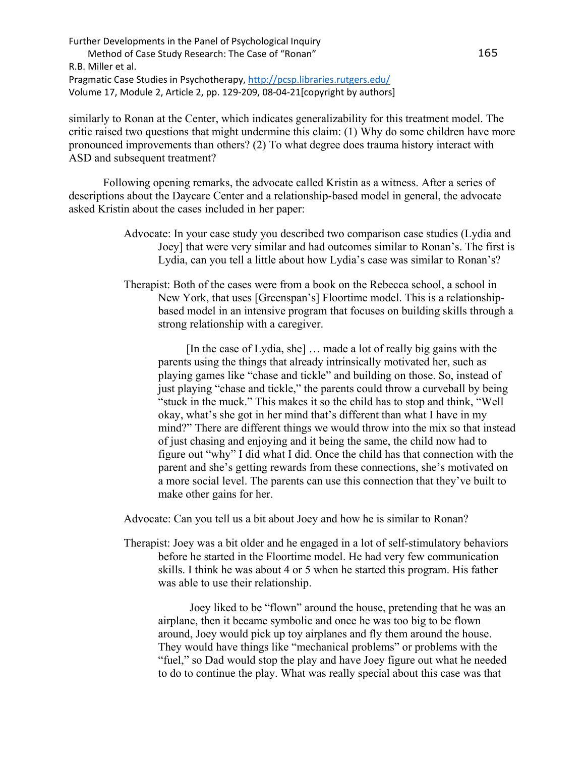similarly to Ronan at the Center, which indicates generalizability for this treatment model. The critic raised two questions that might undermine this claim: (1) Why do some children have more pronounced improvements than others? (2) To what degree does trauma history interact with ASD and subsequent treatment?

Following opening remarks, the advocate called Kristin as a witness. After a series of descriptions about the Daycare Center and a relationship-based model in general, the advocate asked Kristin about the cases included in her paper:

- Advocate: In your case study you described two comparison case studies (Lydia and Joey] that were very similar and had outcomes similar to Ronan's. The first is Lydia, can you tell a little about how Lydia's case was similar to Ronan's?
- Therapist: Both of the cases were from a book on the Rebecca school, a school in New York, that uses [Greenspan's] Floortime model. This is a relationshipbased model in an intensive program that focuses on building skills through a strong relationship with a caregiver.

 [In the case of Lydia, she] … made a lot of really big gains with the parents using the things that already intrinsically motivated her, such as playing games like "chase and tickle" and building on those. So, instead of just playing "chase and tickle," the parents could throw a curveball by being "stuck in the muck." This makes it so the child has to stop and think, "Well okay, what's she got in her mind that's different than what I have in my mind?" There are different things we would throw into the mix so that instead of just chasing and enjoying and it being the same, the child now had to figure out "why" I did what I did. Once the child has that connection with the parent and she's getting rewards from these connections, she's motivated on a more social level. The parents can use this connection that they've built to make other gains for her.

Advocate: Can you tell us a bit about Joey and how he is similar to Ronan?

Therapist: Joey was a bit older and he engaged in a lot of self-stimulatory behaviors before he started in the Floortime model. He had very few communication skills. I think he was about 4 or 5 when he started this program. His father was able to use their relationship.

 Joey liked to be "flown" around the house, pretending that he was an airplane, then it became symbolic and once he was too big to be flown around, Joey would pick up toy airplanes and fly them around the house. They would have things like "mechanical problems" or problems with the "fuel," so Dad would stop the play and have Joey figure out what he needed to do to continue the play. What was really special about this case was that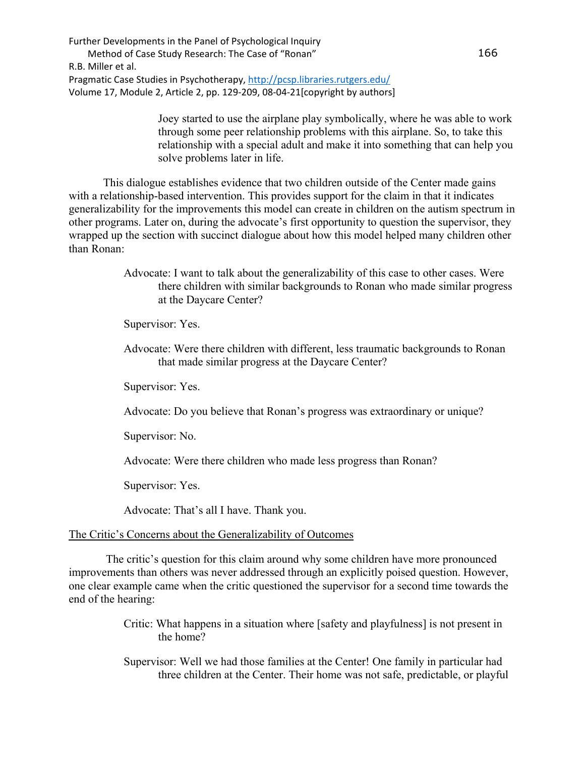> Joey started to use the airplane play symbolically, where he was able to work through some peer relationship problems with this airplane. So, to take this relationship with a special adult and make it into something that can help you solve problems later in life.

This dialogue establishes evidence that two children outside of the Center made gains with a relationship-based intervention. This provides support for the claim in that it indicates generalizability for the improvements this model can create in children on the autism spectrum in other programs. Later on, during the advocate's first opportunity to question the supervisor, they wrapped up the section with succinct dialogue about how this model helped many children other than Ronan:

> Advocate: I want to talk about the generalizability of this case to other cases. Were there children with similar backgrounds to Ronan who made similar progress at the Daycare Center?

Supervisor: Yes.

Advocate: Were there children with different, less traumatic backgrounds to Ronan that made similar progress at the Daycare Center?

Supervisor: Yes.

Advocate: Do you believe that Ronan's progress was extraordinary or unique?

Supervisor: No.

Advocate: Were there children who made less progress than Ronan?

Supervisor: Yes.

Advocate: That's all I have. Thank you.

### The Critic's Concerns about the Generalizability of Outcomes

The critic's question for this claim around why some children have more pronounced improvements than others was never addressed through an explicitly poised question. However, one clear example came when the critic questioned the supervisor for a second time towards the end of the hearing:

- Critic: What happens in a situation where [safety and playfulness] is not present in the home?
- Supervisor: Well we had those families at the Center! One family in particular had three children at the Center. Their home was not safe, predictable, or playful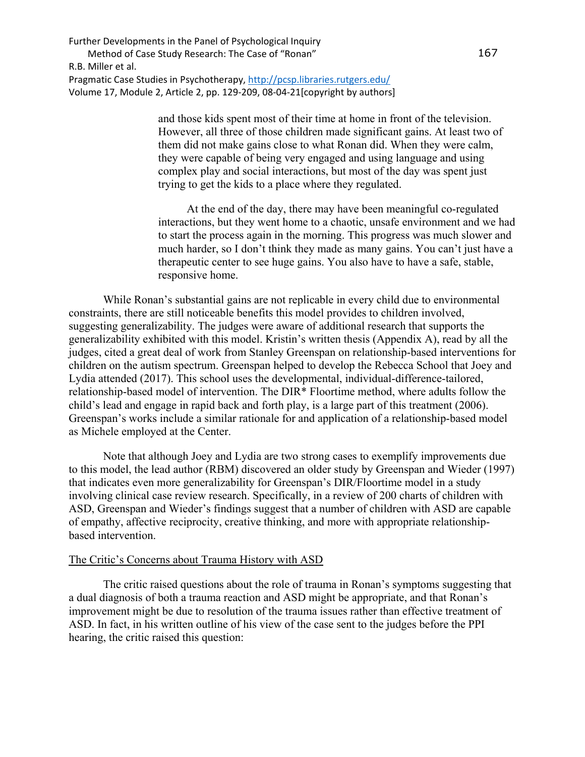> and those kids spent most of their time at home in front of the television. However, all three of those children made significant gains. At least two of them did not make gains close to what Ronan did. When they were calm, they were capable of being very engaged and using language and using complex play and social interactions, but most of the day was spent just trying to get the kids to a place where they regulated.

 At the end of the day, there may have been meaningful co-regulated interactions, but they went home to a chaotic, unsafe environment and we had to start the process again in the morning. This progress was much slower and much harder, so I don't think they made as many gains. You can't just have a therapeutic center to see huge gains. You also have to have a safe, stable, responsive home.

While Ronan's substantial gains are not replicable in every child due to environmental constraints, there are still noticeable benefits this model provides to children involved, suggesting generalizability. The judges were aware of additional research that supports the generalizability exhibited with this model. Kristin's written thesis (Appendix A), read by all the judges, cited a great deal of work from Stanley Greenspan on relationship-based interventions for children on the autism spectrum. Greenspan helped to develop the Rebecca School that Joey and Lydia attended (2017). This school uses the developmental, individual-difference-tailored, relationship-based model of intervention. The DIR\* Floortime method, where adults follow the child's lead and engage in rapid back and forth play, is a large part of this treatment (2006). Greenspan's works include a similar rationale for and application of a relationship-based model as Michele employed at the Center.

Note that although Joey and Lydia are two strong cases to exemplify improvements due to this model, the lead author (RBM) discovered an older study by Greenspan and Wieder (1997) that indicates even more generalizability for Greenspan's DIR/Floortime model in a study involving clinical case review research. Specifically, in a review of 200 charts of children with ASD, Greenspan and Wieder's findings suggest that a number of children with ASD are capable of empathy, affective reciprocity, creative thinking, and more with appropriate relationshipbased intervention.

## The Critic's Concerns about Trauma History with ASD

The critic raised questions about the role of trauma in Ronan's symptoms suggesting that a dual diagnosis of both a trauma reaction and ASD might be appropriate, and that Ronan's improvement might be due to resolution of the trauma issues rather than effective treatment of ASD. In fact, in his written outline of his view of the case sent to the judges before the PPI hearing, the critic raised this question: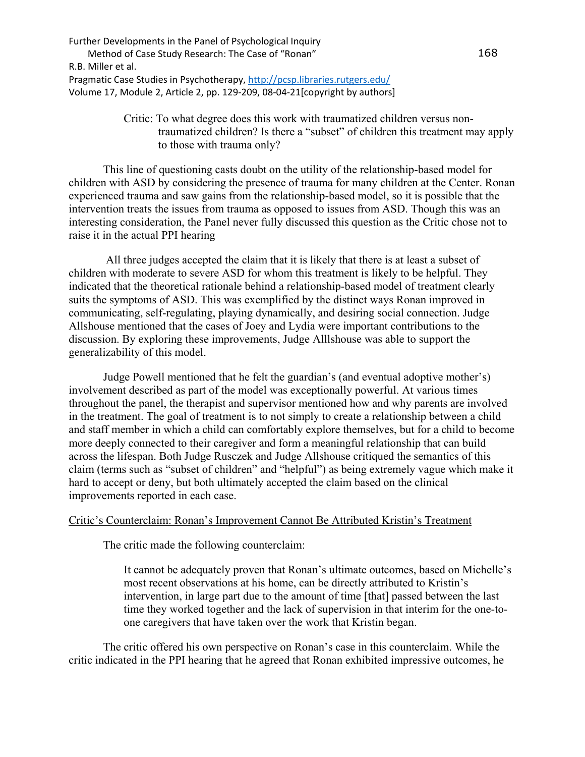> Critic: To what degree does this work with traumatized children versus nontraumatized children? Is there a "subset" of children this treatment may apply to those with trauma only?

This line of questioning casts doubt on the utility of the relationship-based model for children with ASD by considering the presence of trauma for many children at the Center. Ronan experienced trauma and saw gains from the relationship-based model, so it is possible that the intervention treats the issues from trauma as opposed to issues from ASD. Though this was an interesting consideration, the Panel never fully discussed this question as the Critic chose not to raise it in the actual PPI hearing

All three judges accepted the claim that it is likely that there is at least a subset of children with moderate to severe ASD for whom this treatment is likely to be helpful. They indicated that the theoretical rationale behind a relationship-based model of treatment clearly suits the symptoms of ASD. This was exemplified by the distinct ways Ronan improved in communicating, self-regulating, playing dynamically, and desiring social connection. Judge Allshouse mentioned that the cases of Joey and Lydia were important contributions to the discussion. By exploring these improvements, Judge Alllshouse was able to support the generalizability of this model.

Judge Powell mentioned that he felt the guardian's (and eventual adoptive mother's) involvement described as part of the model was exceptionally powerful. At various times throughout the panel, the therapist and supervisor mentioned how and why parents are involved in the treatment. The goal of treatment is to not simply to create a relationship between a child and staff member in which a child can comfortably explore themselves, but for a child to become more deeply connected to their caregiver and form a meaningful relationship that can build across the lifespan. Both Judge Rusczek and Judge Allshouse critiqued the semantics of this claim (terms such as "subset of children" and "helpful") as being extremely vague which make it hard to accept or deny, but both ultimately accepted the claim based on the clinical improvements reported in each case.

## Critic's Counterclaim: Ronan's Improvement Cannot Be Attributed Kristin's Treatment

The critic made the following counterclaim:

It cannot be adequately proven that Ronan's ultimate outcomes, based on Michelle's most recent observations at his home, can be directly attributed to Kristin's intervention, in large part due to the amount of time [that] passed between the last time they worked together and the lack of supervision in that interim for the one-toone caregivers that have taken over the work that Kristin began.

 The critic offered his own perspective on Ronan's case in this counterclaim. While the critic indicated in the PPI hearing that he agreed that Ronan exhibited impressive outcomes, he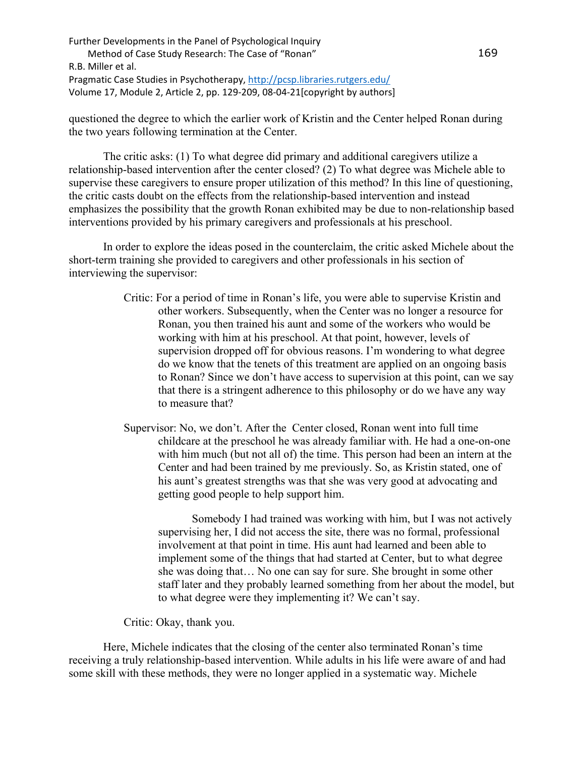questioned the degree to which the earlier work of Kristin and the Center helped Ronan during the two years following termination at the Center.

The critic asks: (1) To what degree did primary and additional caregivers utilize a relationship-based intervention after the center closed? (2) To what degree was Michele able to supervise these caregivers to ensure proper utilization of this method? In this line of questioning, the critic casts doubt on the effects from the relationship-based intervention and instead emphasizes the possibility that the growth Ronan exhibited may be due to non-relationship based interventions provided by his primary caregivers and professionals at his preschool.

 In order to explore the ideas posed in the counterclaim, the critic asked Michele about the short-term training she provided to caregivers and other professionals in his section of interviewing the supervisor:

- Critic: For a period of time in Ronan's life, you were able to supervise Kristin and other workers. Subsequently, when the Center was no longer a resource for Ronan, you then trained his aunt and some of the workers who would be working with him at his preschool. At that point, however, levels of supervision dropped off for obvious reasons. I'm wondering to what degree do we know that the tenets of this treatment are applied on an ongoing basis to Ronan? Since we don't have access to supervision at this point, can we say that there is a stringent adherence to this philosophy or do we have any way to measure that?
- Supervisor: No, we don't. After the Center closed, Ronan went into full time childcare at the preschool he was already familiar with. He had a one-on-one with him much (but not all of) the time. This person had been an intern at the Center and had been trained by me previously. So, as Kristin stated, one of his aunt's greatest strengths was that she was very good at advocating and getting good people to help support him.

 Somebody I had trained was working with him, but I was not actively supervising her, I did not access the site, there was no formal, professional involvement at that point in time. His aunt had learned and been able to implement some of the things that had started at Center, but to what degree she was doing that… No one can say for sure. She brought in some other staff later and they probably learned something from her about the model, but to what degree were they implementing it? We can't say.

Critic: Okay, thank you.

Here, Michele indicates that the closing of the center also terminated Ronan's time receiving a truly relationship-based intervention. While adults in his life were aware of and had some skill with these methods, they were no longer applied in a systematic way. Michele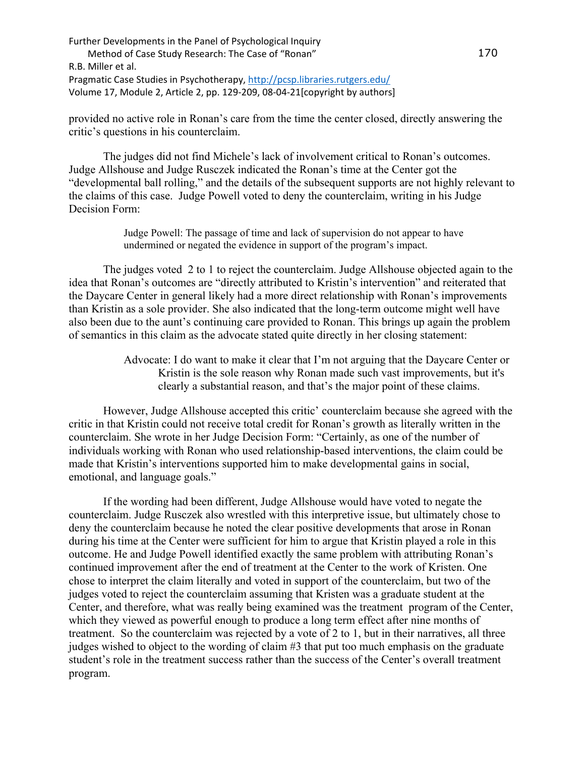provided no active role in Ronan's care from the time the center closed, directly answering the critic's questions in his counterclaim.

 The judges did not find Michele's lack of involvement critical to Ronan's outcomes. Judge Allshouse and Judge Rusczek indicated the Ronan's time at the Center got the "developmental ball rolling," and the details of the subsequent supports are not highly relevant to the claims of this case. Judge Powell voted to deny the counterclaim, writing in his Judge Decision Form:

> Judge Powell: The passage of time and lack of supervision do not appear to have undermined or negated the evidence in support of the program's impact.

The judges voted 2 to 1 to reject the counterclaim. Judge Allshouse objected again to the idea that Ronan's outcomes are "directly attributed to Kristin's intervention" and reiterated that the Daycare Center in general likely had a more direct relationship with Ronan's improvements than Kristin as a sole provider. She also indicated that the long-term outcome might well have also been due to the aunt's continuing care provided to Ronan. This brings up again the problem of semantics in this claim as the advocate stated quite directly in her closing statement:

> Advocate: I do want to make it clear that I'm not arguing that the Daycare Center or Kristin is the sole reason why Ronan made such vast improvements, but it's clearly a substantial reason, and that's the major point of these claims.

However, Judge Allshouse accepted this critic' counterclaim because she agreed with the critic in that Kristin could not receive total credit for Ronan's growth as literally written in the counterclaim. She wrote in her Judge Decision Form: "Certainly, as one of the number of individuals working with Ronan who used relationship-based interventions, the claim could be made that Kristin's interventions supported him to make developmental gains in social, emotional, and language goals."

If the wording had been different, Judge Allshouse would have voted to negate the counterclaim. Judge Rusczek also wrestled with this interpretive issue, but ultimately chose to deny the counterclaim because he noted the clear positive developments that arose in Ronan during his time at the Center were sufficient for him to argue that Kristin played a role in this outcome. He and Judge Powell identified exactly the same problem with attributing Ronan's continued improvement after the end of treatment at the Center to the work of Kristen. One chose to interpret the claim literally and voted in support of the counterclaim, but two of the judges voted to reject the counterclaim assuming that Kristen was a graduate student at the Center, and therefore, what was really being examined was the treatment program of the Center, which they viewed as powerful enough to produce a long term effect after nine months of treatment. So the counterclaim was rejected by a vote of 2 to 1, but in their narratives, all three judges wished to object to the wording of claim #3 that put too much emphasis on the graduate student's role in the treatment success rather than the success of the Center's overall treatment program.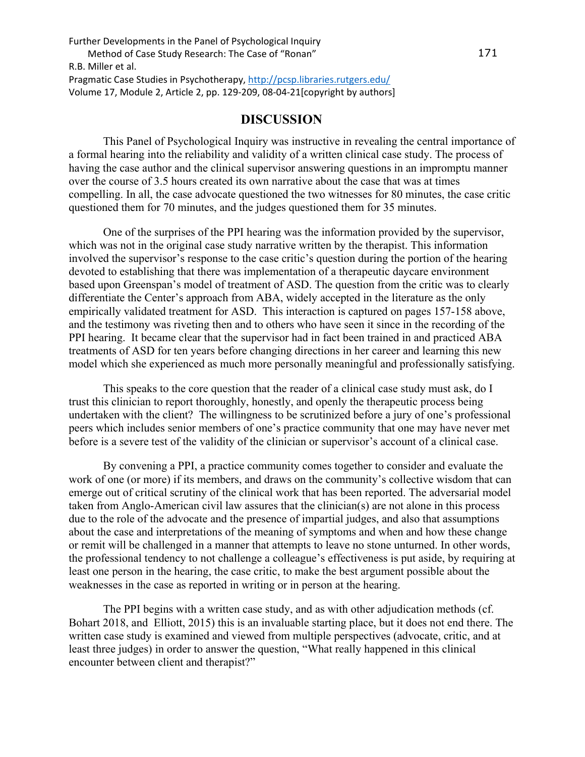# **DISCUSSION**

This Panel of Psychological Inquiry was instructive in revealing the central importance of a formal hearing into the reliability and validity of a written clinical case study. The process of having the case author and the clinical supervisor answering questions in an impromptu manner over the course of 3.5 hours created its own narrative about the case that was at times compelling. In all, the case advocate questioned the two witnesses for 80 minutes, the case critic questioned them for 70 minutes, and the judges questioned them for 35 minutes.

One of the surprises of the PPI hearing was the information provided by the supervisor, which was not in the original case study narrative written by the therapist. This information involved the supervisor's response to the case critic's question during the portion of the hearing devoted to establishing that there was implementation of a therapeutic daycare environment based upon Greenspan's model of treatment of ASD. The question from the critic was to clearly differentiate the Center's approach from ABA, widely accepted in the literature as the only empirically validated treatment for ASD. This interaction is captured on pages 157-158 above, and the testimony was riveting then and to others who have seen it since in the recording of the PPI hearing. It became clear that the supervisor had in fact been trained in and practiced ABA treatments of ASD for ten years before changing directions in her career and learning this new model which she experienced as much more personally meaningful and professionally satisfying.

This speaks to the core question that the reader of a clinical case study must ask, do I trust this clinician to report thoroughly, honestly, and openly the therapeutic process being undertaken with the client? The willingness to be scrutinized before a jury of one's professional peers which includes senior members of one's practice community that one may have never met before is a severe test of the validity of the clinician or supervisor's account of a clinical case.

By convening a PPI, a practice community comes together to consider and evaluate the work of one (or more) if its members, and draws on the community's collective wisdom that can emerge out of critical scrutiny of the clinical work that has been reported. The adversarial model taken from Anglo-American civil law assures that the clinician(s) are not alone in this process due to the role of the advocate and the presence of impartial judges, and also that assumptions about the case and interpretations of the meaning of symptoms and when and how these change or remit will be challenged in a manner that attempts to leave no stone unturned. In other words, the professional tendency to not challenge a colleague's effectiveness is put aside, by requiring at least one person in the hearing, the case critic, to make the best argument possible about the weaknesses in the case as reported in writing or in person at the hearing.

 The PPI begins with a written case study, and as with other adjudication methods (cf. Bohart 2018, and Elliott, 2015) this is an invaluable starting place, but it does not end there. The written case study is examined and viewed from multiple perspectives (advocate, critic, and at least three judges) in order to answer the question, "What really happened in this clinical encounter between client and therapist?"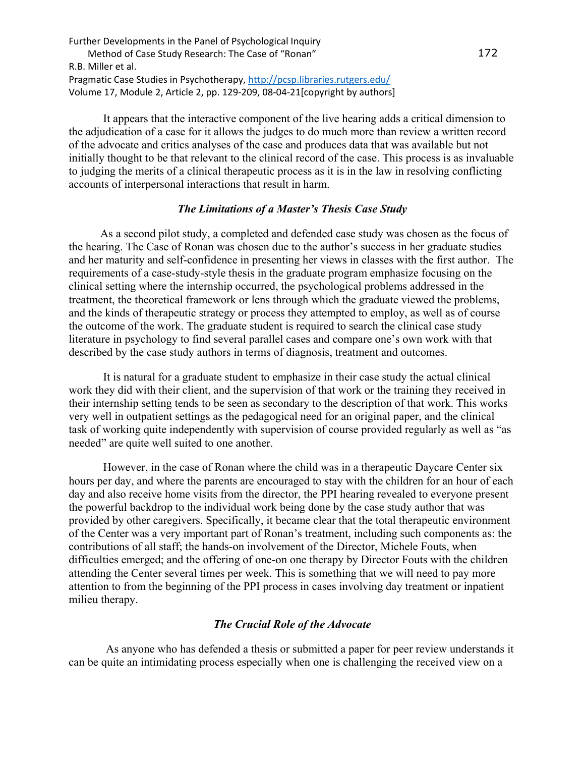It appears that the interactive component of the live hearing adds a critical dimension to the adjudication of a case for it allows the judges to do much more than review a written record of the advocate and critics analyses of the case and produces data that was available but not initially thought to be that relevant to the clinical record of the case. This process is as invaluable to judging the merits of a clinical therapeutic process as it is in the law in resolving conflicting accounts of interpersonal interactions that result in harm.

## *The Limitations of a Master's Thesis Case Study*

 As a second pilot study, a completed and defended case study was chosen as the focus of the hearing. The Case of Ronan was chosen due to the author's success in her graduate studies and her maturity and self-confidence in presenting her views in classes with the first author. The requirements of a case-study-style thesis in the graduate program emphasize focusing on the clinical setting where the internship occurred, the psychological problems addressed in the treatment, the theoretical framework or lens through which the graduate viewed the problems, and the kinds of therapeutic strategy or process they attempted to employ, as well as of course the outcome of the work. The graduate student is required to search the clinical case study literature in psychology to find several parallel cases and compare one's own work with that described by the case study authors in terms of diagnosis, treatment and outcomes.

It is natural for a graduate student to emphasize in their case study the actual clinical work they did with their client, and the supervision of that work or the training they received in their internship setting tends to be seen as secondary to the description of that work. This works very well in outpatient settings as the pedagogical need for an original paper, and the clinical task of working quite independently with supervision of course provided regularly as well as "as needed" are quite well suited to one another.

However, in the case of Ronan where the child was in a therapeutic Daycare Center six hours per day, and where the parents are encouraged to stay with the children for an hour of each day and also receive home visits from the director, the PPI hearing revealed to everyone present the powerful backdrop to the individual work being done by the case study author that was provided by other caregivers. Specifically, it became clear that the total therapeutic environment of the Center was a very important part of Ronan's treatment, including such components as: the contributions of all staff; the hands-on involvement of the Director, Michele Fouts, when difficulties emerged; and the offering of one-on one therapy by Director Fouts with the children attending the Center several times per week. This is something that we will need to pay more attention to from the beginning of the PPI process in cases involving day treatment or inpatient milieu therapy.

### *The Crucial Role of the Advocate*

 As anyone who has defended a thesis or submitted a paper for peer review understands it can be quite an intimidating process especially when one is challenging the received view on a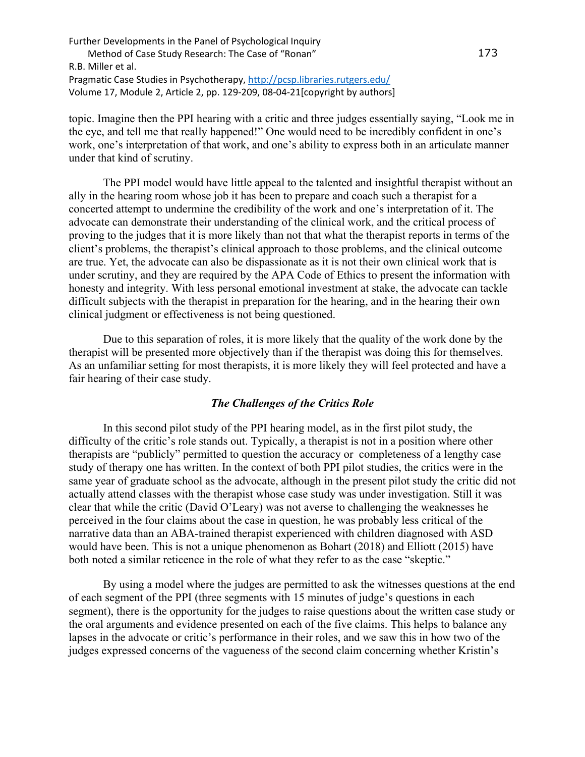topic. Imagine then the PPI hearing with a critic and three judges essentially saying, "Look me in the eye, and tell me that really happened!" One would need to be incredibly confident in one's work, one's interpretation of that work, and one's ability to express both in an articulate manner under that kind of scrutiny.

 The PPI model would have little appeal to the talented and insightful therapist without an ally in the hearing room whose job it has been to prepare and coach such a therapist for a concerted attempt to undermine the credibility of the work and one's interpretation of it. The advocate can demonstrate their understanding of the clinical work, and the critical process of proving to the judges that it is more likely than not that what the therapist reports in terms of the client's problems, the therapist's clinical approach to those problems, and the clinical outcome are true. Yet, the advocate can also be dispassionate as it is not their own clinical work that is under scrutiny, and they are required by the APA Code of Ethics to present the information with honesty and integrity. With less personal emotional investment at stake, the advocate can tackle difficult subjects with the therapist in preparation for the hearing, and in the hearing their own clinical judgment or effectiveness is not being questioned.

 Due to this separation of roles, it is more likely that the quality of the work done by the therapist will be presented more objectively than if the therapist was doing this for themselves. As an unfamiliar setting for most therapists, it is more likely they will feel protected and have a fair hearing of their case study.

## *The Challenges of the Critics Role*

 In this second pilot study of the PPI hearing model, as in the first pilot study, the difficulty of the critic's role stands out. Typically, a therapist is not in a position where other therapists are "publicly" permitted to question the accuracy or completeness of a lengthy case study of therapy one has written. In the context of both PPI pilot studies, the critics were in the same year of graduate school as the advocate, although in the present pilot study the critic did not actually attend classes with the therapist whose case study was under investigation. Still it was clear that while the critic (David O'Leary) was not averse to challenging the weaknesses he perceived in the four claims about the case in question, he was probably less critical of the narrative data than an ABA-trained therapist experienced with children diagnosed with ASD would have been. This is not a unique phenomenon as Bohart (2018) and Elliott (2015) have both noted a similar reticence in the role of what they refer to as the case "skeptic."

 By using a model where the judges are permitted to ask the witnesses questions at the end of each segment of the PPI (three segments with 15 minutes of judge's questions in each segment), there is the opportunity for the judges to raise questions about the written case study or the oral arguments and evidence presented on each of the five claims. This helps to balance any lapses in the advocate or critic's performance in their roles, and we saw this in how two of the judges expressed concerns of the vagueness of the second claim concerning whether Kristin's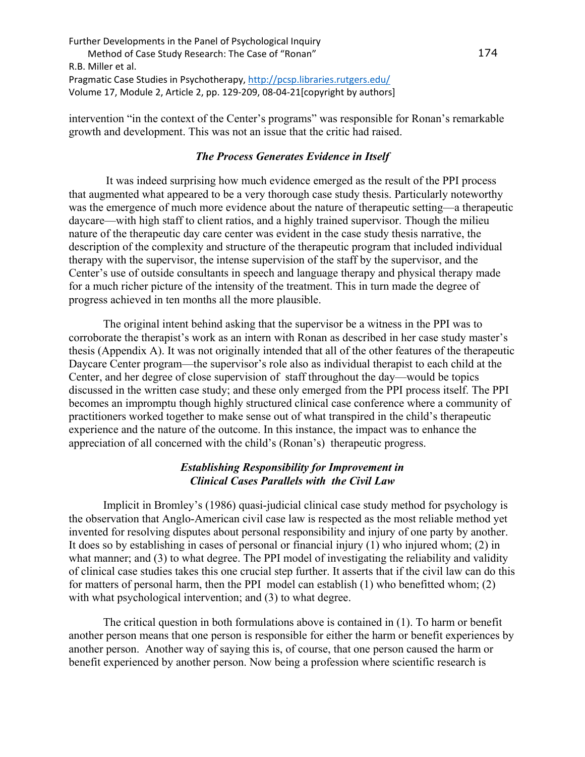intervention "in the context of the Center's programs" was responsible for Ronan's remarkable growth and development. This was not an issue that the critic had raised.

## *The Process Generates Evidence in Itself*

 It was indeed surprising how much evidence emerged as the result of the PPI process that augmented what appeared to be a very thorough case study thesis. Particularly noteworthy was the emergence of much more evidence about the nature of therapeutic setting—a therapeutic daycare—with high staff to client ratios, and a highly trained supervisor. Though the milieu nature of the therapeutic day care center was evident in the case study thesis narrative, the description of the complexity and structure of the therapeutic program that included individual therapy with the supervisor, the intense supervision of the staff by the supervisor, and the Center's use of outside consultants in speech and language therapy and physical therapy made for a much richer picture of the intensity of the treatment. This in turn made the degree of progress achieved in ten months all the more plausible.

The original intent behind asking that the supervisor be a witness in the PPI was to corroborate the therapist's work as an intern with Ronan as described in her case study master's thesis (Appendix A). It was not originally intended that all of the other features of the therapeutic Daycare Center program—the supervisor's role also as individual therapist to each child at the Center, and her degree of close supervision of staff throughout the day—would be topics discussed in the written case study; and these only emerged from the PPI process itself. The PPI becomes an impromptu though highly structured clinical case conference where a community of practitioners worked together to make sense out of what transpired in the child's therapeutic experience and the nature of the outcome. In this instance, the impact was to enhance the appreciation of all concerned with the child's (Ronan's) therapeutic progress.

## *Establishing Responsibility for Improvement in Clinical Cases Parallels with the Civil Law*

Implicit in Bromley's (1986) quasi-judicial clinical case study method for psychology is the observation that Anglo-American civil case law is respected as the most reliable method yet invented for resolving disputes about personal responsibility and injury of one party by another. It does so by establishing in cases of personal or financial injury (1) who injured whom; (2) in what manner; and (3) to what degree. The PPI model of investigating the reliability and validity of clinical case studies takes this one crucial step further. It asserts that if the civil law can do this for matters of personal harm, then the PPI model can establish (1) who benefitted whom; (2) with what psychological intervention; and (3) to what degree.

 The critical question in both formulations above is contained in (1). To harm or benefit another person means that one person is responsible for either the harm or benefit experiences by another person. Another way of saying this is, of course, that one person caused the harm or benefit experienced by another person. Now being a profession where scientific research is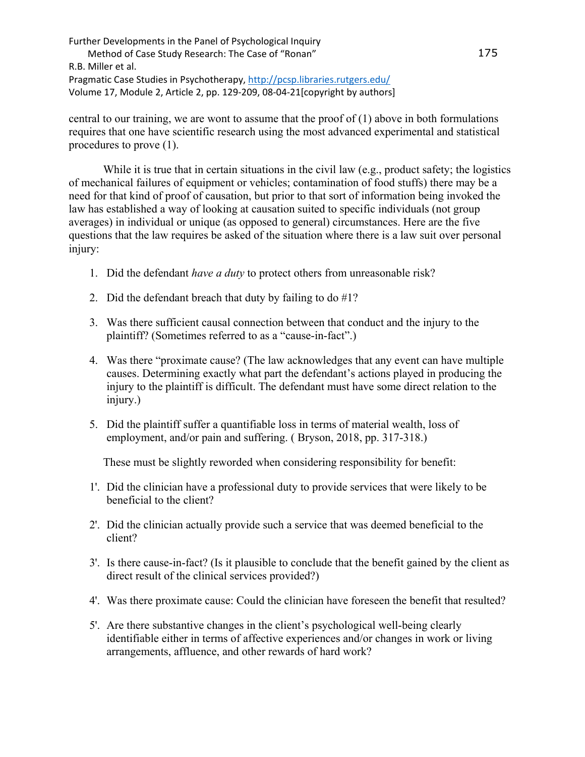central to our training, we are wont to assume that the proof of (1) above in both formulations requires that one have scientific research using the most advanced experimental and statistical procedures to prove (1).

While it is true that in certain situations in the civil law (e.g., product safety; the logistics of mechanical failures of equipment or vehicles; contamination of food stuffs) there may be a need for that kind of proof of causation, but prior to that sort of information being invoked the law has established a way of looking at causation suited to specific individuals (not group averages) in individual or unique (as opposed to general) circumstances. Here are the five questions that the law requires be asked of the situation where there is a law suit over personal injury:

- 1. Did the defendant *have a duty* to protect others from unreasonable risk?
- 2. Did the defendant breach that duty by failing to do  $#1$ ?
- 3. Was there sufficient causal connection between that conduct and the injury to the plaintiff? (Sometimes referred to as a "cause-in-fact".)
- 4. Was there "proximate cause? (The law acknowledges that any event can have multiple causes. Determining exactly what part the defendant's actions played in producing the injury to the plaintiff is difficult. The defendant must have some direct relation to the injury.)
- 5. Did the plaintiff suffer a quantifiable loss in terms of material wealth, loss of employment, and/or pain and suffering. ( Bryson, 2018, pp. 317-318.)

These must be slightly reworded when considering responsibility for benefit:

- 1'. Did the clinician have a professional duty to provide services that were likely to be beneficial to the client?
- 2'. Did the clinician actually provide such a service that was deemed beneficial to the client?
- 3'. Is there cause-in-fact? (Is it plausible to conclude that the benefit gained by the client as direct result of the clinical services provided?)
- 4'. Was there proximate cause: Could the clinician have foreseen the benefit that resulted?
- 5'. Are there substantive changes in the client's psychological well-being clearly identifiable either in terms of affective experiences and/or changes in work or living arrangements, affluence, and other rewards of hard work?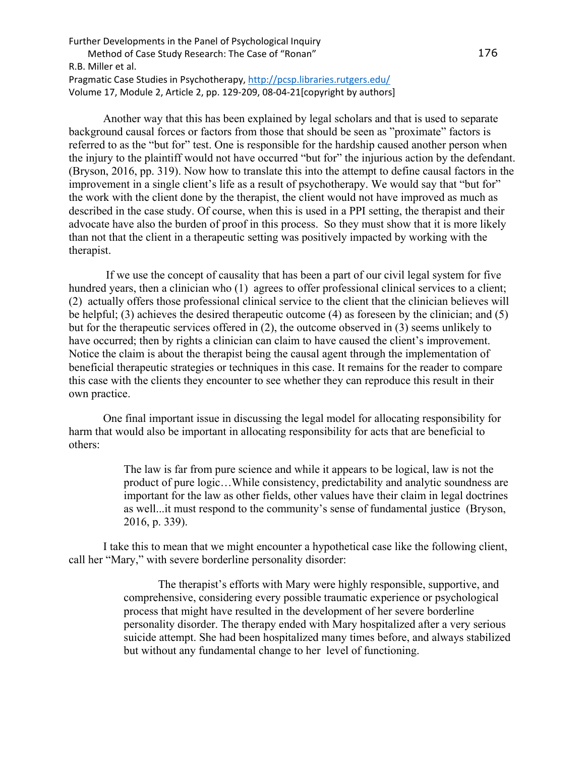Another way that this has been explained by legal scholars and that is used to separate background causal forces or factors from those that should be seen as "proximate" factors is referred to as the "but for" test. One is responsible for the hardship caused another person when the injury to the plaintiff would not have occurred "but for" the injurious action by the defendant. (Bryson, 2016, pp. 319). Now how to translate this into the attempt to define causal factors in the improvement in a single client's life as a result of psychotherapy. We would say that "but for" the work with the client done by the therapist, the client would not have improved as much as described in the case study. Of course, when this is used in a PPI setting, the therapist and their advocate have also the burden of proof in this process. So they must show that it is more likely than not that the client in a therapeutic setting was positively impacted by working with the therapist.

If we use the concept of causality that has been a part of our civil legal system for five hundred years, then a clinician who (1) agrees to offer professional clinical services to a client; (2) actually offers those professional clinical service to the client that the clinician believes will be helpful; (3) achieves the desired therapeutic outcome (4) as foreseen by the clinician; and (5) but for the therapeutic services offered in (2), the outcome observed in (3) seems unlikely to have occurred; then by rights a clinician can claim to have caused the client's improvement. Notice the claim is about the therapist being the causal agent through the implementation of beneficial therapeutic strategies or techniques in this case. It remains for the reader to compare this case with the clients they encounter to see whether they can reproduce this result in their own practice.

One final important issue in discussing the legal model for allocating responsibility for harm that would also be important in allocating responsibility for acts that are beneficial to others:

> The law is far from pure science and while it appears to be logical, law is not the product of pure logic…While consistency, predictability and analytic soundness are important for the law as other fields, other values have their claim in legal doctrines as well...it must respond to the community's sense of fundamental justice (Bryson, 2016, p. 339).

I take this to mean that we might encounter a hypothetical case like the following client, call her "Mary," with severe borderline personality disorder:

> The therapist's efforts with Mary were highly responsible, supportive, and comprehensive, considering every possible traumatic experience or psychological process that might have resulted in the development of her severe borderline personality disorder. The therapy ended with Mary hospitalized after a very serious suicide attempt. She had been hospitalized many times before, and always stabilized but without any fundamental change to her level of functioning.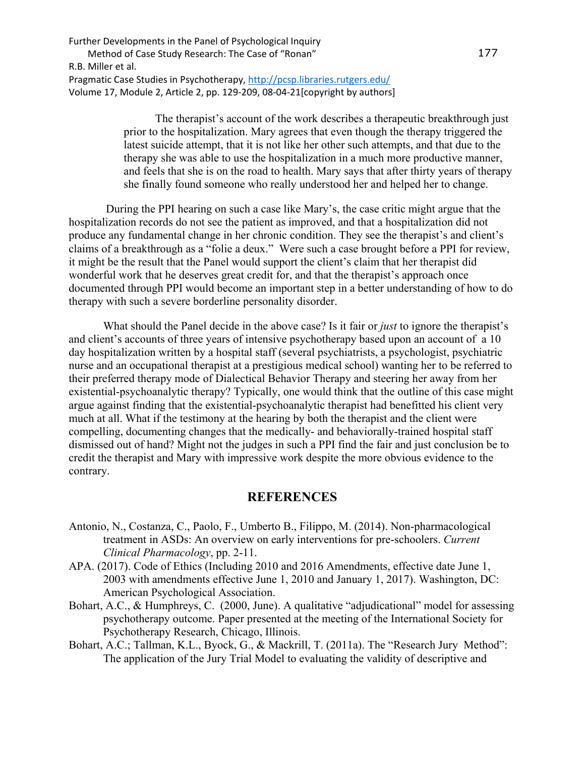> The therapist's account of the work describes a therapeutic breakthrough just prior to the hospitalization. Mary agrees that even though the therapy triggered the latest suicide attempt, that it is not like her other such attempts, and that due to the therapy she was able to use the hospitalization in a much more productive manner, and feels that she is on the road to health. Mary says that after thirty years of therapy she finally found someone who really understood her and helped her to change.

 During the PPI hearing on such a case like Mary's, the case critic might argue that the hospitalization records do not see the patient as improved, and that a hospitalization did not produce any fundamental change in her chronic condition. They see the therapist's and client's claims of a breakthrough as a "folie a deux." Were such a case brought before a PPI for review, it might be the result that the Panel would support the client's claim that her therapist did wonderful work that he deserves great credit for, and that the therapist's approach once documented through PPI would become an important step in a better understanding of how to do therapy with such a severe borderline personality disorder.

What should the Panel decide in the above case? Is it fair or *just* to ignore the therapist's and client's accounts of three years of intensive psychotherapy based upon an account of a 10 day hospitalization written by a hospital staff (several psychiatrists, a psychologist, psychiatric nurse and an occupational therapist at a prestigious medical school) wanting her to be referred to their preferred therapy mode of Dialectical Behavior Therapy and steering her away from her existential-psychoanalytic therapy? Typically, one would think that the outline of this case might argue against finding that the existential-psychoanalytic therapist had benefitted his client very much at all. What if the testimony at the hearing by both the therapist and the client were compelling, documenting changes that the medically- and behaviorally-trained hospital staff dismissed out of hand? Might not the judges in such a PPI find the fair and just conclusion be to credit the therapist and Mary with impressive work despite the more obvious evidence to the contrary.

## **REFERENCES**

- Antonio, N., Costanza, C., Paolo, F., Umberto B., Filippo, M. (2014). Non-pharmacological treatment in ASDs: An overview on early interventions for pre-schoolers. *Current Clinical Pharmacology*, pp. 2-11.
- APA. (2017). Code of Ethics (Including 2010 and 2016 Amendments, effective date June 1, 2003 with amendments effective June 1, 2010 and January 1, 2017). Washington, DC: American Psychological Association.
- Bohart, A.C., & Humphreys, C. (2000, June). A qualitative "adjudicational" model for assessing psychotherapy outcome. Paper presented at the meeting of the International Society for Psychotherapy Research, Chicago, Illinois.
- Bohart, A.C.; Tallman, K.L., Byock, G., & Mackrill, T. (2011a). The "Research Jury Method": The application of the Jury Trial Model to evaluating the validity of descriptive and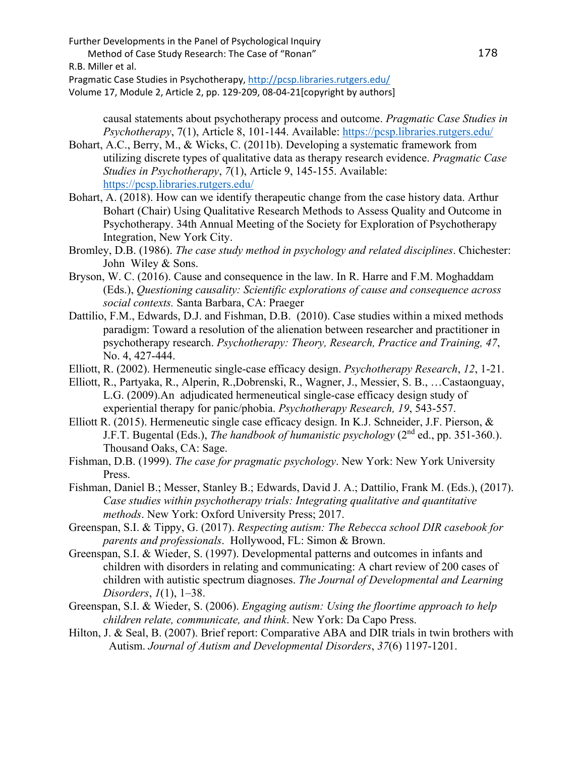Further Developments in the Panel of Psychological Inquiry

Method of Case Study Research: The Case of "Ronan"

R.B. Miller et al.

Pragmatic Case Studies in Psychotherapy,<http://pcsp.libraries.rutgers.edu/>

Volume 17, Module 2, Article 2, pp. 129-209, 08-04-21[copyright by authors]

causal statements about psychotherapy process and outcome. *Pragmatic Case Studies in Psychotherapy*, 7(1), Article 8, 101-144. Available:<https://pcsp.libraries.rutgers.edu/>

- Bohart, A.C., Berry, M., & Wicks, C. (2011b). Developing a systematic framework from utilizing discrete types of qualitative data as therapy research evidence. *Pragmatic Case Studies in Psychotherapy*, *7*(1), Article 9, 145-155. Available: <https://pcsp.libraries.rutgers.edu/>
- Bohart, A. (2018). How can we identify therapeutic change from the case history data. Arthur Bohart (Chair) Using Qualitative Research Methods to Assess Quality and Outcome in Psychotherapy. 34th Annual Meeting of the Society for Exploration of Psychotherapy Integration, New York City.
- Bromley, D.B. (1986). *The case study method in psychology and related disciplines*. Chichester: John Wiley & Sons.
- Bryson, W. C. (2016). Cause and consequence in the law. In R. Harre and F.M. Moghaddam (Eds.), *Questioning causality: Scientific explorations of cause and consequence across social contexts.* Santa Barbara, CA: Praeger
- Dattilio, F.M., Edwards, D.J. and Fishman, D.B. (2010). Case studies within a mixed methods paradigm: Toward a resolution of the alienation between researcher and practitioner in psychotherapy research. *Psychotherapy: Theory, Research, Practice and Training, 47*, No. 4, 427-444.
- Elliott, R. (2002). Hermeneutic single-case efficacy design. *Psychotherapy Research*, *12*, 1-21.
- Elliott, R., Partyaka, R., Alperin, R.,Dobrenski, R., Wagner, J., Messier, S. B., …Castaonguay, L.G. (2009).An adjudicated hermeneutical single-case efficacy design study of experiential therapy for panic/phobia. *Psychotherapy Research, 19*, 543-557.
- Elliott R. (2015). Hermeneutic single case efficacy design. In K.J. Schneider, J.F. Pierson, & J.F.T. Bugental (Eds.), *The handbook of humanistic psychology* (2nd ed., pp. 351-360.). Thousand Oaks, CA: Sage.
- Fishman, D.B. (1999). *The case for pragmatic psychology*. New York: New York University Press.
- Fishman, Daniel B.; Messer, Stanley B.; Edwards, David J. A.; Dattilio, Frank M. (Eds.), (2017). *Case studies within psychotherapy trials: Integrating qualitative and quantitative methods*. New York: Oxford University Press; 2017.
- Greenspan, S.I. & Tippy, G. (2017). *Respecting autism: The Rebecca school DIR casebook for parents and professionals*. Hollywood, FL: Simon & Brown.
- Greenspan, S.I. & Wieder, S. (1997). Developmental patterns and outcomes in infants and children with disorders in relating and communicating: A chart review of 200 cases of children with autistic spectrum diagnoses. *The Journal of Developmental and Learning Disorders*, *1*(1), 1–38.
- Greenspan, S.I. & Wieder, S. (2006). *Engaging autism: Using the floortime approach to help children relate, communicate, and think*. New York: Da Capo Press.
- Hilton, J. & Seal, B. (2007). Brief report: Comparative ABA and DIR trials in twin brothers with Autism. *Journal of Autism and Developmental Disorders*, *37*(6) 1197-1201.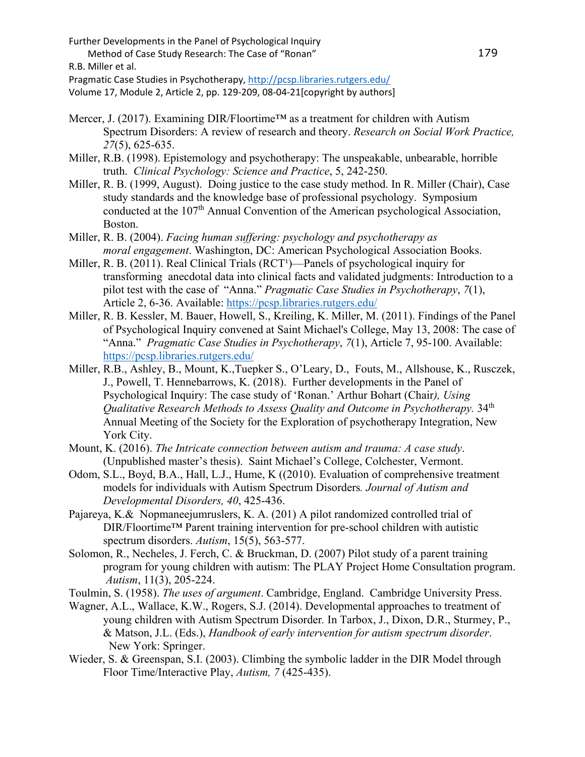Method of Case Study Research: The Case of "Ronan"

R.B. Miller et al.

Pragmatic Case Studies in Psychotherapy,<http://pcsp.libraries.rutgers.edu/>

Volume 17, Module 2, Article 2, pp. 129-209, 08-04-21[copyright by authors]

- Mercer, J. (2017). Examining DIR/Floortime™ as a treatment for children with Autism Spectrum Disorders: A review of research and theory. *Research on Social Work Practice, 27*(5), 625-635.
- Miller, R.B. (1998). Epistemology and psychotherapy: The unspeakable, unbearable, horrible truth. *Clinical Psychology: Science and Practice*, 5, 242-250.
- Miller, R. B. (1999, August). Doing justice to the case study method. In R. Miller (Chair), Case study standards and the knowledge base of professional psychology. Symposium conducted at the 107<sup>th</sup> Annual Convention of the American psychological Association, Boston.
- Miller, R. B. (2004). *Facing human suffering: psychology and psychotherapy as moral engagement*. Washington, DC: American Psychological Association Books.
- Miller, R. B.  $(2011)$ . Real Clinical Trials  $(RCT<sup>1</sup>)$ —Panels of psychological inquiry for transforming anecdotal data into clinical facts and validated judgments: Introduction to a pilot test with the case of "Anna." *Pragmatic Case Studies in Psychotherapy*, *7*(1), Article 2, 6-36. Available: <https://pcsp.libraries.rutgers.edu/>
- Miller, R. B. Kessler, M. Bauer, Howell, S., Kreiling, K. Miller, M. (2011). Findings of the Panel of Psychological Inquiry convened at Saint Michael's College, May 13, 2008: The case of "Anna." *Pragmatic Case Studies in Psychotherapy*, *7*(1), Article 7, 95-100. Available: <https://pcsp.libraries.rutgers.edu/>
- Miller, R.B., Ashley, B., Mount, K.,Tuepker S., O'Leary, D., Fouts, M., Allshouse, K., Rusczek, J., Powell, T. Hennebarrows, K. (2018). Further developments in the Panel of Psychological Inquiry: The case study of 'Ronan.' Arthur Bohart (Chair*), Using Qualitative Research Methods to Assess Quality and Outcome in Psychotherapy.* 34th Annual Meeting of the Society for the Exploration of psychotherapy Integration, New York City.
- Mount, K. (2016). *The Intricate connection between autism and trauma: A case study*. (Unpublished master's thesis). Saint Michael's College, Colchester, Vermont.
- Odom, S.L., Boyd, B.A., Hall, L.J., Hume, K ((2010). Evaluation of comprehensive treatment models for individuals with Autism Spectrum Disorders*. Journal of Autism and Developmental Disorders, 40*, 425-436.
- Pajareya, K.& Nopmaneejumruslers, K. A. (201) A pilot randomized controlled trial of DIR/Floortime™ Parent training intervention for pre-school children with autistic spectrum disorders. *Autism*, 15(5), 563-577.
- Solomon, R., Necheles, J. Ferch, C. & Bruckman, D. (2007) Pilot study of a parent training program for young children with autism: The PLAY Project Home Consultation program. *Autism*, 11(3), 205-224.
- Toulmin, S. (1958). *The uses of argument*. Cambridge, England. Cambridge University Press.
- Wagner, A.L., Wallace, K.W., Rogers, S.J. (2014). Developmental approaches to treatment of young children with Autism Spectrum Disorder*.* In Tarbox, J., Dixon, D.R., Sturmey, P., & Matson, J.L. (Eds.), *Handbook of early intervention for autism spectrum disorder*. New York: Springer.
- Wieder, S. & Greenspan, S.I. (2003). Climbing the symbolic ladder in the DIR Model through Floor Time/Interactive Play, *Autism, 7* (425-435).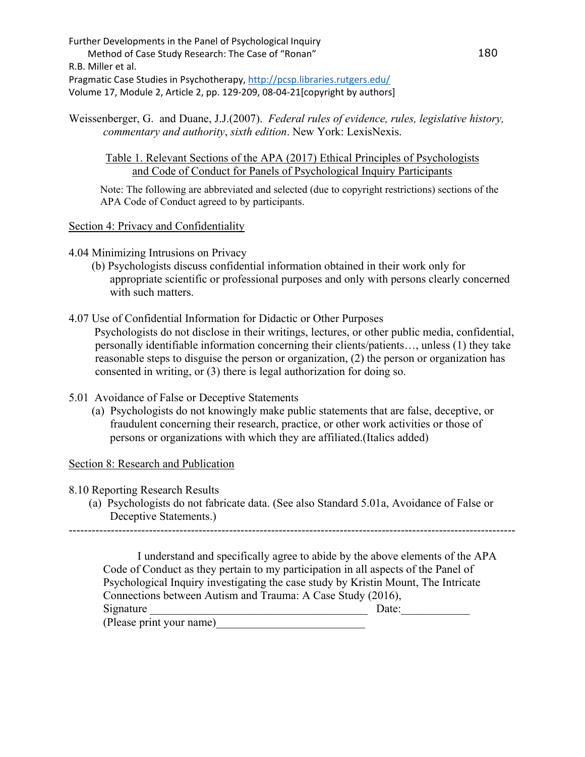Weissenberger, G. and Duane, J.J.(2007). *Federal rules of evidence, rules, legislative history, commentary and authority*, *sixth edition*. New York: LexisNexis.

Table 1. Relevant Sections of the APA (2017) Ethical Principles of Psychologists and Code of Conduct for Panels of Psychological Inquiry Participants

 Note: The following are abbreviated and selected (due to copyright restrictions) sections of the APA Code of Conduct agreed to by participants.

Section 4: Privacy and Confidentiality

4.04 Minimizing Intrusions on Privacy

- (b) Psychologists discuss confidential information obtained in their work only for appropriate scientific or professional purposes and only with persons clearly concerned with such matters.
- 4.07 Use of Confidential Information for Didactic or Other Purposes

 Psychologists do not disclose in their writings, lectures, or other public media, confidential, personally identifiable information concerning their clients/patients…, unless (1) they take reasonable steps to disguise the person or organization, (2) the person or organization has consented in writing, or (3) there is legal authorization for doing so.

- 5.01 Avoidance of False or Deceptive Statements
	- (a) Psychologists do not knowingly make public statements that are false, deceptive, or fraudulent concerning their research, practice, or other work activities or those of persons or organizations with which they are affiliated.(Italics added)

Section 8: Research and Publication

8.10 Reporting Research Results

 (a) Psychologists do not fabricate data. (See also Standard 5.01a, Avoidance of False or Deceptive Statements.)

---------------------------------------------------------------------------------------------------------------------

| I understand and specifically agree to abide by the above elements of the APA      |       |
|------------------------------------------------------------------------------------|-------|
| Code of Conduct as they pertain to my participation in all aspects of the Panel of |       |
| Psychological Inquiry investigating the case study by Kristin Mount, The Intricate |       |
| Connections between Autism and Trauma: A Case Study (2016),                        |       |
| Signature                                                                          | Date: |
| (Please print your name)                                                           |       |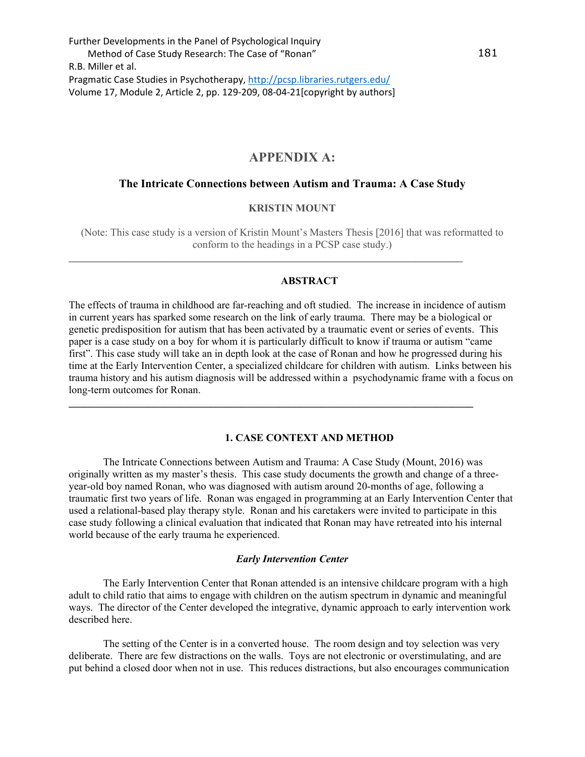# **APPENDIX A:**

### **The Intricate Connections between Autism and Trauma: A Case Study**

## **KRISTIN MOUNT**

(Note: This case study is a version of Kristin Mount's Masters Thesis [2016] that was reformatted to conform to the headings in a PCSP case study.)

**\_\_\_\_\_\_\_\_\_\_\_\_\_\_\_\_\_\_\_\_\_\_\_\_\_\_\_\_\_\_\_\_\_\_\_\_\_\_\_\_\_\_\_\_\_\_\_\_\_\_\_\_\_\_\_\_\_\_\_\_\_\_\_\_\_\_\_\_\_\_\_\_\_\_\_** 

### **ABSTRACT**

The effects of trauma in childhood are far-reaching and oft studied. The increase in incidence of autism in current years has sparked some research on the link of early trauma. There may be a biological or genetic predisposition for autism that has been activated by a traumatic event or series of events. This paper is a case study on a boy for whom it is particularly difficult to know if trauma or autism "came first". This case study will take an in depth look at the case of Ronan and how he progressed during his time at the Early Intervention Center, a specialized childcare for children with autism. Links between his trauma history and his autism diagnosis will be addressed within a psychodynamic frame with a focus on long-term outcomes for Ronan.

**\_\_\_\_\_\_\_\_\_\_\_\_\_\_\_\_\_\_\_\_\_\_\_\_\_\_\_\_\_\_\_\_\_\_\_\_\_\_\_\_\_\_\_\_\_\_\_\_\_\_\_\_\_\_\_\_\_\_\_\_\_\_\_\_\_\_\_\_\_\_\_\_\_\_\_\_\_**

## **1. CASE CONTEXT AND METHOD**

The Intricate Connections between Autism and Trauma: A Case Study (Mount, 2016) was originally written as my master's thesis. This case study documents the growth and change of a threeyear-old boy named Ronan, who was diagnosed with autism around 20-months of age, following a traumatic first two years of life. Ronan was engaged in programming at an Early Intervention Center that used a relational-based play therapy style. Ronan and his caretakers were invited to participate in this case study following a clinical evaluation that indicated that Ronan may have retreated into his internal world because of the early trauma he experienced.

#### *Early Intervention Center*

The Early Intervention Center that Ronan attended is an intensive childcare program with a high adult to child ratio that aims to engage with children on the autism spectrum in dynamic and meaningful ways. The director of the Center developed the integrative, dynamic approach to early intervention work described here.

The setting of the Center is in a converted house. The room design and toy selection was very deliberate. There are few distractions on the walls. Toys are not electronic or overstimulating, and are put behind a closed door when not in use. This reduces distractions, but also encourages communication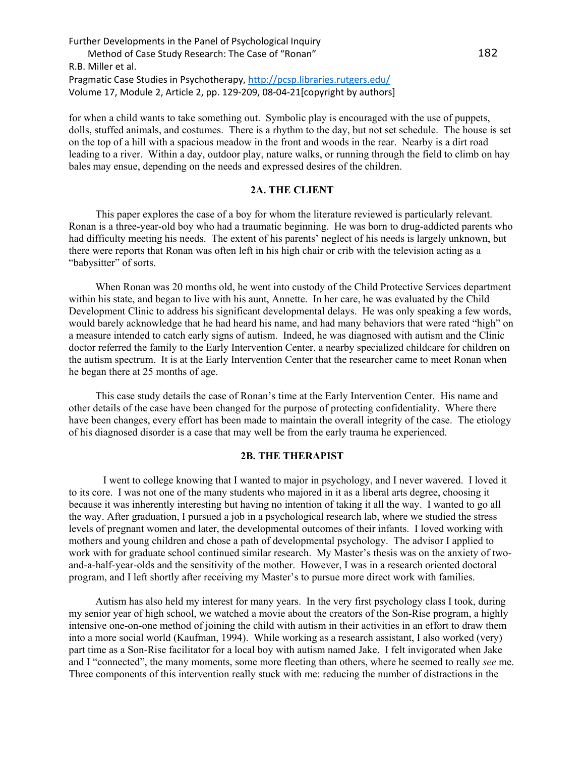for when a child wants to take something out. Symbolic play is encouraged with the use of puppets, dolls, stuffed animals, and costumes. There is a rhythm to the day, but not set schedule. The house is set on the top of a hill with a spacious meadow in the front and woods in the rear. Nearby is a dirt road leading to a river. Within a day, outdoor play, nature walks, or running through the field to climb on hay bales may ensue, depending on the needs and expressed desires of the children.

## **2A. THE CLIENT**

This paper explores the case of a boy for whom the literature reviewed is particularly relevant. Ronan is a three-year-old boy who had a traumatic beginning. He was born to drug-addicted parents who had difficulty meeting his needs. The extent of his parents' neglect of his needs is largely unknown, but there were reports that Ronan was often left in his high chair or crib with the television acting as a "babysitter" of sorts.

When Ronan was 20 months old, he went into custody of the Child Protective Services department within his state, and began to live with his aunt, Annette. In her care, he was evaluated by the Child Development Clinic to address his significant developmental delays. He was only speaking a few words, would barely acknowledge that he had heard his name, and had many behaviors that were rated "high" on a measure intended to catch early signs of autism. Indeed, he was diagnosed with autism and the Clinic doctor referred the family to the Early Intervention Center, a nearby specialized childcare for children on the autism spectrum. It is at the Early Intervention Center that the researcher came to meet Ronan when he began there at 25 months of age.

This case study details the case of Ronan's time at the Early Intervention Center. His name and other details of the case have been changed for the purpose of protecting confidentiality. Where there have been changes, every effort has been made to maintain the overall integrity of the case. The etiology of his diagnosed disorder is a case that may well be from the early trauma he experienced.

### **2B. THE THERAPIST**

I went to college knowing that I wanted to major in psychology, and I never wavered. I loved it to its core. I was not one of the many students who majored in it as a liberal arts degree, choosing it because it was inherently interesting but having no intention of taking it all the way. I wanted to go all the way. After graduation, I pursued a job in a psychological research lab, where we studied the stress levels of pregnant women and later, the developmental outcomes of their infants. I loved working with mothers and young children and chose a path of developmental psychology. The advisor I applied to work with for graduate school continued similar research. My Master's thesis was on the anxiety of twoand-a-half-year-olds and the sensitivity of the mother. However, I was in a research oriented doctoral program, and I left shortly after receiving my Master's to pursue more direct work with families.

Autism has also held my interest for many years. In the very first psychology class I took, during my senior year of high school, we watched a movie about the creators of the Son-Rise program, a highly intensive one-on-one method of joining the child with autism in their activities in an effort to draw them into a more social world (Kaufman, 1994). While working as a research assistant, I also worked (very) part time as a Son-Rise facilitator for a local boy with autism named Jake. I felt invigorated when Jake and I "connected", the many moments, some more fleeting than others, where he seemed to really *see* me. Three components of this intervention really stuck with me: reducing the number of distractions in the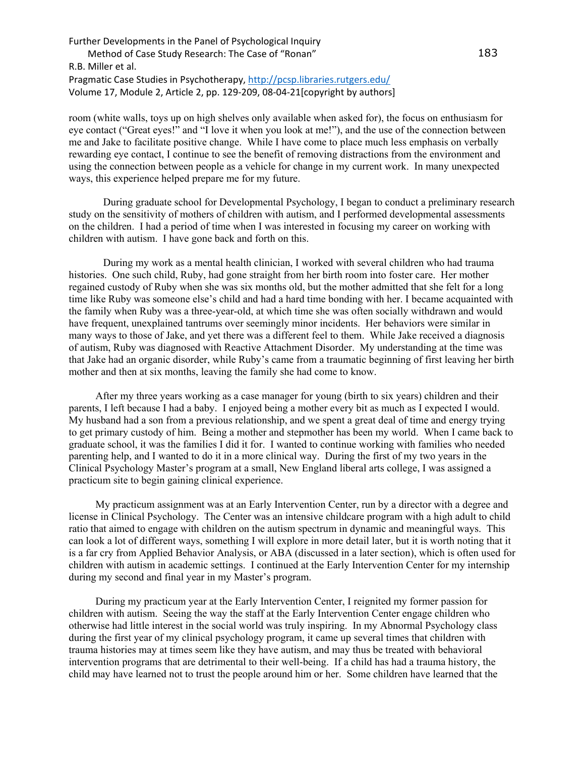room (white walls, toys up on high shelves only available when asked for), the focus on enthusiasm for eye contact ("Great eyes!" and "I love it when you look at me!"), and the use of the connection between me and Jake to facilitate positive change. While I have come to place much less emphasis on verbally rewarding eye contact, I continue to see the benefit of removing distractions from the environment and using the connection between people as a vehicle for change in my current work. In many unexpected ways, this experience helped prepare me for my future.

During graduate school for Developmental Psychology, I began to conduct a preliminary research study on the sensitivity of mothers of children with autism, and I performed developmental assessments on the children. I had a period of time when I was interested in focusing my career on working with children with autism. I have gone back and forth on this.

During my work as a mental health clinician, I worked with several children who had trauma histories. One such child, Ruby, had gone straight from her birth room into foster care. Her mother regained custody of Ruby when she was six months old, but the mother admitted that she felt for a long time like Ruby was someone else's child and had a hard time bonding with her. I became acquainted with the family when Ruby was a three-year-old, at which time she was often socially withdrawn and would have frequent, unexplained tantrums over seemingly minor incidents. Her behaviors were similar in many ways to those of Jake, and yet there was a different feel to them. While Jake received a diagnosis of autism, Ruby was diagnosed with Reactive Attachment Disorder. My understanding at the time was that Jake had an organic disorder, while Ruby's came from a traumatic beginning of first leaving her birth mother and then at six months, leaving the family she had come to know.

After my three years working as a case manager for young (birth to six years) children and their parents, I left because I had a baby. I enjoyed being a mother every bit as much as I expected I would. My husband had a son from a previous relationship, and we spent a great deal of time and energy trying to get primary custody of him. Being a mother and stepmother has been my world. When I came back to graduate school, it was the families I did it for. I wanted to continue working with families who needed parenting help, and I wanted to do it in a more clinical way. During the first of my two years in the Clinical Psychology Master's program at a small, New England liberal arts college, I was assigned a practicum site to begin gaining clinical experience.

My practicum assignment was at an Early Intervention Center, run by a director with a degree and license in Clinical Psychology. The Center was an intensive childcare program with a high adult to child ratio that aimed to engage with children on the autism spectrum in dynamic and meaningful ways. This can look a lot of different ways, something I will explore in more detail later, but it is worth noting that it is a far cry from Applied Behavior Analysis, or ABA (discussed in a later section), which is often used for children with autism in academic settings. I continued at the Early Intervention Center for my internship during my second and final year in my Master's program.

During my practicum year at the Early Intervention Center, I reignited my former passion for children with autism. Seeing the way the staff at the Early Intervention Center engage children who otherwise had little interest in the social world was truly inspiring. In my Abnormal Psychology class during the first year of my clinical psychology program, it came up several times that children with trauma histories may at times seem like they have autism, and may thus be treated with behavioral intervention programs that are detrimental to their well-being. If a child has had a trauma history, the child may have learned not to trust the people around him or her. Some children have learned that the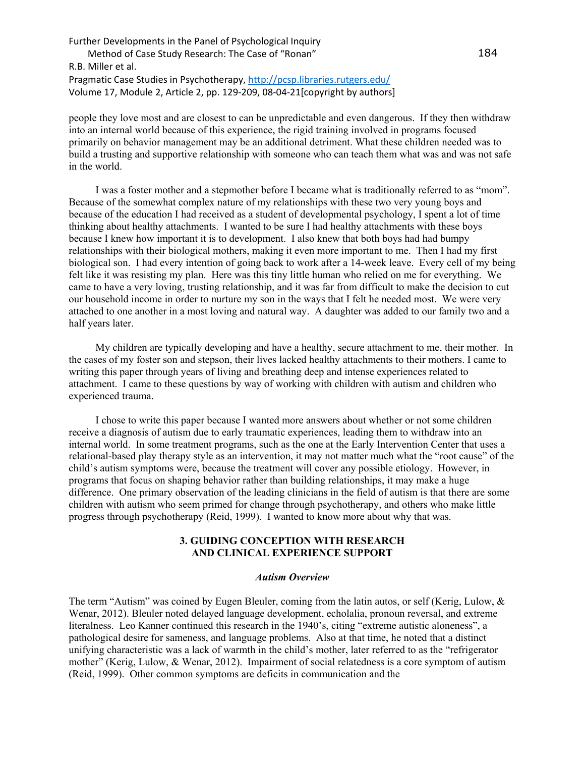people they love most and are closest to can be unpredictable and even dangerous. If they then withdraw into an internal world because of this experience, the rigid training involved in programs focused primarily on behavior management may be an additional detriment. What these children needed was to build a trusting and supportive relationship with someone who can teach them what was and was not safe in the world.

I was a foster mother and a stepmother before I became what is traditionally referred to as "mom". Because of the somewhat complex nature of my relationships with these two very young boys and because of the education I had received as a student of developmental psychology, I spent a lot of time thinking about healthy attachments. I wanted to be sure I had healthy attachments with these boys because I knew how important it is to development. I also knew that both boys had had bumpy relationships with their biological mothers, making it even more important to me. Then I had my first biological son. I had every intention of going back to work after a 14-week leave. Every cell of my being felt like it was resisting my plan. Here was this tiny little human who relied on me for everything. We came to have a very loving, trusting relationship, and it was far from difficult to make the decision to cut our household income in order to nurture my son in the ways that I felt he needed most. We were very attached to one another in a most loving and natural way. A daughter was added to our family two and a half years later.

My children are typically developing and have a healthy, secure attachment to me, their mother. In the cases of my foster son and stepson, their lives lacked healthy attachments to their mothers. I came to writing this paper through years of living and breathing deep and intense experiences related to attachment. I came to these questions by way of working with children with autism and children who experienced trauma.

I chose to write this paper because I wanted more answers about whether or not some children receive a diagnosis of autism due to early traumatic experiences, leading them to withdraw into an internal world. In some treatment programs, such as the one at the Early Intervention Center that uses a relational-based play therapy style as an intervention, it may not matter much what the "root cause" of the child's autism symptoms were, because the treatment will cover any possible etiology. However, in programs that focus on shaping behavior rather than building relationships, it may make a huge difference. One primary observation of the leading clinicians in the field of autism is that there are some children with autism who seem primed for change through psychotherapy, and others who make little progress through psychotherapy (Reid, 1999). I wanted to know more about why that was.

## **3. GUIDING CONCEPTION WITH RESEARCH AND CLINICAL EXPERIENCE SUPPORT**

#### *Autism Overview*

The term "Autism" was coined by Eugen Bleuler, coming from the latin autos, or self (Kerig, Lulow, & Wenar, 2012). Bleuler noted delayed language development, echolalia, pronoun reversal, and extreme literalness. Leo Kanner continued this research in the 1940's, citing "extreme autistic aloneness", a pathological desire for sameness, and language problems. Also at that time, he noted that a distinct unifying characteristic was a lack of warmth in the child's mother, later referred to as the "refrigerator mother" (Kerig, Lulow, & Wenar, 2012). Impairment of social relatedness is a core symptom of autism (Reid, 1999). Other common symptoms are deficits in communication and the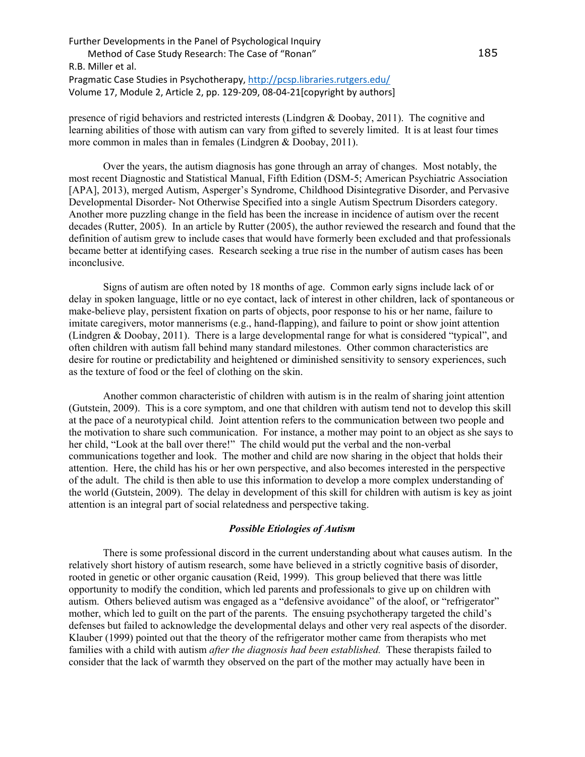presence of rigid behaviors and restricted interests (Lindgren & Doobay, 2011). The cognitive and learning abilities of those with autism can vary from gifted to severely limited. It is at least four times more common in males than in females (Lindgren & Doobay, 2011).

Over the years, the autism diagnosis has gone through an array of changes. Most notably, the most recent Diagnostic and Statistical Manual, Fifth Edition (DSM-5; American Psychiatric Association [APA], 2013), merged Autism, Asperger's Syndrome, Childhood Disintegrative Disorder, and Pervasive Developmental Disorder- Not Otherwise Specified into a single Autism Spectrum Disorders category. Another more puzzling change in the field has been the increase in incidence of autism over the recent decades (Rutter, 2005). In an article by Rutter (2005), the author reviewed the research and found that the definition of autism grew to include cases that would have formerly been excluded and that professionals became better at identifying cases. Research seeking a true rise in the number of autism cases has been inconclusive.

Signs of autism are often noted by 18 months of age. Common early signs include lack of or delay in spoken language, little or no eye contact, lack of interest in other children, lack of spontaneous or make-believe play, persistent fixation on parts of objects, poor response to his or her name, failure to imitate caregivers, motor mannerisms (e.g., hand-flapping), and failure to point or show joint attention (Lindgren & Doobay, 2011). There is a large developmental range for what is considered "typical", and often children with autism fall behind many standard milestones. Other common characteristics are desire for routine or predictability and heightened or diminished sensitivity to sensory experiences, such as the texture of food or the feel of clothing on the skin.

Another common characteristic of children with autism is in the realm of sharing joint attention (Gutstein, 2009). This is a core symptom, and one that children with autism tend not to develop this skill at the pace of a neurotypical child. Joint attention refers to the communication between two people and the motivation to share such communication. For instance, a mother may point to an object as she says to her child, "Look at the ball over there!" The child would put the verbal and the non-verbal communications together and look. The mother and child are now sharing in the object that holds their attention. Here, the child has his or her own perspective, and also becomes interested in the perspective of the adult. The child is then able to use this information to develop a more complex understanding of the world (Gutstein, 2009). The delay in development of this skill for children with autism is key as joint attention is an integral part of social relatedness and perspective taking.

#### *Possible Etiologies of Autism*

There is some professional discord in the current understanding about what causes autism. In the relatively short history of autism research, some have believed in a strictly cognitive basis of disorder, rooted in genetic or other organic causation (Reid, 1999). This group believed that there was little opportunity to modify the condition, which led parents and professionals to give up on children with autism. Others believed autism was engaged as a "defensive avoidance" of the aloof, or "refrigerator" mother, which led to guilt on the part of the parents. The ensuing psychotherapy targeted the child's defenses but failed to acknowledge the developmental delays and other very real aspects of the disorder. Klauber (1999) pointed out that the theory of the refrigerator mother came from therapists who met families with a child with autism *after the diagnosis had been established.* These therapists failed to consider that the lack of warmth they observed on the part of the mother may actually have been in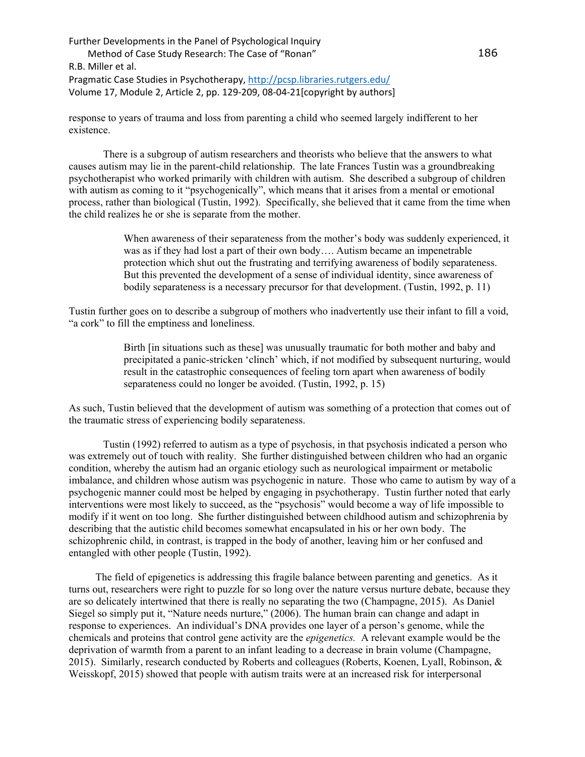response to years of trauma and loss from parenting a child who seemed largely indifferent to her existence.

There is a subgroup of autism researchers and theorists who believe that the answers to what causes autism may lie in the parent-child relationship. The late Frances Tustin was a groundbreaking psychotherapist who worked primarily with children with autism. She described a subgroup of children with autism as coming to it "psychogenically", which means that it arises from a mental or emotional process, rather than biological (Tustin, 1992). Specifically, she believed that it came from the time when the child realizes he or she is separate from the mother.

> When awareness of their separateness from the mother's body was suddenly experienced, it was as if they had lost a part of their own body…. Autism became an impenetrable protection which shut out the frustrating and terrifying awareness of bodily separateness. But this prevented the development of a sense of individual identity, since awareness of bodily separateness is a necessary precursor for that development. (Tustin, 1992, p. 11)

Tustin further goes on to describe a subgroup of mothers who inadvertently use their infant to fill a void, "a cork" to fill the emptiness and loneliness.

> Birth [in situations such as these] was unusually traumatic for both mother and baby and precipitated a panic-stricken 'clinch' which, if not modified by subsequent nurturing, would result in the catastrophic consequences of feeling torn apart when awareness of bodily separateness could no longer be avoided. (Tustin, 1992, p. 15)

As such, Tustin believed that the development of autism was something of a protection that comes out of the traumatic stress of experiencing bodily separateness.

Tustin (1992) referred to autism as a type of psychosis, in that psychosis indicated a person who was extremely out of touch with reality. She further distinguished between children who had an organic condition, whereby the autism had an organic etiology such as neurological impairment or metabolic imbalance, and children whose autism was psychogenic in nature. Those who came to autism by way of a psychogenic manner could most be helped by engaging in psychotherapy. Tustin further noted that early interventions were most likely to succeed, as the "psychosis" would become a way of life impossible to modify if it went on too long. She further distinguished between childhood autism and schizophrenia by describing that the autistic child becomes somewhat encapsulated in his or her own body. The schizophrenic child, in contrast, is trapped in the body of another, leaving him or her confused and entangled with other people (Tustin, 1992).

The field of epigenetics is addressing this fragile balance between parenting and genetics. As it turns out, researchers were right to puzzle for so long over the nature versus nurture debate, because they are so delicately intertwined that there is really no separating the two (Champagne, 2015). As Daniel Siegel so simply put it, "Nature needs nurture," (2006). The human brain can change and adapt in response to experiences. An individual's DNA provides one layer of a person's genome, while the chemicals and proteins that control gene activity are the *epigenetics.* A relevant example would be the deprivation of warmth from a parent to an infant leading to a decrease in brain volume (Champagne, 2015). Similarly, research conducted by Roberts and colleagues (Roberts, Koenen, Lyall, Robinson, & Weisskopf, 2015) showed that people with autism traits were at an increased risk for interpersonal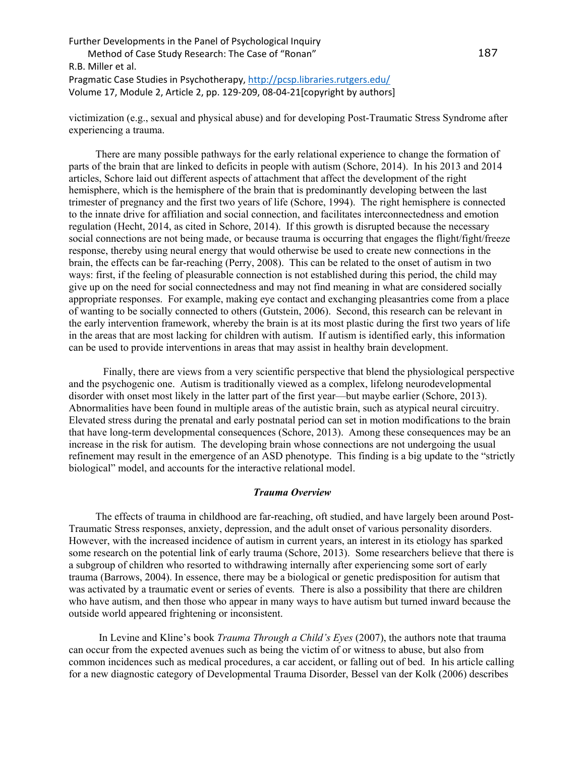victimization (e.g., sexual and physical abuse) and for developing Post-Traumatic Stress Syndrome after experiencing a trauma.

There are many possible pathways for the early relational experience to change the formation of parts of the brain that are linked to deficits in people with autism (Schore, 2014). In his 2013 and 2014 articles, Schore laid out different aspects of attachment that affect the development of the right hemisphere, which is the hemisphere of the brain that is predominantly developing between the last trimester of pregnancy and the first two years of life (Schore, 1994). The right hemisphere is connected to the innate drive for affiliation and social connection, and facilitates interconnectedness and emotion regulation (Hecht, 2014, as cited in Schore, 2014). If this growth is disrupted because the necessary social connections are not being made, or because trauma is occurring that engages the flight/fight/freeze response, thereby using neural energy that would otherwise be used to create new connections in the brain, the effects can be far-reaching (Perry, 2008). This can be related to the onset of autism in two ways: first, if the feeling of pleasurable connection is not established during this period, the child may give up on the need for social connectedness and may not find meaning in what are considered socially appropriate responses. For example, making eye contact and exchanging pleasantries come from a place of wanting to be socially connected to others (Gutstein, 2006). Second, this research can be relevant in the early intervention framework, whereby the brain is at its most plastic during the first two years of life in the areas that are most lacking for children with autism. If autism is identified early, this information can be used to provide interventions in areas that may assist in healthy brain development.

Finally, there are views from a very scientific perspective that blend the physiological perspective and the psychogenic one. Autism is traditionally viewed as a complex, lifelong neurodevelopmental disorder with onset most likely in the latter part of the first year—but maybe earlier (Schore, 2013). Abnormalities have been found in multiple areas of the autistic brain, such as atypical neural circuitry. Elevated stress during the prenatal and early postnatal period can set in motion modifications to the brain that have long-term developmental consequences (Schore, 2013). Among these consequences may be an increase in the risk for autism. The developing brain whose connections are not undergoing the usual refinement may result in the emergence of an ASD phenotype. This finding is a big update to the "strictly biological" model, and accounts for the interactive relational model.

#### *Trauma Overview*

The effects of trauma in childhood are far-reaching, oft studied, and have largely been around Post-Traumatic Stress responses, anxiety, depression, and the adult onset of various personality disorders. However, with the increased incidence of autism in current years, an interest in its etiology has sparked some research on the potential link of early trauma (Schore, 2013). Some researchers believe that there is a subgroup of children who resorted to withdrawing internally after experiencing some sort of early trauma (Barrows, 2004). In essence, there may be a biological or genetic predisposition for autism that was activated by a traumatic event or series of events*.* There is also a possibility that there are children who have autism, and then those who appear in many ways to have autism but turned inward because the outside world appeared frightening or inconsistent.

In Levine and Kline's book *Trauma Through a Child's Eyes* (2007), the authors note that trauma can occur from the expected avenues such as being the victim of or witness to abuse, but also from common incidences such as medical procedures, a car accident, or falling out of bed. In his article calling for a new diagnostic category of Developmental Trauma Disorder, Bessel van der Kolk (2006) describes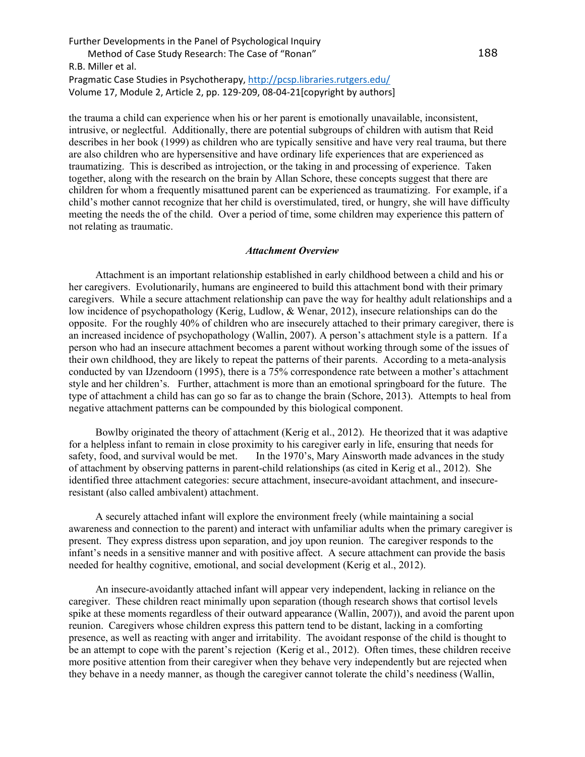the trauma a child can experience when his or her parent is emotionally unavailable, inconsistent, intrusive, or neglectful. Additionally, there are potential subgroups of children with autism that Reid describes in her book (1999) as children who are typically sensitive and have very real trauma, but there are also children who are hypersensitive and have ordinary life experiences that are experienced as traumatizing. This is described as introjection, or the taking in and processing of experience. Taken together, along with the research on the brain by Allan Schore, these concepts suggest that there are children for whom a frequently misattuned parent can be experienced as traumatizing. For example, if a child's mother cannot recognize that her child is overstimulated, tired, or hungry, she will have difficulty meeting the needs the of the child. Over a period of time, some children may experience this pattern of not relating as traumatic.

#### *Attachment Overview*

Attachment is an important relationship established in early childhood between a child and his or her caregivers. Evolutionarily, humans are engineered to build this attachment bond with their primary caregivers. While a secure attachment relationship can pave the way for healthy adult relationships and a low incidence of psychopathology (Kerig, Ludlow, & Wenar, 2012), insecure relationships can do the opposite. For the roughly 40% of children who are insecurely attached to their primary caregiver, there is an increased incidence of psychopathology (Wallin, 2007). A person's attachment style is a pattern. If a person who had an insecure attachment becomes a parent without working through some of the issues of their own childhood, they are likely to repeat the patterns of their parents. According to a meta-analysis conducted by van IJzendoorn (1995), there is a 75% correspondence rate between a mother's attachment style and her children's. Further, attachment is more than an emotional springboard for the future. The type of attachment a child has can go so far as to change the brain (Schore, 2013). Attempts to heal from negative attachment patterns can be compounded by this biological component.

Bowlby originated the theory of attachment (Kerig et al., 2012). He theorized that it was adaptive for a helpless infant to remain in close proximity to his caregiver early in life, ensuring that needs for safety, food, and survival would be met. In the 1970's, Mary Ainsworth made advances in the study of attachment by observing patterns in parent-child relationships (as cited in Kerig et al., 2012). She identified three attachment categories: secure attachment, insecure-avoidant attachment, and insecureresistant (also called ambivalent) attachment.

A securely attached infant will explore the environment freely (while maintaining a social awareness and connection to the parent) and interact with unfamiliar adults when the primary caregiver is present. They express distress upon separation, and joy upon reunion. The caregiver responds to the infant's needs in a sensitive manner and with positive affect. A secure attachment can provide the basis needed for healthy cognitive, emotional, and social development (Kerig et al., 2012).

An insecure-avoidantly attached infant will appear very independent, lacking in reliance on the caregiver. These children react minimally upon separation (though research shows that cortisol levels spike at these moments regardless of their outward appearance (Wallin, 2007)), and avoid the parent upon reunion. Caregivers whose children express this pattern tend to be distant, lacking in a comforting presence, as well as reacting with anger and irritability. The avoidant response of the child is thought to be an attempt to cope with the parent's rejection (Kerig et al., 2012). Often times, these children receive more positive attention from their caregiver when they behave very independently but are rejected when they behave in a needy manner, as though the caregiver cannot tolerate the child's neediness (Wallin,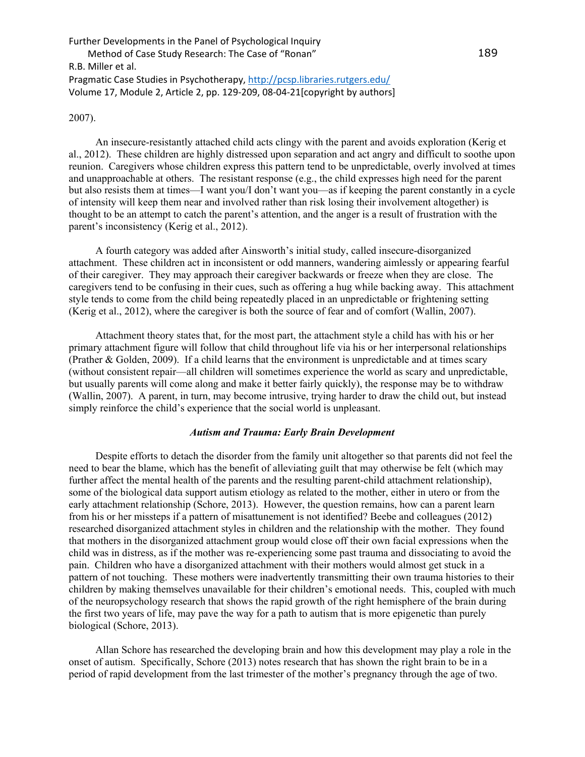## 2007).

An insecure-resistantly attached child acts clingy with the parent and avoids exploration (Kerig et al., 2012). These children are highly distressed upon separation and act angry and difficult to soothe upon reunion. Caregivers whose children express this pattern tend to be unpredictable, overly involved at times and unapproachable at others. The resistant response (e.g., the child expresses high need for the parent but also resists them at times—I want you/I don't want you—as if keeping the parent constantly in a cycle of intensity will keep them near and involved rather than risk losing their involvement altogether) is thought to be an attempt to catch the parent's attention, and the anger is a result of frustration with the parent's inconsistency (Kerig et al., 2012).

A fourth category was added after Ainsworth's initial study, called insecure-disorganized attachment. These children act in inconsistent or odd manners, wandering aimlessly or appearing fearful of their caregiver. They may approach their caregiver backwards or freeze when they are close. The caregivers tend to be confusing in their cues, such as offering a hug while backing away. This attachment style tends to come from the child being repeatedly placed in an unpredictable or frightening setting (Kerig et al., 2012), where the caregiver is both the source of fear and of comfort (Wallin, 2007).

Attachment theory states that, for the most part, the attachment style a child has with his or her primary attachment figure will follow that child throughout life via his or her interpersonal relationships (Prather & Golden, 2009). If a child learns that the environment is unpredictable and at times scary (without consistent repair—all children will sometimes experience the world as scary and unpredictable, but usually parents will come along and make it better fairly quickly), the response may be to withdraw (Wallin, 2007). A parent, in turn, may become intrusive, trying harder to draw the child out, but instead simply reinforce the child's experience that the social world is unpleasant.

## *Autism and Trauma: Early Brain Development*

Despite efforts to detach the disorder from the family unit altogether so that parents did not feel the need to bear the blame, which has the benefit of alleviating guilt that may otherwise be felt (which may further affect the mental health of the parents and the resulting parent-child attachment relationship), some of the biological data support autism etiology as related to the mother, either in utero or from the early attachment relationship (Schore, 2013). However, the question remains, how can a parent learn from his or her missteps if a pattern of misattunement is not identified? Beebe and colleagues (2012) researched disorganized attachment styles in children and the relationship with the mother. They found that mothers in the disorganized attachment group would close off their own facial expressions when the child was in distress, as if the mother was re-experiencing some past trauma and dissociating to avoid the pain. Children who have a disorganized attachment with their mothers would almost get stuck in a pattern of not touching. These mothers were inadvertently transmitting their own trauma histories to their children by making themselves unavailable for their children's emotional needs. This, coupled with much of the neuropsychology research that shows the rapid growth of the right hemisphere of the brain during the first two years of life, may pave the way for a path to autism that is more epigenetic than purely biological (Schore, 2013).

Allan Schore has researched the developing brain and how this development may play a role in the onset of autism. Specifically, Schore (2013) notes research that has shown the right brain to be in a period of rapid development from the last trimester of the mother's pregnancy through the age of two.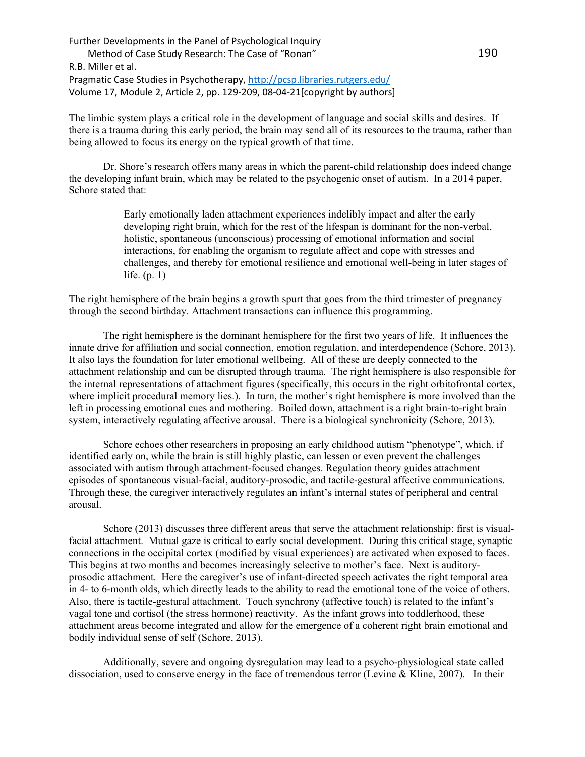The limbic system plays a critical role in the development of language and social skills and desires. If there is a trauma during this early period, the brain may send all of its resources to the trauma, rather than being allowed to focus its energy on the typical growth of that time.

Dr. Shore's research offers many areas in which the parent-child relationship does indeed change the developing infant brain, which may be related to the psychogenic onset of autism. In a 2014 paper, Schore stated that:

> Early emotionally laden attachment experiences indelibly impact and alter the early developing right brain, which for the rest of the lifespan is dominant for the non-verbal, holistic, spontaneous (unconscious) processing of emotional information and social interactions, for enabling the organism to regulate affect and cope with stresses and challenges, and thereby for emotional resilience and emotional well-being in later stages of life. (p. 1)

The right hemisphere of the brain begins a growth spurt that goes from the third trimester of pregnancy through the second birthday. Attachment transactions can influence this programming.

The right hemisphere is the dominant hemisphere for the first two years of life. It influences the innate drive for affiliation and social connection, emotion regulation, and interdependence (Schore, 2013). It also lays the foundation for later emotional wellbeing. All of these are deeply connected to the attachment relationship and can be disrupted through trauma. The right hemisphere is also responsible for the internal representations of attachment figures (specifically, this occurs in the right orbitofrontal cortex, where implicit procedural memory lies.). In turn, the mother's right hemisphere is more involved than the left in processing emotional cues and mothering. Boiled down, attachment is a right brain-to-right brain system, interactively regulating affective arousal. There is a biological synchronicity (Schore, 2013).

Schore echoes other researchers in proposing an early childhood autism "phenotype", which, if identified early on, while the brain is still highly plastic, can lessen or even prevent the challenges associated with autism through attachment-focused changes. Regulation theory guides attachment episodes of spontaneous visual-facial, auditory-prosodic, and tactile-gestural affective communications. Through these, the caregiver interactively regulates an infant's internal states of peripheral and central arousal.

Schore (2013) discusses three different areas that serve the attachment relationship: first is visualfacial attachment. Mutual gaze is critical to early social development. During this critical stage, synaptic connections in the occipital cortex (modified by visual experiences) are activated when exposed to faces. This begins at two months and becomes increasingly selective to mother's face. Next is auditoryprosodic attachment. Here the caregiver's use of infant-directed speech activates the right temporal area in 4- to 6-month olds, which directly leads to the ability to read the emotional tone of the voice of others. Also, there is tactile-gestural attachment. Touch synchrony (affective touch) is related to the infant's vagal tone and cortisol (the stress hormone) reactivity. As the infant grows into toddlerhood, these attachment areas become integrated and allow for the emergence of a coherent right brain emotional and bodily individual sense of self (Schore, 2013).

Additionally, severe and ongoing dysregulation may lead to a psycho-physiological state called dissociation, used to conserve energy in the face of tremendous terror (Levine & Kline, 2007). In their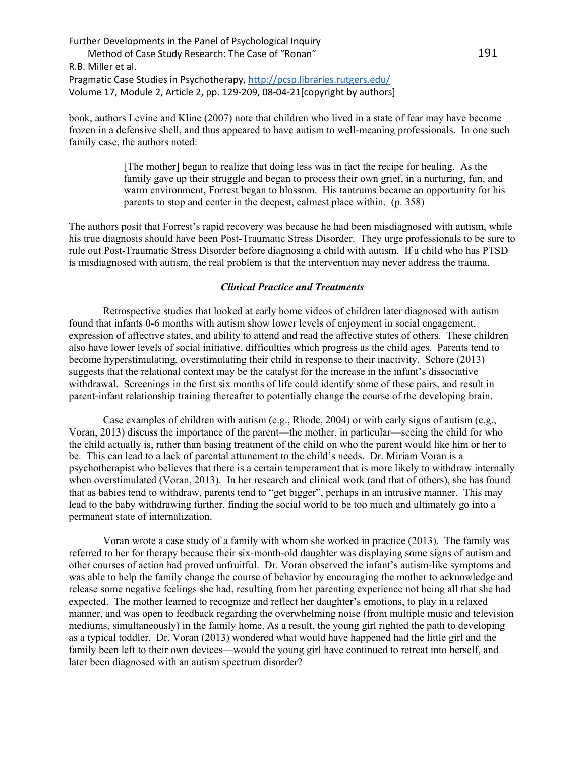book, authors Levine and Kline (2007) note that children who lived in a state of fear may have become frozen in a defensive shell, and thus appeared to have autism to well-meaning professionals. In one such family case, the authors noted:

> [The mother] began to realize that doing less was in fact the recipe for healing. As the family gave up their struggle and began to process their own grief, in a nurturing, fun, and warm environment, Forrest began to blossom. His tantrums became an opportunity for his parents to stop and center in the deepest, calmest place within. (p. 358)

The authors posit that Forrest's rapid recovery was because he had been misdiagnosed with autism, while his true diagnosis should have been Post-Traumatic Stress Disorder. They urge professionals to be sure to rule out Post-Traumatic Stress Disorder before diagnosing a child with autism. If a child who has PTSD is misdiagnosed with autism, the real problem is that the intervention may never address the trauma.

## *Clinical Practice and Treatments*

Retrospective studies that looked at early home videos of children later diagnosed with autism found that infants 0-6 months with autism show lower levels of enjoyment in social engagement, expression of affective states, and ability to attend and read the affective states of others. These children also have lower levels of social initiative, difficulties which progress as the child ages. Parents tend to become hyperstimulating, overstimulating their child in response to their inactivity. Schore (2013) suggests that the relational context may be the catalyst for the increase in the infant's dissociative withdrawal. Screenings in the first six months of life could identify some of these pairs, and result in parent-infant relationship training thereafter to potentially change the course of the developing brain.

Case examples of children with autism (e.g., Rhode, 2004) or with early signs of autism (e.g., Voran, 2013) discuss the importance of the parent—the mother, in particular—seeing the child for who the child actually is, rather than basing treatment of the child on who the parent would like him or her to be. This can lead to a lack of parental attunement to the child's needs. Dr. Miriam Voran is a psychotherapist who believes that there is a certain temperament that is more likely to withdraw internally when overstimulated (Voran, 2013). In her research and clinical work (and that of others), she has found that as babies tend to withdraw, parents tend to "get bigger", perhaps in an intrusive manner. This may lead to the baby withdrawing further, finding the social world to be too much and ultimately go into a permanent state of internalization.

Voran wrote a case study of a family with whom she worked in practice (2013). The family was referred to her for therapy because their six-month-old daughter was displaying some signs of autism and other courses of action had proved unfruitful. Dr. Voran observed the infant's autism-like symptoms and was able to help the family change the course of behavior by encouraging the mother to acknowledge and release some negative feelings she had, resulting from her parenting experience not being all that she had expected. The mother learned to recognize and reflect her daughter's emotions, to play in a relaxed manner, and was open to feedback regarding the overwhelming noise (from multiple music and television mediums, simultaneously) in the family home. As a result, the young girl righted the path to developing as a typical toddler. Dr. Voran (2013) wondered what would have happened had the little girl and the family been left to their own devices—would the young girl have continued to retreat into herself, and later been diagnosed with an autism spectrum disorder?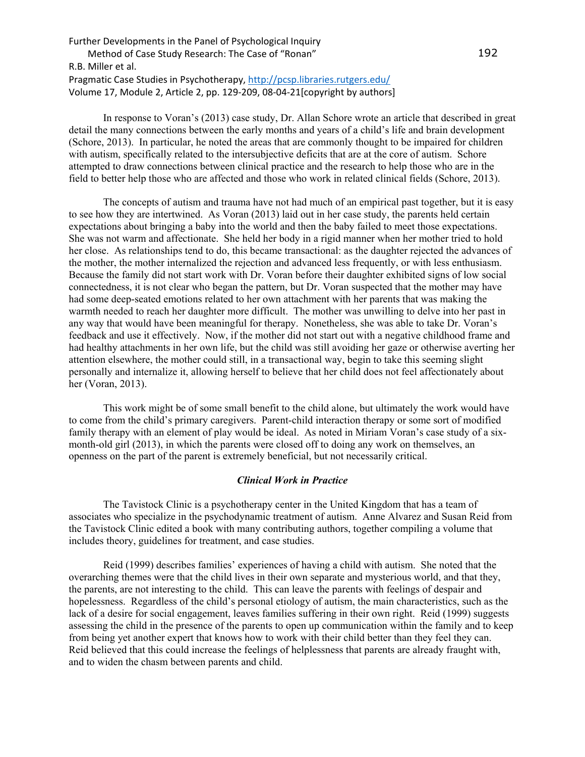In response to Voran's (2013) case study, Dr. Allan Schore wrote an article that described in great detail the many connections between the early months and years of a child's life and brain development (Schore, 2013). In particular, he noted the areas that are commonly thought to be impaired for children with autism, specifically related to the intersubjective deficits that are at the core of autism.Schore attempted to draw connections between clinical practice and the research to help those who are in the field to better help those who are affected and those who work in related clinical fields (Schore, 2013).

The concepts of autism and trauma have not had much of an empirical past together, but it is easy to see how they are intertwined. As Voran (2013) laid out in her case study, the parents held certain expectations about bringing a baby into the world and then the baby failed to meet those expectations. She was not warm and affectionate. She held her body in a rigid manner when her mother tried to hold her close. As relationships tend to do, this became transactional: as the daughter rejected the advances of the mother, the mother internalized the rejection and advanced less frequently, or with less enthusiasm. Because the family did not start work with Dr. Voran before their daughter exhibited signs of low social connectedness, it is not clear who began the pattern, but Dr. Voran suspected that the mother may have had some deep-seated emotions related to her own attachment with her parents that was making the warmth needed to reach her daughter more difficult. The mother was unwilling to delve into her past in any way that would have been meaningful for therapy. Nonetheless, she was able to take Dr. Voran's feedback and use it effectively. Now, if the mother did not start out with a negative childhood frame and had healthy attachments in her own life, but the child was still avoiding her gaze or otherwise averting her attention elsewhere, the mother could still, in a transactional way, begin to take this seeming slight personally and internalize it, allowing herself to believe that her child does not feel affectionately about her (Voran, 2013).

This work might be of some small benefit to the child alone, but ultimately the work would have to come from the child's primary caregivers. Parent-child interaction therapy or some sort of modified family therapy with an element of play would be ideal. As noted in Miriam Voran's case study of a sixmonth-old girl (2013), in which the parents were closed off to doing any work on themselves, an openness on the part of the parent is extremely beneficial, but not necessarily critical.

### *Clinical Work in Practice*

The Tavistock Clinic is a psychotherapy center in the United Kingdom that has a team of associates who specialize in the psychodynamic treatment of autism. Anne Alvarez and Susan Reid from the Tavistock Clinic edited a book with many contributing authors, together compiling a volume that includes theory, guidelines for treatment, and case studies.

Reid (1999) describes families' experiences of having a child with autism. She noted that the overarching themes were that the child lives in their own separate and mysterious world, and that they, the parents, are not interesting to the child. This can leave the parents with feelings of despair and hopelessness. Regardless of the child's personal etiology of autism, the main characteristics, such as the lack of a desire for social engagement, leaves families suffering in their own right. Reid (1999) suggests assessing the child in the presence of the parents to open up communication within the family and to keep from being yet another expert that knows how to work with their child better than they feel they can. Reid believed that this could increase the feelings of helplessness that parents are already fraught with, and to widen the chasm between parents and child.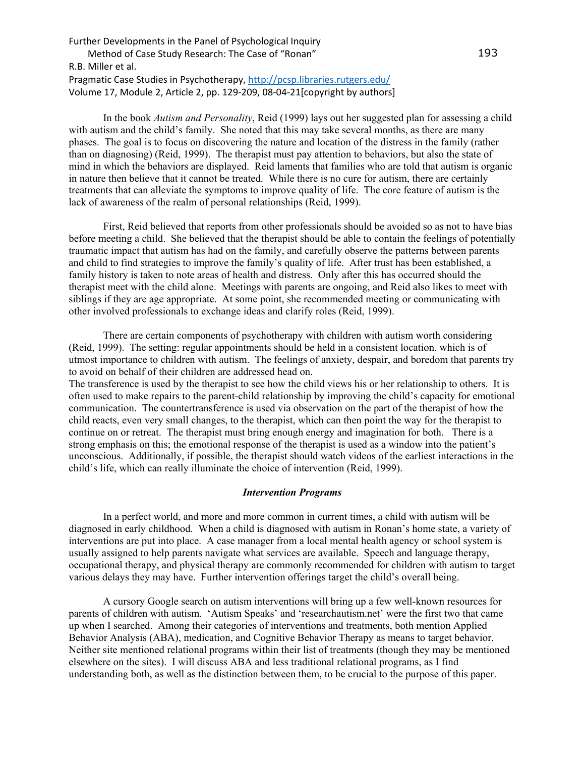In the book *Autism and Personality*, Reid (1999) lays out her suggested plan for assessing a child with autism and the child's family. She noted that this may take several months, as there are many phases. The goal is to focus on discovering the nature and location of the distress in the family (rather than on diagnosing) (Reid, 1999). The therapist must pay attention to behaviors, but also the state of mind in which the behaviors are displayed. Reid laments that families who are told that autism is organic in nature then believe that it cannot be treated. While there is no cure for autism, there are certainly treatments that can alleviate the symptoms to improve quality of life. The core feature of autism is the lack of awareness of the realm of personal relationships (Reid, 1999).

First, Reid believed that reports from other professionals should be avoided so as not to have bias before meeting a child. She believed that the therapist should be able to contain the feelings of potentially traumatic impact that autism has had on the family, and carefully observe the patterns between parents and child to find strategies to improve the family's quality of life. After trust has been established, a family history is taken to note areas of health and distress. Only after this has occurred should the therapist meet with the child alone. Meetings with parents are ongoing, and Reid also likes to meet with siblings if they are age appropriate. At some point, she recommended meeting or communicating with other involved professionals to exchange ideas and clarify roles (Reid, 1999).

There are certain components of psychotherapy with children with autism worth considering (Reid, 1999). The setting: regular appointments should be held in a consistent location, which is of utmost importance to children with autism. The feelings of anxiety, despair, and boredom that parents try to avoid on behalf of their children are addressed head on.

The transference is used by the therapist to see how the child views his or her relationship to others. It is often used to make repairs to the parent-child relationship by improving the child's capacity for emotional communication. The countertransference is used via observation on the part of the therapist of how the child reacts, even very small changes, to the therapist, which can then point the way for the therapist to continue on or retreat. The therapist must bring enough energy and imagination for both. There is a strong emphasis on this; the emotional response of the therapist is used as a window into the patient's unconscious. Additionally, if possible, the therapist should watch videos of the earliest interactions in the child's life, which can really illuminate the choice of intervention (Reid, 1999).

#### *Intervention Programs*

In a perfect world, and more and more common in current times, a child with autism will be diagnosed in early childhood. When a child is diagnosed with autism in Ronan's home state, a variety of interventions are put into place. A case manager from a local mental health agency or school system is usually assigned to help parents navigate what services are available. Speech and language therapy, occupational therapy, and physical therapy are commonly recommended for children with autism to target various delays they may have. Further intervention offerings target the child's overall being.

A cursory Google search on autism interventions will bring up a few well-known resources for parents of children with autism. 'Autism Speaks' and 'researchautism.net' were the first two that came up when I searched. Among their categories of interventions and treatments, both mention Applied Behavior Analysis (ABA), medication, and Cognitive Behavior Therapy as means to target behavior. Neither site mentioned relational programs within their list of treatments (though they may be mentioned elsewhere on the sites). I will discuss ABA and less traditional relational programs, as I find understanding both, as well as the distinction between them, to be crucial to the purpose of this paper.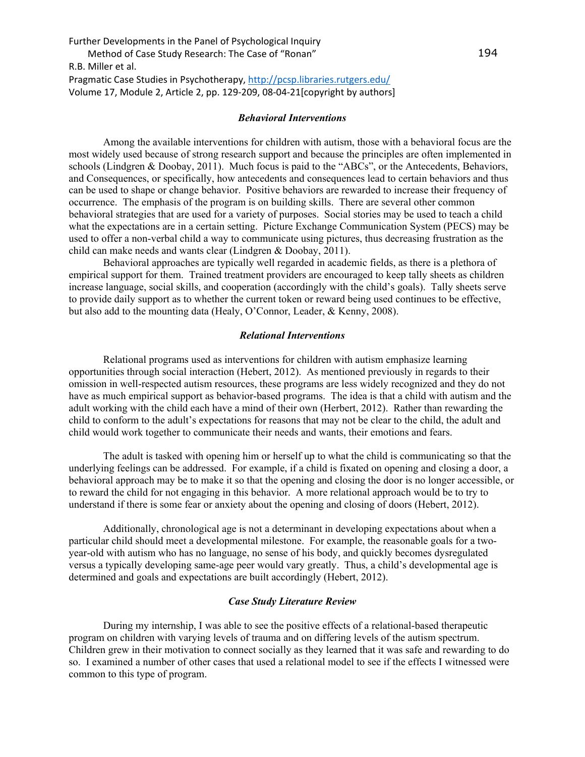#### *Behavioral Interventions*

Among the available interventions for children with autism, those with a behavioral focus are the most widely used because of strong research support and because the principles are often implemented in schools (Lindgren & Doobay, 2011). Much focus is paid to the "ABCs", or the Antecedents, Behaviors, and Consequences, or specifically, how antecedents and consequences lead to certain behaviors and thus can be used to shape or change behavior. Positive behaviors are rewarded to increase their frequency of occurrence. The emphasis of the program is on building skills. There are several other common behavioral strategies that are used for a variety of purposes. Social stories may be used to teach a child what the expectations are in a certain setting. Picture Exchange Communication System (PECS) may be used to offer a non-verbal child a way to communicate using pictures, thus decreasing frustration as the child can make needs and wants clear (Lindgren & Doobay, 2011).

Behavioral approaches are typically well regarded in academic fields, as there is a plethora of empirical support for them. Trained treatment providers are encouraged to keep tally sheets as children increase language, social skills, and cooperation (accordingly with the child's goals). Tally sheets serve to provide daily support as to whether the current token or reward being used continues to be effective, but also add to the mounting data (Healy, O'Connor, Leader, & Kenny, 2008).

#### *Relational Interventions*

Relational programs used as interventions for children with autism emphasize learning opportunities through social interaction (Hebert, 2012). As mentioned previously in regards to their omission in well-respected autism resources, these programs are less widely recognized and they do not have as much empirical support as behavior-based programs. The idea is that a child with autism and the adult working with the child each have a mind of their own (Herbert, 2012). Rather than rewarding the child to conform to the adult's expectations for reasons that may not be clear to the child, the adult and child would work together to communicate their needs and wants, their emotions and fears.

The adult is tasked with opening him or herself up to what the child is communicating so that the underlying feelings can be addressed. For example, if a child is fixated on opening and closing a door, a behavioral approach may be to make it so that the opening and closing the door is no longer accessible, or to reward the child for not engaging in this behavior. A more relational approach would be to try to understand if there is some fear or anxiety about the opening and closing of doors (Hebert, 2012).

Additionally, chronological age is not a determinant in developing expectations about when a particular child should meet a developmental milestone. For example, the reasonable goals for a twoyear-old with autism who has no language, no sense of his body, and quickly becomes dysregulated versus a typically developing same-age peer would vary greatly. Thus, a child's developmental age is determined and goals and expectations are built accordingly (Hebert, 2012).

## *Case Study Literature Review*

During my internship, I was able to see the positive effects of a relational-based therapeutic program on children with varying levels of trauma and on differing levels of the autism spectrum. Children grew in their motivation to connect socially as they learned that it was safe and rewarding to do so. I examined a number of other cases that used a relational model to see if the effects I witnessed were common to this type of program.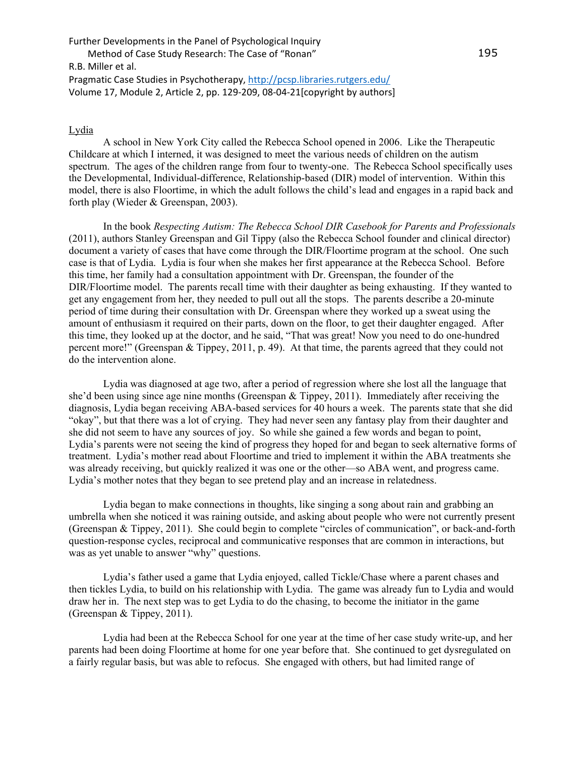## **Lydia**

A school in New York City called the Rebecca School opened in 2006. Like the Therapeutic Childcare at which I interned, it was designed to meet the various needs of children on the autism spectrum. The ages of the children range from four to twenty-one. The Rebecca School specifically uses the Developmental, Individual-difference, Relationship-based (DIR) model of intervention. Within this model, there is also Floortime, in which the adult follows the child's lead and engages in a rapid back and forth play (Wieder & Greenspan, 2003).

In the book *Respecting Autism: The Rebecca School DIR Casebook for Parents and Professionals*  (2011), authors Stanley Greenspan and Gil Tippy (also the Rebecca School founder and clinical director) document a variety of cases that have come through the DIR/Floortime program at the school. One such case is that of Lydia. Lydia is four when she makes her first appearance at the Rebecca School. Before this time, her family had a consultation appointment with Dr. Greenspan, the founder of the DIR/Floortime model. The parents recall time with their daughter as being exhausting. If they wanted to get any engagement from her, they needed to pull out all the stops. The parents describe a 20-minute period of time during their consultation with Dr. Greenspan where they worked up a sweat using the amount of enthusiasm it required on their parts, down on the floor, to get their daughter engaged. After this time, they looked up at the doctor, and he said, "That was great! Now you need to do one-hundred percent more!" (Greenspan & Tippey, 2011, p. 49). At that time, the parents agreed that they could not do the intervention alone.

Lydia was diagnosed at age two, after a period of regression where she lost all the language that she'd been using since age nine months (Greenspan & Tippey, 2011). Immediately after receiving the diagnosis, Lydia began receiving ABA-based services for 40 hours a week. The parents state that she did "okay", but that there was a lot of crying. They had never seen any fantasy play from their daughter and she did not seem to have any sources of joy. So while she gained a few words and began to point, Lydia's parents were not seeing the kind of progress they hoped for and began to seek alternative forms of treatment. Lydia's mother read about Floortime and tried to implement it within the ABA treatments she was already receiving, but quickly realized it was one or the other—so ABA went, and progress came. Lydia's mother notes that they began to see pretend play and an increase in relatedness.

Lydia began to make connections in thoughts, like singing a song about rain and grabbing an umbrella when she noticed it was raining outside, and asking about people who were not currently present (Greenspan & Tippey, 2011). She could begin to complete "circles of communication", or back-and-forth question-response cycles, reciprocal and communicative responses that are common in interactions, but was as yet unable to answer "why" questions.

Lydia's father used a game that Lydia enjoyed, called Tickle/Chase where a parent chases and then tickles Lydia, to build on his relationship with Lydia. The game was already fun to Lydia and would draw her in. The next step was to get Lydia to do the chasing, to become the initiator in the game (Greenspan & Tippey, 2011).

Lydia had been at the Rebecca School for one year at the time of her case study write-up, and her parents had been doing Floortime at home for one year before that. She continued to get dysregulated on a fairly regular basis, but was able to refocus. She engaged with others, but had limited range of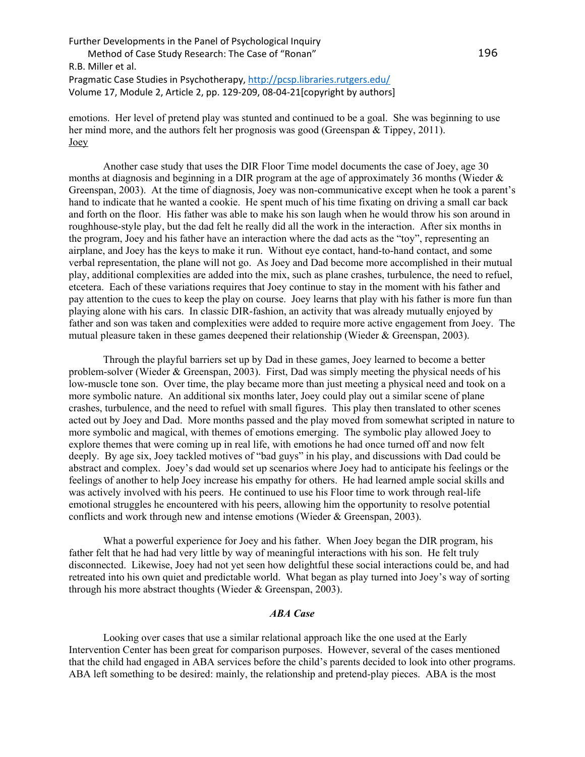emotions. Her level of pretend play was stunted and continued to be a goal. She was beginning to use her mind more, and the authors felt her prognosis was good (Greenspan & Tippey, 2011). Joey

Another case study that uses the DIR Floor Time model documents the case of Joey, age 30 months at diagnosis and beginning in a DIR program at the age of approximately 36 months (Wieder & Greenspan, 2003). At the time of diagnosis, Joey was non-communicative except when he took a parent's hand to indicate that he wanted a cookie. He spent much of his time fixating on driving a small car back and forth on the floor. His father was able to make his son laugh when he would throw his son around in roughhouse-style play, but the dad felt he really did all the work in the interaction. After six months in the program, Joey and his father have an interaction where the dad acts as the "toy", representing an airplane, and Joey has the keys to make it run. Without eye contact, hand-to-hand contact, and some verbal representation, the plane will not go. As Joey and Dad become more accomplished in their mutual play, additional complexities are added into the mix, such as plane crashes, turbulence, the need to refuel, etcetera. Each of these variations requires that Joey continue to stay in the moment with his father and pay attention to the cues to keep the play on course. Joey learns that play with his father is more fun than playing alone with his cars. In classic DIR-fashion, an activity that was already mutually enjoyed by father and son was taken and complexities were added to require more active engagement from Joey. The mutual pleasure taken in these games deepened their relationship (Wieder & Greenspan, 2003).

Through the playful barriers set up by Dad in these games, Joey learned to become a better problem-solver (Wieder & Greenspan, 2003). First, Dad was simply meeting the physical needs of his low-muscle tone son. Over time, the play became more than just meeting a physical need and took on a more symbolic nature. An additional six months later, Joey could play out a similar scene of plane crashes, turbulence, and the need to refuel with small figures. This play then translated to other scenes acted out by Joey and Dad. More months passed and the play moved from somewhat scripted in nature to more symbolic and magical, with themes of emotions emerging. The symbolic play allowed Joey to explore themes that were coming up in real life, with emotions he had once turned off and now felt deeply. By age six, Joey tackled motives of "bad guys" in his play, and discussions with Dad could be abstract and complex. Joey's dad would set up scenarios where Joey had to anticipate his feelings or the feelings of another to help Joey increase his empathy for others. He had learned ample social skills and was actively involved with his peers. He continued to use his Floor time to work through real-life emotional struggles he encountered with his peers, allowing him the opportunity to resolve potential conflicts and work through new and intense emotions (Wieder & Greenspan, 2003).

What a powerful experience for Joey and his father. When Joey began the DIR program, his father felt that he had had very little by way of meaningful interactions with his son. He felt truly disconnected. Likewise, Joey had not yet seen how delightful these social interactions could be, and had retreated into his own quiet and predictable world. What began as play turned into Joey's way of sorting through his more abstract thoughts (Wieder & Greenspan, 2003).

### *ABA Case*

Looking over cases that use a similar relational approach like the one used at the Early Intervention Center has been great for comparison purposes. However, several of the cases mentioned that the child had engaged in ABA services before the child's parents decided to look into other programs. ABA left something to be desired: mainly, the relationship and pretend-play pieces. ABA is the most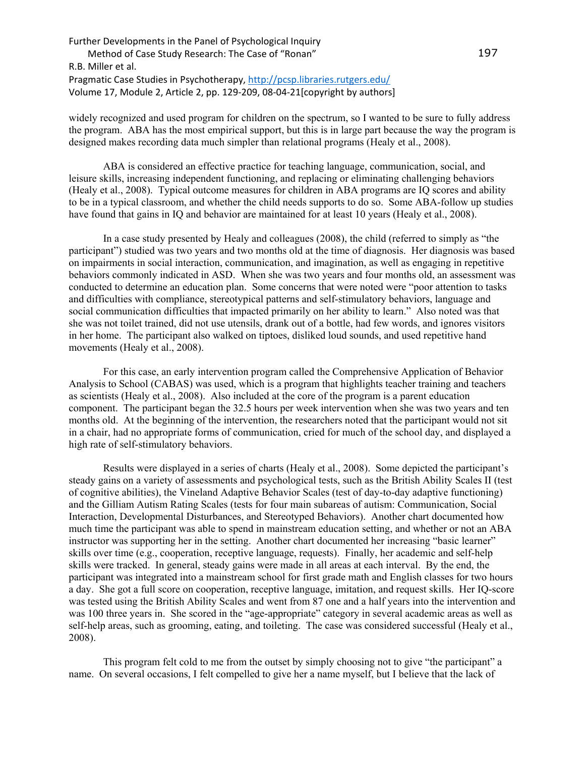widely recognized and used program for children on the spectrum, so I wanted to be sure to fully address the program. ABA has the most empirical support, but this is in large part because the way the program is designed makes recording data much simpler than relational programs (Healy et al., 2008).

ABA is considered an effective practice for teaching language, communication, social, and leisure skills, increasing independent functioning, and replacing or eliminating challenging behaviors (Healy et al., 2008). Typical outcome measures for children in ABA programs are IQ scores and ability to be in a typical classroom, and whether the child needs supports to do so. Some ABA-follow up studies have found that gains in IQ and behavior are maintained for at least 10 years (Healy et al., 2008).

In a case study presented by Healy and colleagues (2008), the child (referred to simply as "the participant") studied was two years and two months old at the time of diagnosis. Her diagnosis was based on impairments in social interaction, communication, and imagination, as well as engaging in repetitive behaviors commonly indicated in ASD. When she was two years and four months old, an assessment was conducted to determine an education plan. Some concerns that were noted were "poor attention to tasks and difficulties with compliance, stereotypical patterns and self-stimulatory behaviors, language and social communication difficulties that impacted primarily on her ability to learn." Also noted was that she was not toilet trained, did not use utensils, drank out of a bottle, had few words, and ignores visitors in her home. The participant also walked on tiptoes, disliked loud sounds, and used repetitive hand movements (Healy et al., 2008).

For this case, an early intervention program called the Comprehensive Application of Behavior Analysis to School (CABAS) was used, which is a program that highlights teacher training and teachers as scientists (Healy et al., 2008). Also included at the core of the program is a parent education component. The participant began the 32.5 hours per week intervention when she was two years and ten months old. At the beginning of the intervention, the researchers noted that the participant would not sit in a chair, had no appropriate forms of communication, cried for much of the school day, and displayed a high rate of self-stimulatory behaviors.

Results were displayed in a series of charts (Healy et al., 2008). Some depicted the participant's steady gains on a variety of assessments and psychological tests, such as the British Ability Scales II (test of cognitive abilities), the Vineland Adaptive Behavior Scales (test of day-to-day adaptive functioning) and the Gilliam Autism Rating Scales (tests for four main subareas of autism: Communication, Social Interaction, Developmental Disturbances, and Stereotyped Behaviors). Another chart documented how much time the participant was able to spend in mainstream education setting, and whether or not an ABA instructor was supporting her in the setting. Another chart documented her increasing "basic learner" skills over time (e.g., cooperation, receptive language, requests). Finally, her academic and self-help skills were tracked. In general, steady gains were made in all areas at each interval. By the end, the participant was integrated into a mainstream school for first grade math and English classes for two hours a day. She got a full score on cooperation, receptive language, imitation, and request skills. Her IQ-score was tested using the British Ability Scales and went from 87 one and a half years into the intervention and was 100 three years in. She scored in the "age-appropriate" category in several academic areas as well as self-help areas, such as grooming, eating, and toileting. The case was considered successful (Healy et al., 2008).

This program felt cold to me from the outset by simply choosing not to give "the participant" a name. On several occasions, I felt compelled to give her a name myself, but I believe that the lack of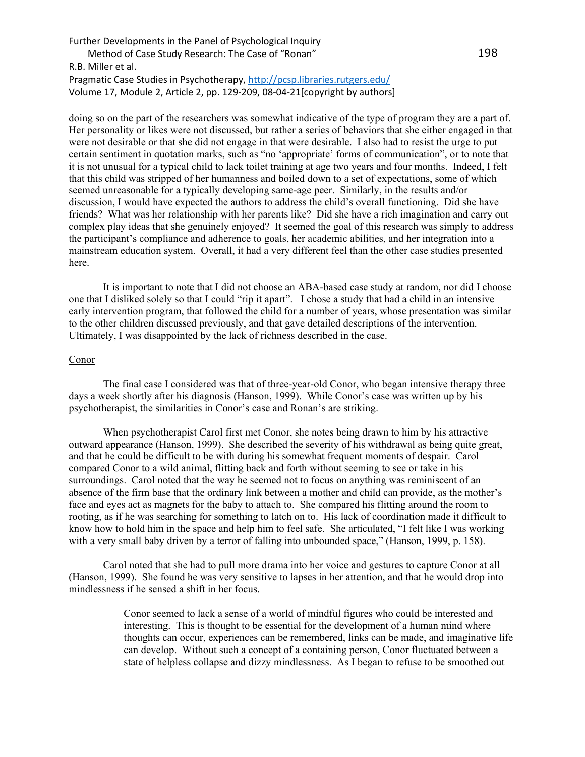doing so on the part of the researchers was somewhat indicative of the type of program they are a part of. Her personality or likes were not discussed, but rather a series of behaviors that she either engaged in that were not desirable or that she did not engage in that were desirable. I also had to resist the urge to put certain sentiment in quotation marks, such as "no 'appropriate' forms of communication", or to note that it is not unusual for a typical child to lack toilet training at age two years and four months. Indeed, I felt that this child was stripped of her humanness and boiled down to a set of expectations, some of which seemed unreasonable for a typically developing same-age peer. Similarly, in the results and/or discussion, I would have expected the authors to address the child's overall functioning. Did she have friends? What was her relationship with her parents like? Did she have a rich imagination and carry out complex play ideas that she genuinely enjoyed? It seemed the goal of this research was simply to address the participant's compliance and adherence to goals, her academic abilities, and her integration into a mainstream education system. Overall, it had a very different feel than the other case studies presented here.

It is important to note that I did not choose an ABA-based case study at random, nor did I choose one that I disliked solely so that I could "rip it apart". I chose a study that had a child in an intensive early intervention program, that followed the child for a number of years, whose presentation was similar to the other children discussed previously, and that gave detailed descriptions of the intervention. Ultimately, I was disappointed by the lack of richness described in the case.

#### Conor

The final case I considered was that of three-year-old Conor, who began intensive therapy three days a week shortly after his diagnosis (Hanson, 1999). While Conor's case was written up by his psychotherapist, the similarities in Conor's case and Ronan's are striking.

When psychotherapist Carol first met Conor, she notes being drawn to him by his attractive outward appearance (Hanson, 1999). She described the severity of his withdrawal as being quite great, and that he could be difficult to be with during his somewhat frequent moments of despair. Carol compared Conor to a wild animal, flitting back and forth without seeming to see or take in his surroundings. Carol noted that the way he seemed not to focus on anything was reminiscent of an absence of the firm base that the ordinary link between a mother and child can provide, as the mother's face and eyes act as magnets for the baby to attach to. She compared his flitting around the room to rooting, as if he was searching for something to latch on to. His lack of coordination made it difficult to know how to hold him in the space and help him to feel safe. She articulated, "I felt like I was working with a very small baby driven by a terror of falling into unbounded space," (Hanson, 1999, p. 158).

Carol noted that she had to pull more drama into her voice and gestures to capture Conor at all (Hanson, 1999). She found he was very sensitive to lapses in her attention, and that he would drop into mindlessness if he sensed a shift in her focus.

> Conor seemed to lack a sense of a world of mindful figures who could be interested and interesting. This is thought to be essential for the development of a human mind where thoughts can occur, experiences can be remembered, links can be made, and imaginative life can develop. Without such a concept of a containing person, Conor fluctuated between a state of helpless collapse and dizzy mindlessness. As I began to refuse to be smoothed out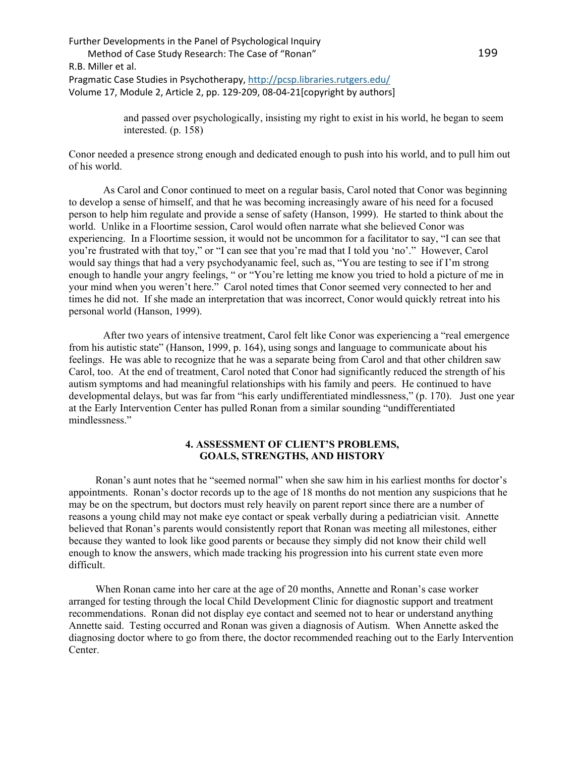> and passed over psychologically, insisting my right to exist in his world, he began to seem interested. (p. 158)

Conor needed a presence strong enough and dedicated enough to push into his world, and to pull him out of his world.

As Carol and Conor continued to meet on a regular basis, Carol noted that Conor was beginning to develop a sense of himself, and that he was becoming increasingly aware of his need for a focused person to help him regulate and provide a sense of safety (Hanson, 1999). He started to think about the world. Unlike in a Floortime session, Carol would often narrate what she believed Conor was experiencing. In a Floortime session, it would not be uncommon for a facilitator to say, "I can see that you're frustrated with that toy," or "I can see that you're mad that I told you 'no'." However, Carol would say things that had a very psychodyanamic feel, such as, "You are testing to see if I'm strong enough to handle your angry feelings, " or "You're letting me know you tried to hold a picture of me in your mind when you weren't here." Carol noted times that Conor seemed very connected to her and times he did not. If she made an interpretation that was incorrect, Conor would quickly retreat into his personal world (Hanson, 1999).

After two years of intensive treatment, Carol felt like Conor was experiencing a "real emergence from his autistic state" (Hanson, 1999, p. 164), using songs and language to communicate about his feelings. He was able to recognize that he was a separate being from Carol and that other children saw Carol, too. At the end of treatment, Carol noted that Conor had significantly reduced the strength of his autism symptoms and had meaningful relationships with his family and peers. He continued to have developmental delays, but was far from "his early undifferentiated mindlessness," (p. 170). Just one year at the Early Intervention Center has pulled Ronan from a similar sounding "undifferentiated mindlessness."

### **4. ASSESSMENT OF CLIENT'S PROBLEMS, GOALS, STRENGTHS, AND HISTORY**

Ronan's aunt notes that he "seemed normal" when she saw him in his earliest months for doctor's appointments. Ronan's doctor records up to the age of 18 months do not mention any suspicions that he may be on the spectrum, but doctors must rely heavily on parent report since there are a number of reasons a young child may not make eye contact or speak verbally during a pediatrician visit. Annette believed that Ronan's parents would consistently report that Ronan was meeting all milestones, either because they wanted to look like good parents or because they simply did not know their child well enough to know the answers, which made tracking his progression into his current state even more difficult.

When Ronan came into her care at the age of 20 months, Annette and Ronan's case worker arranged for testing through the local Child Development Clinic for diagnostic support and treatment recommendations. Ronan did not display eye contact and seemed not to hear or understand anything Annette said. Testing occurred and Ronan was given a diagnosis of Autism. When Annette asked the diagnosing doctor where to go from there, the doctor recommended reaching out to the Early Intervention Center.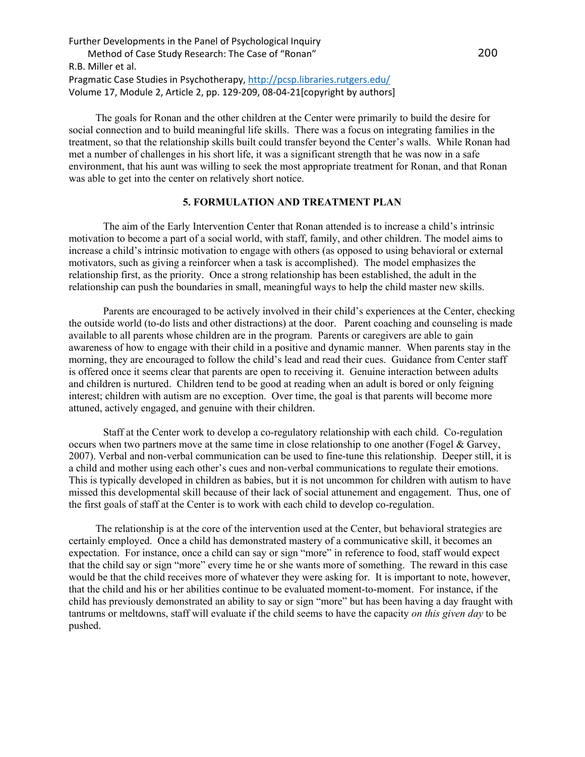The goals for Ronan and the other children at the Center were primarily to build the desire for social connection and to build meaningful life skills. There was a focus on integrating families in the treatment, so that the relationship skills built could transfer beyond the Center's walls. While Ronan had met a number of challenges in his short life, it was a significant strength that he was now in a safe environment, that his aunt was willing to seek the most appropriate treatment for Ronan, and that Ronan was able to get into the center on relatively short notice.

## **5. FORMULATION AND TREATMENT PLAN**

The aim of the Early Intervention Center that Ronan attended is to increase a child's intrinsic motivation to become a part of a social world, with staff, family, and other children. The model aims to increase a child's intrinsic motivation to engage with others (as opposed to using behavioral or external motivators, such as giving a reinforcer when a task is accomplished). The model emphasizes the relationship first, as the priority. Once a strong relationship has been established, the adult in the relationship can push the boundaries in small, meaningful ways to help the child master new skills.

Parents are encouraged to be actively involved in their child's experiences at the Center, checking the outside world (to-do lists and other distractions) at the door. Parent coaching and counseling is made available to all parents whose children are in the program. Parents or caregivers are able to gain awareness of how to engage with their child in a positive and dynamic manner. When parents stay in the morning, they are encouraged to follow the child's lead and read their cues. Guidance from Center staff is offered once it seems clear that parents are open to receiving it. Genuine interaction between adults and children is nurtured. Children tend to be good at reading when an adult is bored or only feigning interest; children with autism are no exception. Over time, the goal is that parents will become more attuned, actively engaged, and genuine with their children.

Staff at the Center work to develop a co-regulatory relationship with each child. Co-regulation occurs when two partners move at the same time in close relationship to one another (Fogel & Garvey, 2007). Verbal and non-verbal communication can be used to fine-tune this relationship. Deeper still, it is a child and mother using each other's cues and non-verbal communications to regulate their emotions. This is typically developed in children as babies, but it is not uncommon for children with autism to have missed this developmental skill because of their lack of social attunement and engagement. Thus, one of the first goals of staff at the Center is to work with each child to develop co-regulation.

The relationship is at the core of the intervention used at the Center, but behavioral strategies are certainly employed. Once a child has demonstrated mastery of a communicative skill, it becomes an expectation. For instance, once a child can say or sign "more" in reference to food, staff would expect that the child say or sign "more" every time he or she wants more of something. The reward in this case would be that the child receives more of whatever they were asking for. It is important to note, however, that the child and his or her abilities continue to be evaluated moment-to-moment. For instance, if the child has previously demonstrated an ability to say or sign "more" but has been having a day fraught with tantrums or meltdowns, staff will evaluate if the child seems to have the capacity *on this given day* to be pushed.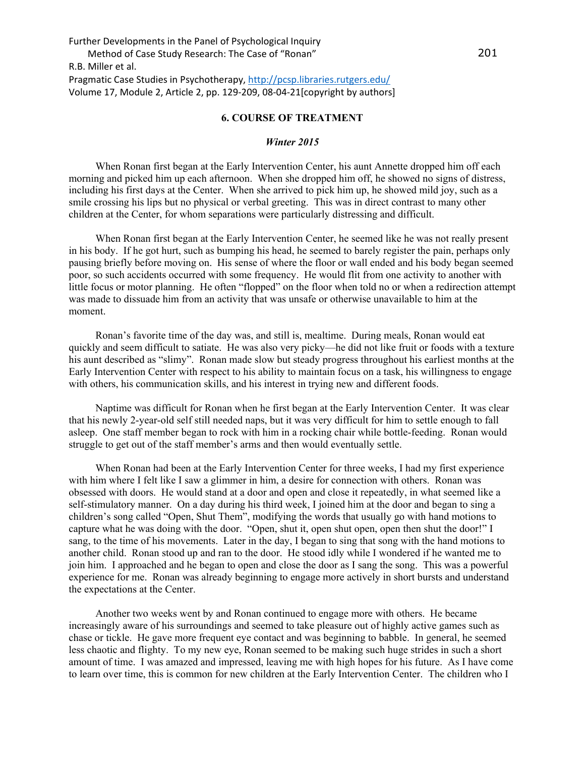### **6. COURSE OF TREATMENT**

### *Winter 2015*

When Ronan first began at the Early Intervention Center, his aunt Annette dropped him off each morning and picked him up each afternoon. When she dropped him off, he showed no signs of distress, including his first days at the Center. When she arrived to pick him up, he showed mild joy, such as a smile crossing his lips but no physical or verbal greeting. This was in direct contrast to many other children at the Center, for whom separations were particularly distressing and difficult.

When Ronan first began at the Early Intervention Center, he seemed like he was not really present in his body. If he got hurt, such as bumping his head, he seemed to barely register the pain, perhaps only pausing briefly before moving on. His sense of where the floor or wall ended and his body began seemed poor, so such accidents occurred with some frequency. He would flit from one activity to another with little focus or motor planning. He often "flopped" on the floor when told no or when a redirection attempt was made to dissuade him from an activity that was unsafe or otherwise unavailable to him at the moment.

Ronan's favorite time of the day was, and still is, mealtime. During meals, Ronan would eat quickly and seem difficult to satiate. He was also very picky—he did not like fruit or foods with a texture his aunt described as "slimy". Ronan made slow but steady progress throughout his earliest months at the Early Intervention Center with respect to his ability to maintain focus on a task, his willingness to engage with others, his communication skills, and his interest in trying new and different foods.

Naptime was difficult for Ronan when he first began at the Early Intervention Center. It was clear that his newly 2-year-old self still needed naps, but it was very difficult for him to settle enough to fall asleep. One staff member began to rock with him in a rocking chair while bottle-feeding. Ronan would struggle to get out of the staff member's arms and then would eventually settle.

When Ronan had been at the Early Intervention Center for three weeks, I had my first experience with him where I felt like I saw a glimmer in him, a desire for connection with others. Ronan was obsessed with doors. He would stand at a door and open and close it repeatedly, in what seemed like a self-stimulatory manner. On a day during his third week, I joined him at the door and began to sing a children's song called "Open, Shut Them", modifying the words that usually go with hand motions to capture what he was doing with the door. "Open, shut it, open shut open, open then shut the door!" I sang, to the time of his movements. Later in the day, I began to sing that song with the hand motions to another child. Ronan stood up and ran to the door. He stood idly while I wondered if he wanted me to join him. I approached and he began to open and close the door as I sang the song. This was a powerful experience for me. Ronan was already beginning to engage more actively in short bursts and understand the expectations at the Center.

Another two weeks went by and Ronan continued to engage more with others. He became increasingly aware of his surroundings and seemed to take pleasure out of highly active games such as chase or tickle. He gave more frequent eye contact and was beginning to babble. In general, he seemed less chaotic and flighty. To my new eye, Ronan seemed to be making such huge strides in such a short amount of time. I was amazed and impressed, leaving me with high hopes for his future. As I have come to learn over time, this is common for new children at the Early Intervention Center. The children who I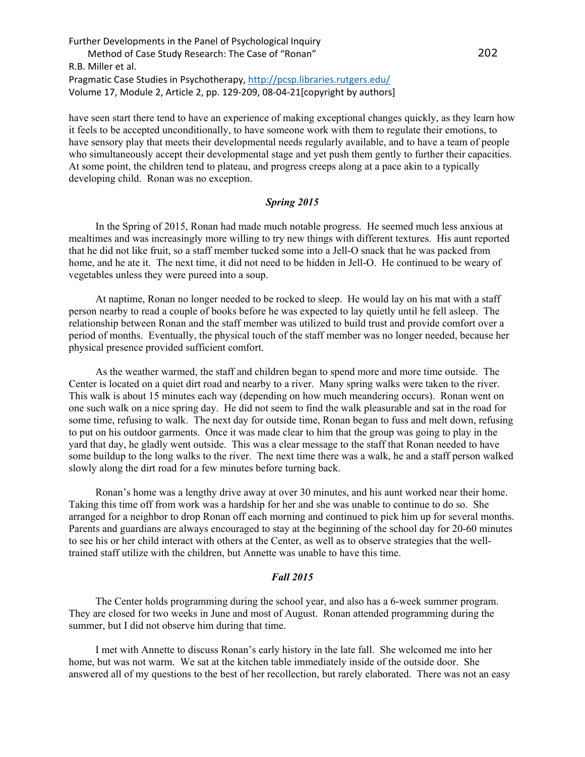have seen start there tend to have an experience of making exceptional changes quickly, as they learn how it feels to be accepted unconditionally, to have someone work with them to regulate their emotions, to have sensory play that meets their developmental needs regularly available, and to have a team of people who simultaneously accept their developmental stage and yet push them gently to further their capacities. At some point, the children tend to plateau, and progress creeps along at a pace akin to a typically developing child. Ronan was no exception.

## *Spring 2015*

In the Spring of 2015, Ronan had made much notable progress. He seemed much less anxious at mealtimes and was increasingly more willing to try new things with different textures. His aunt reported that he did not like fruit, so a staff member tucked some into a Jell-O snack that he was packed from home, and he ate it. The next time, it did not need to be hidden in Jell-O. He continued to be weary of vegetables unless they were pureed into a soup.

At naptime, Ronan no longer needed to be rocked to sleep. He would lay on his mat with a staff person nearby to read a couple of books before he was expected to lay quietly until he fell asleep. The relationship between Ronan and the staff member was utilized to build trust and provide comfort over a period of months. Eventually, the physical touch of the staff member was no longer needed, because her physical presence provided sufficient comfort.

As the weather warmed, the staff and children began to spend more and more time outside. The Center is located on a quiet dirt road and nearby to a river. Many spring walks were taken to the river. This walk is about 15 minutes each way (depending on how much meandering occurs). Ronan went on one such walk on a nice spring day. He did not seem to find the walk pleasurable and sat in the road for some time, refusing to walk. The next day for outside time, Ronan began to fuss and melt down, refusing to put on his outdoor garments. Once it was made clear to him that the group was going to play in the yard that day, he gladly went outside. This was a clear message to the staff that Ronan needed to have some buildup to the long walks to the river. The next time there was a walk, he and a staff person walked slowly along the dirt road for a few minutes before turning back.

Ronan's home was a lengthy drive away at over 30 minutes, and his aunt worked near their home. Taking this time off from work was a hardship for her and she was unable to continue to do so. She arranged for a neighbor to drop Ronan off each morning and continued to pick him up for several months. Parents and guardians are always encouraged to stay at the beginning of the school day for 20-60 minutes to see his or her child interact with others at the Center, as well as to observe strategies that the welltrained staff utilize with the children, but Annette was unable to have this time.

#### *Fall 2015*

The Center holds programming during the school year, and also has a 6-week summer program. They are closed for two weeks in June and most of August. Ronan attended programming during the summer, but I did not observe him during that time.

I met with Annette to discuss Ronan's early history in the late fall. She welcomed me into her home, but was not warm. We sat at the kitchen table immediately inside of the outside door. She answered all of my questions to the best of her recollection, but rarely elaborated. There was not an easy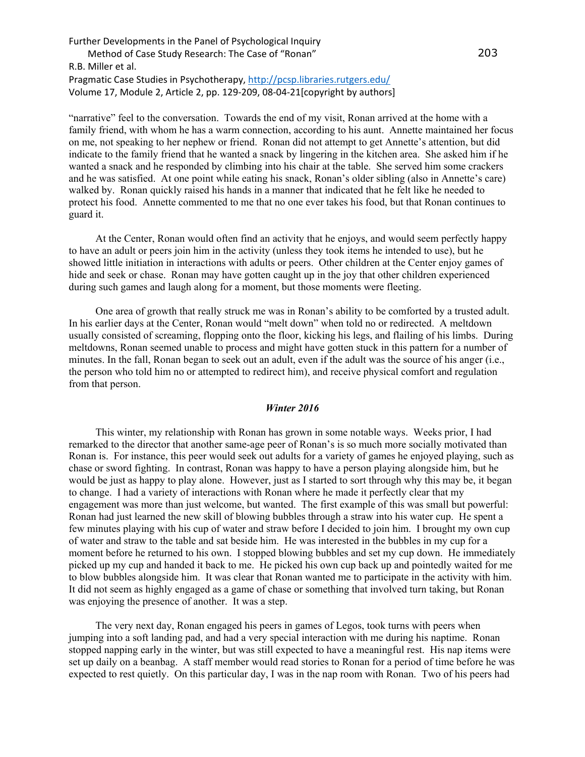"narrative" feel to the conversation. Towards the end of my visit, Ronan arrived at the home with a family friend, with whom he has a warm connection, according to his aunt. Annette maintained her focus on me, not speaking to her nephew or friend. Ronan did not attempt to get Annette's attention, but did indicate to the family friend that he wanted a snack by lingering in the kitchen area. She asked him if he wanted a snack and he responded by climbing into his chair at the table. She served him some crackers and he was satisfied. At one point while eating his snack, Ronan's older sibling (also in Annette's care) walked by. Ronan quickly raised his hands in a manner that indicated that he felt like he needed to protect his food. Annette commented to me that no one ever takes his food, but that Ronan continues to guard it.

At the Center, Ronan would often find an activity that he enjoys, and would seem perfectly happy to have an adult or peers join him in the activity (unless they took items he intended to use), but he showed little initiation in interactions with adults or peers. Other children at the Center enjoy games of hide and seek or chase. Ronan may have gotten caught up in the joy that other children experienced during such games and laugh along for a moment, but those moments were fleeting.

One area of growth that really struck me was in Ronan's ability to be comforted by a trusted adult. In his earlier days at the Center, Ronan would "melt down" when told no or redirected. A meltdown usually consisted of screaming, flopping onto the floor, kicking his legs, and flailing of his limbs. During meltdowns, Ronan seemed unable to process and might have gotten stuck in this pattern for a number of minutes. In the fall, Ronan began to seek out an adult, even if the adult was the source of his anger (i.e., the person who told him no or attempted to redirect him), and receive physical comfort and regulation from that person.

#### *Winter 2016*

This winter, my relationship with Ronan has grown in some notable ways. Weeks prior, I had remarked to the director that another same-age peer of Ronan's is so much more socially motivated than Ronan is. For instance, this peer would seek out adults for a variety of games he enjoyed playing, such as chase or sword fighting. In contrast, Ronan was happy to have a person playing alongside him, but he would be just as happy to play alone. However, just as I started to sort through why this may be, it began to change. I had a variety of interactions with Ronan where he made it perfectly clear that my engagement was more than just welcome, but wanted. The first example of this was small but powerful: Ronan had just learned the new skill of blowing bubbles through a straw into his water cup. He spent a few minutes playing with his cup of water and straw before I decided to join him. I brought my own cup of water and straw to the table and sat beside him. He was interested in the bubbles in my cup for a moment before he returned to his own. I stopped blowing bubbles and set my cup down. He immediately picked up my cup and handed it back to me. He picked his own cup back up and pointedly waited for me to blow bubbles alongside him. It was clear that Ronan wanted me to participate in the activity with him. It did not seem as highly engaged as a game of chase or something that involved turn taking, but Ronan was enjoying the presence of another. It was a step.

The very next day, Ronan engaged his peers in games of Legos, took turns with peers when jumping into a soft landing pad, and had a very special interaction with me during his naptime. Ronan stopped napping early in the winter, but was still expected to have a meaningful rest. His nap items were set up daily on a beanbag. A staff member would read stories to Ronan for a period of time before he was expected to rest quietly. On this particular day, I was in the nap room with Ronan. Two of his peers had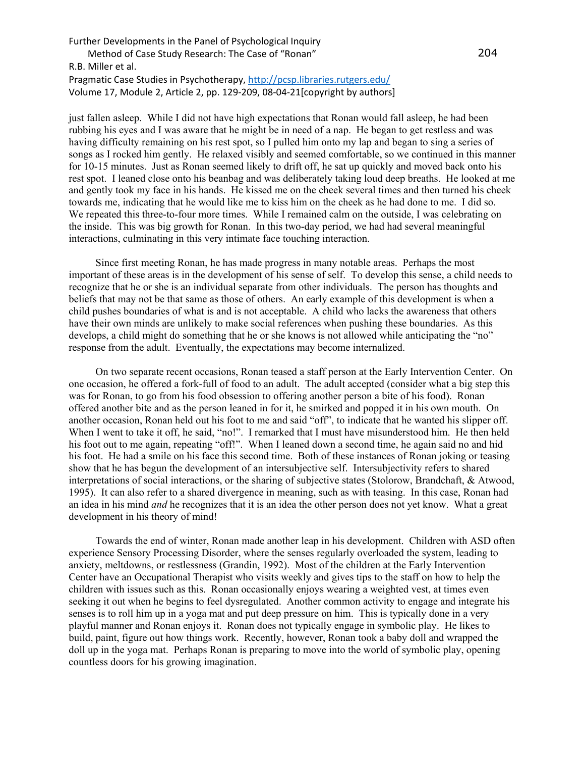just fallen asleep. While I did not have high expectations that Ronan would fall asleep, he had been rubbing his eyes and I was aware that he might be in need of a nap. He began to get restless and was having difficulty remaining on his rest spot, so I pulled him onto my lap and began to sing a series of songs as I rocked him gently. He relaxed visibly and seemed comfortable, so we continued in this manner for 10-15 minutes. Just as Ronan seemed likely to drift off, he sat up quickly and moved back onto his rest spot. I leaned close onto his beanbag and was deliberately taking loud deep breaths. He looked at me and gently took my face in his hands. He kissed me on the cheek several times and then turned his cheek towards me, indicating that he would like me to kiss him on the cheek as he had done to me. I did so. We repeated this three-to-four more times. While I remained calm on the outside, I was celebrating on the inside. This was big growth for Ronan. In this two-day period, we had had several meaningful interactions, culminating in this very intimate face touching interaction.

Since first meeting Ronan, he has made progress in many notable areas. Perhaps the most important of these areas is in the development of his sense of self. To develop this sense, a child needs to recognize that he or she is an individual separate from other individuals. The person has thoughts and beliefs that may not be that same as those of others. An early example of this development is when a child pushes boundaries of what is and is not acceptable. A child who lacks the awareness that others have their own minds are unlikely to make social references when pushing these boundaries. As this develops, a child might do something that he or she knows is not allowed while anticipating the "no" response from the adult. Eventually, the expectations may become internalized.

On two separate recent occasions, Ronan teased a staff person at the Early Intervention Center. On one occasion, he offered a fork-full of food to an adult. The adult accepted (consider what a big step this was for Ronan, to go from his food obsession to offering another person a bite of his food). Ronan offered another bite and as the person leaned in for it, he smirked and popped it in his own mouth. On another occasion, Ronan held out his foot to me and said "off", to indicate that he wanted his slipper off. When I went to take it off, he said, "no!". I remarked that I must have misunderstood him. He then held his foot out to me again, repeating "off!". When I leaned down a second time, he again said no and hid his foot. He had a smile on his face this second time. Both of these instances of Ronan joking or teasing show that he has begun the development of an intersubjective self. Intersubjectivity refers to shared interpretations of social interactions, or the sharing of subjective states (Stolorow, Brandchaft, & Atwood, 1995). It can also refer to a shared divergence in meaning, such as with teasing. In this case, Ronan had an idea in his mind *and* he recognizes that it is an idea the other person does not yet know. What a great development in his theory of mind!

Towards the end of winter, Ronan made another leap in his development. Children with ASD often experience Sensory Processing Disorder, where the senses regularly overloaded the system, leading to anxiety, meltdowns, or restlessness (Grandin, 1992). Most of the children at the Early Intervention Center have an Occupational Therapist who visits weekly and gives tips to the staff on how to help the children with issues such as this. Ronan occasionally enjoys wearing a weighted vest, at times even seeking it out when he begins to feel dysregulated. Another common activity to engage and integrate his senses is to roll him up in a yoga mat and put deep pressure on him. This is typically done in a very playful manner and Ronan enjoys it. Ronan does not typically engage in symbolic play. He likes to build, paint, figure out how things work. Recently, however, Ronan took a baby doll and wrapped the doll up in the yoga mat. Perhaps Ronan is preparing to move into the world of symbolic play, opening countless doors for his growing imagination.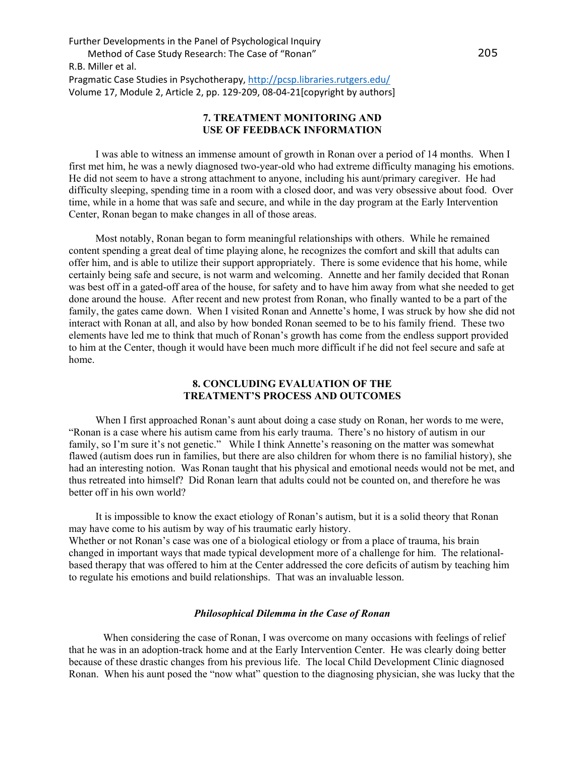## **7. TREATMENT MONITORING AND USE OF FEEDBACK INFORMATION**

I was able to witness an immense amount of growth in Ronan over a period of 14 months. When I first met him, he was a newly diagnosed two-year-old who had extreme difficulty managing his emotions. He did not seem to have a strong attachment to anyone, including his aunt/primary caregiver. He had difficulty sleeping, spending time in a room with a closed door, and was very obsessive about food. Over time, while in a home that was safe and secure, and while in the day program at the Early Intervention Center, Ronan began to make changes in all of those areas.

Most notably, Ronan began to form meaningful relationships with others. While he remained content spending a great deal of time playing alone, he recognizes the comfort and skill that adults can offer him, and is able to utilize their support appropriately. There is some evidence that his home, while certainly being safe and secure, is not warm and welcoming. Annette and her family decided that Ronan was best off in a gated-off area of the house, for safety and to have him away from what she needed to get done around the house. After recent and new protest from Ronan, who finally wanted to be a part of the family, the gates came down. When I visited Ronan and Annette's home, I was struck by how she did not interact with Ronan at all, and also by how bonded Ronan seemed to be to his family friend. These two elements have led me to think that much of Ronan's growth has come from the endless support provided to him at the Center, though it would have been much more difficult if he did not feel secure and safe at home.

## **8. CONCLUDING EVALUATION OF THE TREATMENT'S PROCESS AND OUTCOMES**

When I first approached Ronan's aunt about doing a case study on Ronan, her words to me were, "Ronan is a case where his autism came from his early trauma. There's no history of autism in our family, so I'm sure it's not genetic." While I think Annette's reasoning on the matter was somewhat flawed (autism does run in families, but there are also children for whom there is no familial history), she had an interesting notion. Was Ronan taught that his physical and emotional needs would not be met, and thus retreated into himself? Did Ronan learn that adults could not be counted on, and therefore he was better off in his own world?

It is impossible to know the exact etiology of Ronan's autism, but it is a solid theory that Ronan may have come to his autism by way of his traumatic early history. Whether or not Ronan's case was one of a biological etiology or from a place of trauma, his brain changed in important ways that made typical development more of a challenge for him. The relationalbased therapy that was offered to him at the Center addressed the core deficits of autism by teaching him to regulate his emotions and build relationships. That was an invaluable lesson.

### *Philosophical Dilemma in the Case of Ronan*

When considering the case of Ronan, I was overcome on many occasions with feelings of relief that he was in an adoption-track home and at the Early Intervention Center. He was clearly doing better because of these drastic changes from his previous life. The local Child Development Clinic diagnosed Ronan. When his aunt posed the "now what" question to the diagnosing physician, she was lucky that the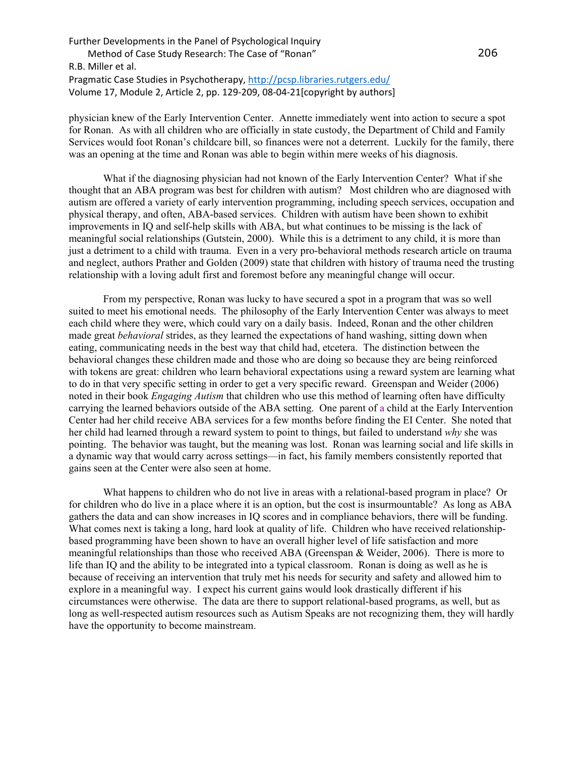physician knew of the Early Intervention Center. Annette immediately went into action to secure a spot for Ronan. As with all children who are officially in state custody, the Department of Child and Family Services would foot Ronan's childcare bill, so finances were not a deterrent. Luckily for the family, there was an opening at the time and Ronan was able to begin within mere weeks of his diagnosis.

What if the diagnosing physician had not known of the Early Intervention Center? What if she thought that an ABA program was best for children with autism? Most children who are diagnosed with autism are offered a variety of early intervention programming, including speech services, occupation and physical therapy, and often, ABA-based services. Children with autism have been shown to exhibit improvements in IQ and self-help skills with ABA, but what continues to be missing is the lack of meaningful social relationships (Gutstein, 2000). While this is a detriment to any child, it is more than just a detriment to a child with trauma. Even in a very pro-behavioral methods research article on trauma and neglect, authors Prather and Golden (2009) state that children with history of trauma need the trusting relationship with a loving adult first and foremost before any meaningful change will occur.

From my perspective, Ronan was lucky to have secured a spot in a program that was so well suited to meet his emotional needs. The philosophy of the Early Intervention Center was always to meet each child where they were, which could vary on a daily basis. Indeed, Ronan and the other children made great *behavioral* strides, as they learned the expectations of hand washing, sitting down when eating, communicating needs in the best way that child had, etcetera. The distinction between the behavioral changes these children made and those who are doing so because they are being reinforced with tokens are great: children who learn behavioral expectations using a reward system are learning what to do in that very specific setting in order to get a very specific reward. Greenspan and Weider (2006) noted in their book *Engaging Autism* that children who use this method of learning often have difficulty carrying the learned behaviors outside of the ABA setting. One parent of a child at the Early Intervention Center had her child receive ABA services for a few months before finding the EI Center. She noted that her child had learned through a reward system to point to things, but failed to understand *why* she was pointing. The behavior was taught, but the meaning was lost. Ronan was learning social and life skills in a dynamic way that would carry across settings—in fact, his family members consistently reported that gains seen at the Center were also seen at home.

What happens to children who do not live in areas with a relational-based program in place? Or for children who do live in a place where it is an option, but the cost is insurmountable? As long as ABA gathers the data and can show increases in IQ scores and in compliance behaviors, there will be funding. What comes next is taking a long, hard look at quality of life. Children who have received relationshipbased programming have been shown to have an overall higher level of life satisfaction and more meaningful relationships than those who received ABA (Greenspan & Weider, 2006). There is more to life than IQ and the ability to be integrated into a typical classroom. Ronan is doing as well as he is because of receiving an intervention that truly met his needs for security and safety and allowed him to explore in a meaningful way. I expect his current gains would look drastically different if his circumstances were otherwise. The data are there to support relational-based programs, as well, but as long as well-respected autism resources such as Autism Speaks are not recognizing them, they will hardly have the opportunity to become mainstream.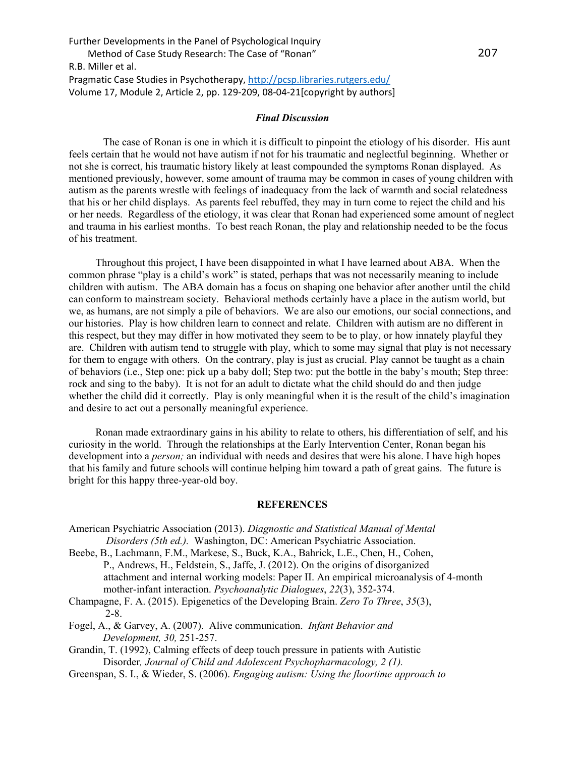### *Final Discussion*

The case of Ronan is one in which it is difficult to pinpoint the etiology of his disorder. His aunt feels certain that he would not have autism if not for his traumatic and neglectful beginning. Whether or not she is correct, his traumatic history likely at least compounded the symptoms Ronan displayed. As mentioned previously, however, some amount of trauma may be common in cases of young children with autism as the parents wrestle with feelings of inadequacy from the lack of warmth and social relatedness that his or her child displays. As parents feel rebuffed, they may in turn come to reject the child and his or her needs. Regardless of the etiology, it was clear that Ronan had experienced some amount of neglect and trauma in his earliest months. To best reach Ronan, the play and relationship needed to be the focus of his treatment.

Throughout this project, I have been disappointed in what I have learned about ABA. When the common phrase "play is a child's work" is stated, perhaps that was not necessarily meaning to include children with autism. The ABA domain has a focus on shaping one behavior after another until the child can conform to mainstream society. Behavioral methods certainly have a place in the autism world, but we, as humans, are not simply a pile of behaviors. We are also our emotions, our social connections, and our histories. Play is how children learn to connect and relate. Children with autism are no different in this respect, but they may differ in how motivated they seem to be to play, or how innately playful they are. Children with autism tend to struggle with play, which to some may signal that play is not necessary for them to engage with others. On the contrary, play is just as crucial. Play cannot be taught as a chain of behaviors (i.e., Step one: pick up a baby doll; Step two: put the bottle in the baby's mouth; Step three: rock and sing to the baby). It is not for an adult to dictate what the child should do and then judge whether the child did it correctly. Play is only meaningful when it is the result of the child's imagination and desire to act out a personally meaningful experience.

Ronan made extraordinary gains in his ability to relate to others, his differentiation of self, and his curiosity in the world. Through the relationships at the Early Intervention Center, Ronan began his development into a *person;* an individual with needs and desires that were his alone. I have high hopes that his family and future schools will continue helping him toward a path of great gains. The future is bright for this happy three-year-old boy.

### **REFERENCES**

- American Psychiatric Association (2013). *Diagnostic and Statistical Manual of Mental Disorders (5th ed.).* Washington, DC: American Psychiatric Association.
- Beebe, B., Lachmann, F.M., Markese, S., Buck, K.A., Bahrick, L.E., Chen, H., Cohen, P., Andrews, H., Feldstein, S., Jaffe, J. (2012). On the origins of disorganized attachment and internal working models: Paper II. An empirical microanalysis of 4-month mother-infant interaction. *Psychoanalytic Dialogues*, *22*(3), 352-374.
- Champagne, F. A. (2015). Epigenetics of the Developing Brain. *Zero To Three*, *35*(3), 2-8.
- Fogel, A., & Garvey, A. (2007). Alive communication. *Infant Behavior and Development, 30,* 251-257.
- Grandin, T. (1992), Calming effects of deep touch pressure in patients with Autistic Disorder*, [Journal of Child and Adolescent Psychopharmacology,](http://www.grandin.com/inc/squeeze.html) 2 (1).*
- Greenspan, S. I., & Wieder, S. (2006). *Engaging autism: Using the floortime approach to*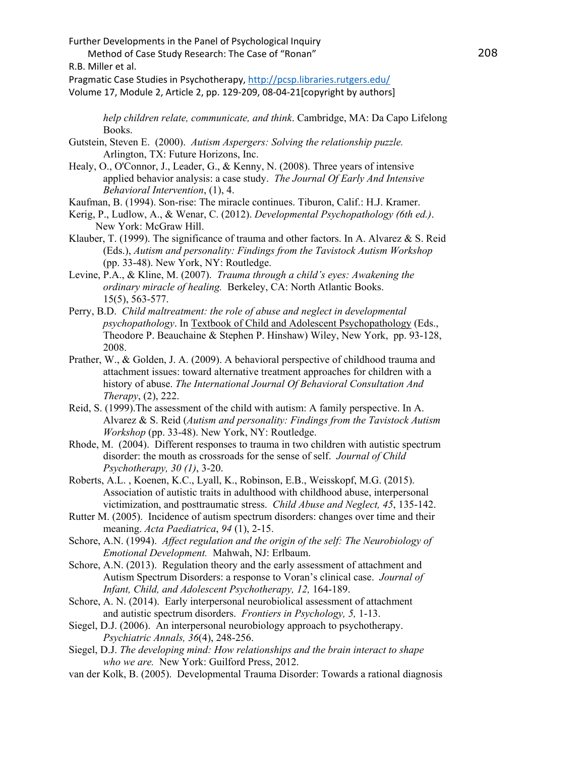Further Developments in the Panel of Psychological Inquiry

Method of Case Study Research: The Case of "Ronan"

R.B. Miller et al.

Pragmatic Case Studies in Psychotherapy,<http://pcsp.libraries.rutgers.edu/>

Volume 17, Module 2, Article 2, pp. 129-209, 08-04-21[copyright by authors]

*help children relate, communicate, and think*. Cambridge, MA: Da Capo Lifelong Books.

Gutstein, Steven E. (2000). *Autism Aspergers: Solving the relationship puzzle.*  Arlington, TX: Future Horizons, Inc.

Healy, O., O'Connor, J., Leader, G., & Kenny, N. (2008). Three years of intensive applied behavior analysis: a case study. *The Journal Of Early And Intensive Behavioral Intervention*, (1), 4.

Kaufman, B. (1994). Son-rise: The miracle continues. Tiburon, Calif.: H.J. Kramer.

- Kerig, P., Ludlow, A., & Wenar, C. (2012). *Developmental Psychopathology (6th ed.)*. New York: McGraw Hill.
- Klauber, T. (1999). The significance of trauma and other factors. In A. Alvarez & S. Reid (Eds.), *Autism and personality: Findings from the Tavistock Autism Workshop* (pp. 33-48). New York, NY: Routledge.

Levine, P.A., & Kline, M. (2007). *Trauma through a child's eyes: Awakening the ordinary miracle of healing.* Berkeley, CA: North Atlantic Books. 15(5), 563-577.

- Perry, B.D. *Child maltreatment: the role of abuse and neglect in developmental psychopathology*. In Textbook of Child and Adolescent Psychopathology (Eds., Theodore P. Beauchaine & Stephen P. Hinshaw) Wiley, New York, pp. 93-128, 2008.
- Prather, W., & Golden, J. A. (2009). A behavioral perspective of childhood trauma and attachment issues: toward alternative treatment approaches for children with a history of abuse. *The International Journal Of Behavioral Consultation And Therapy*, (2), 222.
- Reid, S. (1999).The assessment of the child with autism: A family perspective. In A. Alvarez & S. Reid (*Autism and personality: Findings from the Tavistock Autism Workshop* (pp. 33-48). New York, NY: Routledge.
- Rhode, M. (2004). Different responses to trauma in two children with autistic spectrum disorder: the mouth as crossroads for the sense of self. *Journal of Child Psychotherapy, 30 (1)*, 3-20.
- Roberts, A.L. , Koenen, K.C., Lyall, K., Robinson, E.B., Weisskopf, M.G. (2015). Association of autistic traits in adulthood with childhood abuse, interpersonal victimization, and posttraumatic stress. *Child Abuse and Neglect, 45*, 135-142.
- Rutter M. (2005). Incidence of autism spectrum disorders: changes over time and their meaning. *Acta Paediatrica*, *94* (1), 2-15.

Schore, A.N. (1994). *Affect regulation and the origin of the self: The Neurobiology of Emotional Development.* Mahwah, NJ: Erlbaum.

Schore, A.N. (2013). Regulation theory and the early assessment of attachment and Autism Spectrum Disorders: a response to Voran's clinical case. *Journal of Infant, Child, and Adolescent Psychotherapy, 12,* 164-189.

- Schore, A. N. (2014). Early interpersonal neurobiolical assessment of attachment and autistic spectrum disorders. *Frontiers in Psychology, 5,* 1-13.
- Siegel, D.J. (2006). An interpersonal neurobiology approach to psychotherapy. *Psychiatric Annals, 36*(4), 248-256.

Siegel, D.J. *The developing mind: How relationships and the brain interact to shape who we are.* New York: Guilford Press, 2012.

van der Kolk, B. (2005). Developmental Trauma Disorder: Towards a rational diagnosis